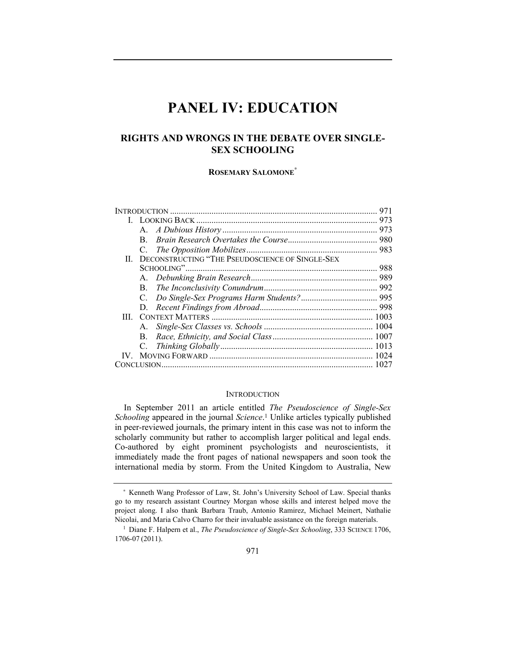# **PANEL IV: EDUCATION**

# **RIGHTS AND WRONGS IN THE DEBATE OVER SINGLE-SEX SCHOOLING**

## **ROSEMARY SALOMONE**<sup>∗</sup>

|    | B.                                              |  |      |
|----|-------------------------------------------------|--|------|
|    | $C_{\cdot}$                                     |  |      |
| П. | DECONSTRUCTING "THE PSEUDOSCIENCE OF SINGLE-SEX |  |      |
|    |                                                 |  |      |
|    |                                                 |  |      |
|    | B.                                              |  |      |
|    | $C_{-}$                                         |  |      |
|    |                                                 |  |      |
| Ш  |                                                 |  |      |
|    | А.                                              |  |      |
|    | B.                                              |  |      |
|    | $C_{\cdot}$                                     |  |      |
|    |                                                 |  | 1024 |
|    |                                                 |  |      |

### **INTRODUCTION**

In September 2011 an article entitled *The Pseudoscience of Single-Sex Schooling* appeared in the journal *Science*. 1 Unlike articles typically published in peer-reviewed journals, the primary intent in this case was not to inform the scholarly community but rather to accomplish larger political and legal ends. Co-authored by eight prominent psychologists and neuroscientists, it immediately made the front pages of national newspapers and soon took the international media by storm. From the United Kingdom to Australia, New

<sup>∗</sup> Kenneth Wang Professor of Law, St. John's University School of Law. Special thanks go to my research assistant Courtney Morgan whose skills and interest helped move the project along. I also thank Barbara Traub, Antonio Ramirez, Michael Meinert, Nathalie Nicolai, and Maria Calvo Charro for their invaluable assistance on the foreign materials.<br><sup>1</sup> Diane F. Halpern et al., *The Pseudoscience of Single-Sex Schooling*, 333 SCIENCE 1706,

<sup>1706-07</sup> (2011).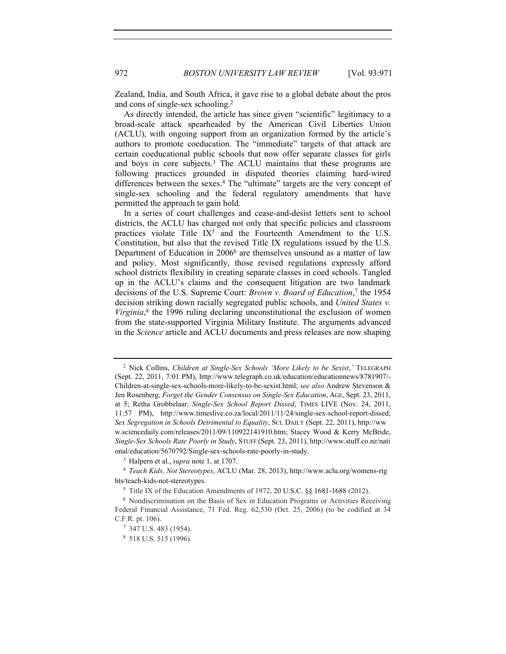972 *BOSTON UNIVERSITY LAW REVIEW* [Vol. 93:971

Zealand, India, and South Africa, it gave rise to a global debate about the pros and cons of single-sex schooling.2

As directly intended, the article has since given "scientific" legitimacy to a broad-scale attack spearheaded by the American Civil Liberties Union (ACLU), with ongoing support from an organization formed by the article's authors to promote coeducation. The "immediate" targets of that attack are certain coeducational public schools that now offer separate classes for girls and boys in core subjects.<sup>3</sup> The ACLU maintains that these programs are following practices grounded in disputed theories claiming hard-wired differences between the sexes.<sup>4</sup> The "ultimate" targets are the very concept of single-sex schooling and the federal regulatory amendments that have permitted the approach to gain hold.

In a series of court challenges and cease-and-desist letters sent to school districts, the ACLU has charged not only that specific policies and classroom practices violate Title  $IX^5$  and the Fourteenth Amendment to the U.S. Constitution, but also that the revised Title IX regulations issued by the U.S. Department of Education in 2006<sup>6</sup> are themselves unsound as a matter of law and policy. Most significantly, those revised regulations expressly afford school districts flexibility in creating separate classes in coed schools. Tangled up in the ACLU's claims and the consequent litigation are two landmark decisions of the U.S. Supreme Court: *Brown v. Board of Education*, 7 the 1954 decision striking down racially segregated public schools, and *United States v. Virginia*, 8 the 1996 ruling declaring unconstitutional the exclusion of women from the state-supported Virginia Military Institute. The arguments advanced in the *Science* article and ACLU documents and press releases are now shaping

<sup>2</sup> Nick Collins, *Children at Single-Sex Schools 'More Likely to be Sexist*,*'* TELEGRAPH (Sept. 22, 2011, 7:01 PM), http://www.telegraph.co.uk/education/educationnews/8781907/- Children-at-single-sex-schools-more-likely-to-be-sexist.html; *see also* Andrew Stevenson & Jen Rosenberg, *Forget the Gender Consensus on Single-Sex Education*, AGE, Sept. 23, 2011, at 5; Retha Grobbelaar, *Single-Sex School Report Dissed*, TIMES LIVE (Nov. 24, 2011, 11:57 PM), http://www.timeslive.co.za/local/2011/11/24/single-sex-school-report-dissed; *Sex Segregation in Schools Detrimental to Equality*, SCI. DAILY (Sept. 22, 2011), http://ww w.sciencedaily.com/releases/2011/09/110922141910.htm; Stacey Wood & Kerry McBride, *Single-Sex Schools Rate Poorly in Study*, STUFF (Sept. 23, 2011), http://www.stuff.co.nz/nati onal/education/5670792/Single-sex-schools-rate-poorly-in-study.

<sup>3</sup> Halpern et al., *supra* note 1, at 1707.

<sup>4</sup> *Teach Kids, Not Stereotypes*, ACLU (Mar. 28, 2013), http://www.aclu.org/womens-rig hts/teach-kids-not-stereotypes.

<sup>5</sup> Title IX of the Education Amendments of 1972, 20 U.S.C. §§ 1681-1688 (2012).

<sup>6</sup> Nondiscrimination on the Basis of Sex in Education Programs or Activities Receiving Federal Financial Assistance, 71 Fed. Reg. 62,530 (Oct. 25, 2006) (to be codified at 34 C.F.R. pt. 106).

<sup>7</sup> 347 U.S. 483 (1954).

<sup>8</sup> 518 U.S. 515 (1996).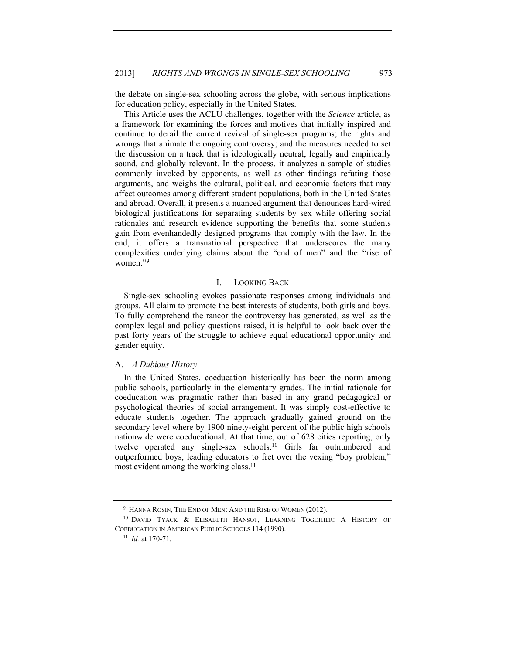the debate on single-sex schooling across the globe, with serious implications for education policy, especially in the United States.

This Article uses the ACLU challenges, together with the *Science* article, as a framework for examining the forces and motives that initially inspired and continue to derail the current revival of single-sex programs; the rights and wrongs that animate the ongoing controversy; and the measures needed to set the discussion on a track that is ideologically neutral, legally and empirically sound, and globally relevant. In the process, it analyzes a sample of studies commonly invoked by opponents, as well as other findings refuting those arguments, and weighs the cultural, political, and economic factors that may affect outcomes among different student populations, both in the United States and abroad. Overall, it presents a nuanced argument that denounces hard-wired biological justifications for separating students by sex while offering social rationales and research evidence supporting the benefits that some students gain from evenhandedly designed programs that comply with the law. In the end, it offers a transnational perspective that underscores the many complexities underlying claims about the "end of men" and the "rise of women."9

# I. LOOKING BACK

Single-sex schooling evokes passionate responses among individuals and groups. All claim to promote the best interests of students, both girls and boys. To fully comprehend the rancor the controversy has generated, as well as the complex legal and policy questions raised, it is helpful to look back over the past forty years of the struggle to achieve equal educational opportunity and gender equity.

### A. *A Dubious History*

In the United States, coeducation historically has been the norm among public schools, particularly in the elementary grades. The initial rationale for coeducation was pragmatic rather than based in any grand pedagogical or psychological theories of social arrangement. It was simply cost-effective to educate students together. The approach gradually gained ground on the secondary level where by 1900 ninety-eight percent of the public high schools nationwide were coeducational. At that time, out of 628 cities reporting, only twelve operated any single-sex schools.10 Girls far outnumbered and outperformed boys, leading educators to fret over the vexing "boy problem," most evident among the working class.<sup>11</sup>

<sup>9</sup> HANNA ROSIN, THE END OF MEN: AND THE RISE OF WOMEN (2012).

<sup>10</sup> DAVID TYACK & ELISABETH HANSOT, LEARNING TOGETHER: A HISTORY OF COEDUCATION IN AMERICAN PUBLIC SCHOOLS 114 (1990).

<sup>11</sup> *Id.* at 170-71.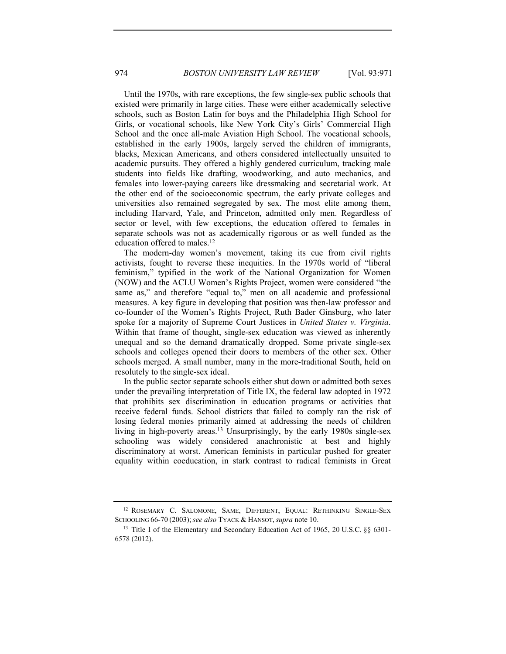Until the 1970s, with rare exceptions, the few single-sex public schools that existed were primarily in large cities. These were either academically selective schools, such as Boston Latin for boys and the Philadelphia High School for Girls, or vocational schools, like New York City's Girls' Commercial High School and the once all-male Aviation High School. The vocational schools, established in the early 1900s, largely served the children of immigrants, blacks, Mexican Americans, and others considered intellectually unsuited to academic pursuits. They offered a highly gendered curriculum, tracking male students into fields like drafting, woodworking, and auto mechanics, and females into lower-paying careers like dressmaking and secretarial work. At the other end of the socioeconomic spectrum, the early private colleges and universities also remained segregated by sex. The most elite among them, including Harvard, Yale, and Princeton, admitted only men. Regardless of sector or level, with few exceptions, the education offered to females in separate schools was not as academically rigorous or as well funded as the education offered to males.<sup>12</sup>

The modern-day women's movement, taking its cue from civil rights activists, fought to reverse these inequities. In the 1970s world of "liberal feminism," typified in the work of the National Organization for Women (NOW) and the ACLU Women's Rights Project, women were considered "the same as," and therefore "equal to," men on all academic and professional measures. A key figure in developing that position was then-law professor and co-founder of the Women's Rights Project, Ruth Bader Ginsburg, who later spoke for a majority of Supreme Court Justices in *United States v. Virginia*. Within that frame of thought, single-sex education was viewed as inherently unequal and so the demand dramatically dropped. Some private single-sex schools and colleges opened their doors to members of the other sex. Other schools merged. A small number, many in the more-traditional South, held on resolutely to the single-sex ideal.

In the public sector separate schools either shut down or admitted both sexes under the prevailing interpretation of Title IX, the federal law adopted in 1972 that prohibits sex discrimination in education programs or activities that receive federal funds. School districts that failed to comply ran the risk of losing federal monies primarily aimed at addressing the needs of children living in high-poverty areas.13 Unsurprisingly, by the early 1980s single-sex schooling was widely considered anachronistic at best and highly discriminatory at worst. American feminists in particular pushed for greater equality within coeducation, in stark contrast to radical feminists in Great

<sup>12</sup> ROSEMARY C. SALOMONE, SAME, DIFFERENT, EQUAL: RETHINKING SINGLE-SEX SCHOOLING 66-70 (2003); *see also* TYACK & HANSOT, *supra* note 10.

<sup>&</sup>lt;sup>13</sup> Title I of the Elementary and Secondary Education Act of 1965, 20 U.S.C. §§ 6301-6578 (2012).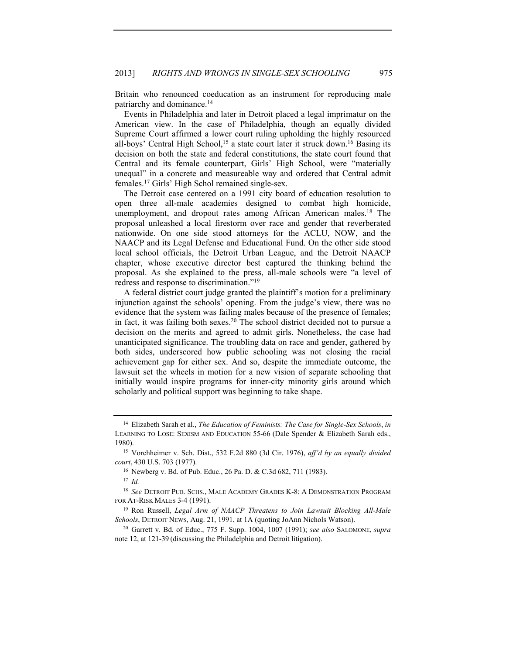Britain who renounced coeducation as an instrument for reproducing male patriarchy and dominance.14

Events in Philadelphia and later in Detroit placed a legal imprimatur on the American view. In the case of Philadelphia, though an equally divided Supreme Court affirmed a lower court ruling upholding the highly resourced all-boys' Central High School,<sup>15</sup> a state court later it struck down.<sup>16</sup> Basing its decision on both the state and federal constitutions, the state court found that Central and its female counterpart, Girls' High School, were "materially unequal" in a concrete and measureable way and ordered that Central admit females.17 Girls' High Schol remained single-sex.

The Detroit case centered on a 1991 city board of education resolution to open three all-male academies designed to combat high homicide, unemployment, and dropout rates among African American males.18 The proposal unleashed a local firestorm over race and gender that reverberated nationwide. On one side stood attorneys for the ACLU, NOW, and the NAACP and its Legal Defense and Educational Fund. On the other side stood local school officials, the Detroit Urban League, and the Detroit NAACP chapter, whose executive director best captured the thinking behind the proposal. As she explained to the press, all-male schools were "a level of redress and response to discrimination."19

A federal district court judge granted the plaintiff's motion for a preliminary injunction against the schools' opening. From the judge's view, there was no evidence that the system was failing males because of the presence of females; in fact, it was failing both sexes.20 The school district decided not to pursue a decision on the merits and agreed to admit girls. Nonetheless, the case had unanticipated significance. The troubling data on race and gender, gathered by both sides, underscored how public schooling was not closing the racial achievement gap for either sex. And so, despite the immediate outcome, the lawsuit set the wheels in motion for a new vision of separate schooling that initially would inspire programs for inner-city minority girls around which scholarly and political support was beginning to take shape.

<sup>17</sup> *Id.*

<sup>14</sup> Elizabeth Sarah et al., *The Education of Feminists: The Case for Single-Sex Schools*, *in*  LEARNING TO LOSE: SEXISM AND EDUCATION 55-66 (Dale Spender & Elizabeth Sarah eds.,

<sup>1980). 15</sup> Vorchheimer v. Sch. Dist., 532 F.2d 880 (3d Cir. 1976), *aff'd by an equally divided court*, 430 U.S. 703 (1977).

<sup>16</sup> Newberg v. Bd. of Pub. Educ., 26 Pa. D. & C.3d 682, 711 (1983).

<sup>18</sup> *See* DETROIT PUB. SCHS., MALE ACADEMY GRADES K-8: A DEMONSTRATION PROGRAM FOR AT-RISK MALES 3-4 (1991).

<sup>19</sup> Ron Russell, *Legal Arm of NAACP Threatens to Join Lawsuit Blocking All-Male Schools*, DETROIT NEWS, Aug. 21, 1991, at 1A (quoting JoAnn Nichols Watson).

<sup>20</sup> Garrett v. Bd. of Educ., 775 F. Supp. 1004, 1007 (1991); *see also* SALOMONE, *supra*  note 12, at 121-39 (discussing the Philadelphia and Detroit litigation).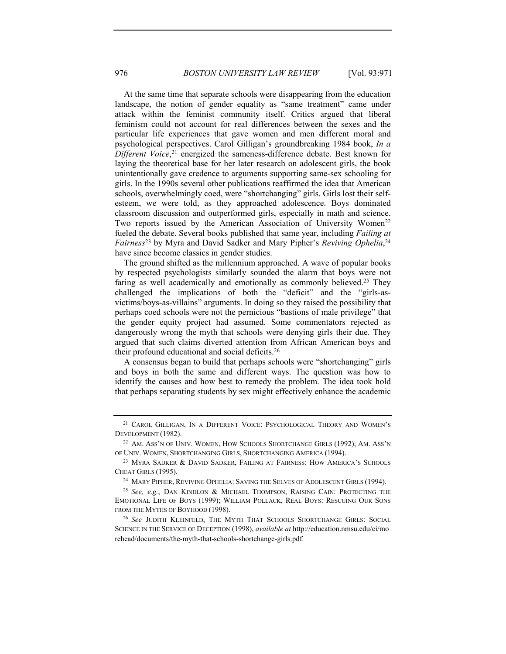At the same time that separate schools were disappearing from the education landscape, the notion of gender equality as "same treatment" came under attack within the feminist community itself. Critics argued that liberal feminism could not account for real differences between the sexes and the particular life experiences that gave women and men different moral and psychological perspectives. Carol Gilligan's groundbreaking 1984 book, *In a Different Voice*, <sup>21</sup> energized the sameness-difference debate. Best known for laying the theoretical base for her later research on adolescent girls, the book unintentionally gave credence to arguments supporting same-sex schooling for girls. In the 1990s several other publications reaffirmed the idea that American schools, overwhelmingly coed, were "shortchanging" girls. Girls lost their selfesteem, we were told, as they approached adolescence. Boys dominated classroom discussion and outperformed girls, especially in math and science. Two reports issued by the American Association of University Women<sup>22</sup> fueled the debate. Several books published that same year, including *Failing at Fairness*23 by Myra and David Sadker and Mary Pipher's *Reviving Ophelia*, 24 have since become classics in gender studies.

The ground shifted as the millennium approached. A wave of popular books by respected psychologists similarly sounded the alarm that boys were not faring as well academically and emotionally as commonly believed.25 They challenged the implications of both the "deficit" and the "girls-asvictims/boys-as-villains" arguments. In doing so they raised the possibility that perhaps coed schools were not the pernicious "bastions of male privilege" that the gender equity project had assumed. Some commentators rejected as dangerously wrong the myth that schools were denying girls their due. They argued that such claims diverted attention from African American boys and their profound educational and social deficits.26

A consensus began to build that perhaps schools were "shortchanging" girls and boys in both the same and different ways. The question was how to identify the causes and how best to remedy the problem. The idea took hold that perhaps separating students by sex might effectively enhance the academic

<sup>21</sup> CAROL GILLIGAN, IN A DIFFERENT VOICE: PSYCHOLOGICAL THEORY AND WOMEN'S DEVELOPMENT (1982).

<sup>&</sup>lt;sup>22</sup> AM. ASS'N OF UNIV. WOMEN, HOW SCHOOLS SHORTCHANGE GIRLS (1992); AM. ASS'N OF UNIV. WOMEN, SHORTCHANGING GIRLS, SHORTCHANGING AMERICA (1994).

<sup>&</sup>lt;sup>23</sup> MYRA SADKER & DAVID SADKER, FAILING AT FAIRNESS: HOW AMERICA'S SCHOOLS CHEAT GIRLS (1995).

<sup>&</sup>lt;sup>24</sup> MARY PIPHER, REVIVING OPHELIA: SAVING THE SELVES OF ADOLESCENT GIRLS (1994).

<sup>25</sup> *See, e.g.*, DAN KINDLON & MICHAEL THOMPSON, RAISING CAIN: PROTECTING THE EMOTIONAL LIFE OF BOYS (1999); WILLIAM POLLACK, REAL BOYS: RESCUING OUR SONS FROM THE MYTHS OF BOYHOOD (1998).

<sup>26</sup> *See* JUDITH KLEINFELD, THE MYTH THAT SCHOOLS SHORTCHANGE GIRLS: SOCIAL SCIENCE IN THE SERVICE OF DECEPTION (1998), *available at* http://education.nmsu.edu/ci/mo rehead/documents/the-myth-that-schools-shortchange-girls.pdf.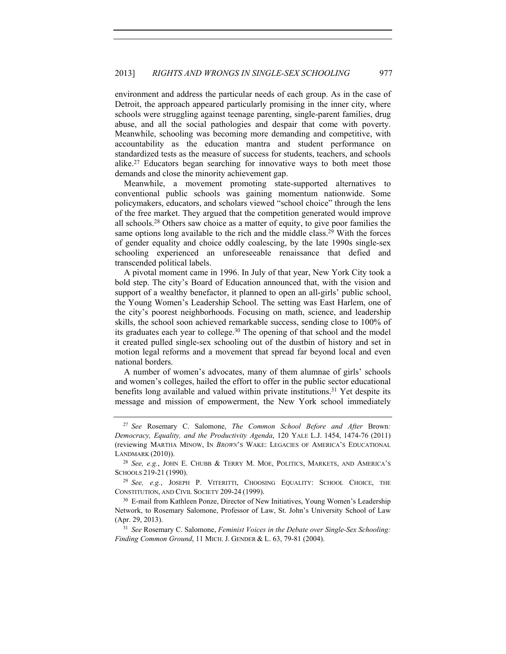environment and address the particular needs of each group. As in the case of Detroit, the approach appeared particularly promising in the inner city, where schools were struggling against teenage parenting, single-parent families, drug abuse, and all the social pathologies and despair that come with poverty. Meanwhile, schooling was becoming more demanding and competitive, with accountability as the education mantra and student performance on standardized tests as the measure of success for students, teachers, and schools alike.27 Educators began searching for innovative ways to both meet those demands and close the minority achievement gap.

Meanwhile, a movement promoting state-supported alternatives to conventional public schools was gaining momentum nationwide. Some policymakers, educators, and scholars viewed "school choice" through the lens of the free market. They argued that the competition generated would improve all schools.28 Others saw choice as a matter of equity, to give poor families the same options long available to the rich and the middle class.29 With the forces of gender equality and choice oddly coalescing, by the late 1990s single-sex schooling experienced an unforeseeable renaissance that defied and transcended political labels.

A pivotal moment came in 1996. In July of that year, New York City took a bold step. The city's Board of Education announced that, with the vision and support of a wealthy benefactor, it planned to open an all-girls' public school, the Young Women's Leadership School. The setting was East Harlem, one of the city's poorest neighborhoods. Focusing on math, science, and leadership skills, the school soon achieved remarkable success, sending close to 100% of its graduates each year to college.30 The opening of that school and the model it created pulled single-sex schooling out of the dustbin of history and set in motion legal reforms and a movement that spread far beyond local and even national borders.

A number of women's advocates, many of them alumnae of girls' schools and women's colleges, hailed the effort to offer in the public sector educational benefits long available and valued within private institutions.<sup>31</sup> Yet despite its message and mission of empowerment, the New York school immediately

<sup>27</sup> *See* Rosemary C. Salomone, *The Common School Before and After* Brown*: Democracy, Equality, and the Productivity Agenda*, 120 YALE L.J. 1454, 1474-76 (2011) (reviewing MARTHA MINOW, IN *BROWN*'S WAKE: LEGACIES OF AMERICA'S EDUCATIONAL LANDMARK (2010)).

<sup>28</sup> *See, e.g.*, JOHN E. CHUBB & TERRY M. MOE, POLITICS, MARKETS, AND AMERICA'S SCHOOLS 219-21 (1990).

<sup>29</sup> *See, e.g.*, JOSEPH P. VITERITTI, CHOOSING EQUALITY: SCHOOL CHOICE, THE CONSTITUTION, AND CIVIL SOCIETY 209-24 (1999).

<sup>30</sup> E-mail from Kathleen Ponze, Director of New Initiatives, Young Women's Leadership Network, to Rosemary Salomone, Professor of Law, St. John's University School of Law (Apr. 29, 2013). 31 *See* Rosemary C. Salomone, *Feminist Voices in the Debate over Single-Sex Schooling:* 

*Finding Common Ground*, 11 MICH. J. GENDER & L. 63, 79-81 (2004).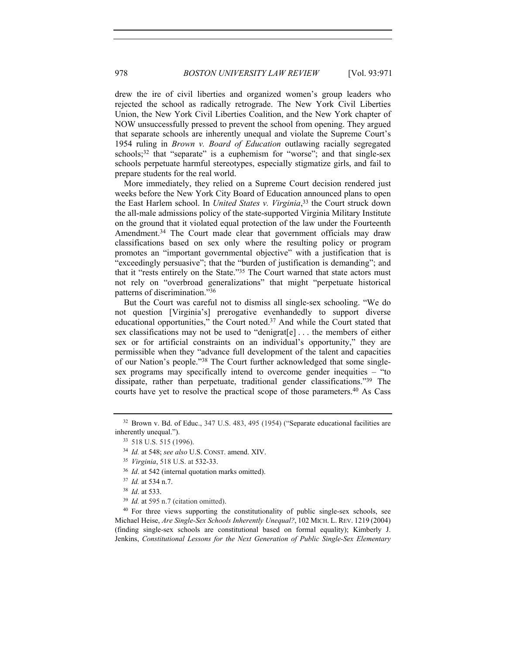drew the ire of civil liberties and organized women's group leaders who rejected the school as radically retrograde. The New York Civil Liberties Union, the New York Civil Liberties Coalition, and the New York chapter of NOW unsuccessfully pressed to prevent the school from opening. They argued that separate schools are inherently unequal and violate the Supreme Court's 1954 ruling in *Brown v. Board of Education* outlawing racially segregated schools;<sup>32</sup> that "separate" is a euphemism for "worse"; and that single-sex schools perpetuate harmful stereotypes, especially stigmatize girls, and fail to prepare students for the real world.

More immediately, they relied on a Supreme Court decision rendered just weeks before the New York City Board of Education announced plans to open the East Harlem school. In *United States v. Virginia*, 33 the Court struck down the all-male admissions policy of the state-supported Virginia Military Institute on the ground that it violated equal protection of the law under the Fourteenth Amendment.<sup>34</sup> The Court made clear that government officials may draw classifications based on sex only where the resulting policy or program promotes an "important governmental objective" with a justification that is "exceedingly persuasive"; that the "burden of justification is demanding"; and that it "rests entirely on the State."35 The Court warned that state actors must not rely on "overbroad generalizations" that might "perpetuate historical patterns of discrimination."36

But the Court was careful not to dismiss all single-sex schooling. "We do not question [Virginia's] prerogative evenhandedly to support diverse educational opportunities," the Court noted.37 And while the Court stated that sex classifications may not be used to "denigrat[e] . . . the members of either sex or for artificial constraints on an individual's opportunity," they are permissible when they "advance full development of the talent and capacities of our Nation's people."38 The Court further acknowledged that some singlesex programs may specifically intend to overcome gender inequities – "to dissipate, rather than perpetuate, traditional gender classifications."39 The courts have yet to resolve the practical scope of those parameters.<sup>40</sup> As Cass

<sup>32</sup> Brown v. Bd. of Educ., 347 U.S. 483, 495 (1954) ("Separate educational facilities are inherently unequal.").

<sup>33</sup> 518 U.S. 515 (1996).

<sup>34</sup> *Id.* at 548; *see also* U.S. CONST. amend. XIV.

<sup>35</sup> *Virginia*, 518 U.S. at 532-33.

<sup>36</sup> *Id*. at 542 (internal quotation marks omitted).

<sup>37</sup> *Id.* at 534 n.7.

<sup>38</sup> *Id*. at 533.

<sup>39</sup> *Id.* at 595 n.7 (citation omitted).

<sup>&</sup>lt;sup>40</sup> For three views supporting the constitutionality of public single-sex schools, see Michael Heise, *Are Single-Sex Schools Inherently Unequal?*, 102 MICH. L. REV. 1219 (2004) (finding single-sex schools are constitutional based on formal equality); Kimberly J. Jenkins, *Constitutional Lessons for the Next Generation of Public Single-Sex Elementary*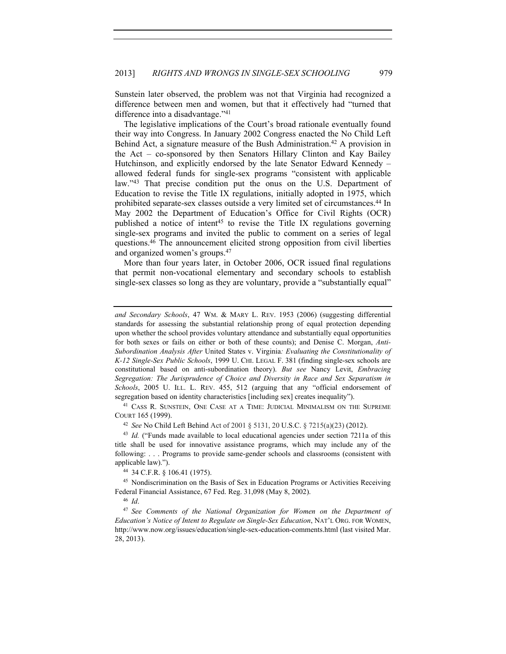Sunstein later observed, the problem was not that Virginia had recognized a difference between men and women, but that it effectively had "turned that difference into a disadvantage."41

The legislative implications of the Court's broad rationale eventually found their way into Congress. In January 2002 Congress enacted the No Child Left Behind Act, a signature measure of the Bush Administration.<sup>42</sup> A provision in the Act – co-sponsored by then Senators Hillary Clinton and Kay Bailey Hutchinson, and explicitly endorsed by the late Senator Edward Kennedy – allowed federal funds for single-sex programs "consistent with applicable law."43 That precise condition put the onus on the U.S. Department of Education to revise the Title IX regulations, initially adopted in 1975, which prohibited separate-sex classes outside a very limited set of circumstances.44 In May 2002 the Department of Education's Office for Civil Rights (OCR) published a notice of intent45 to revise the Title IX regulations governing single-sex programs and invited the public to comment on a series of legal questions.46 The announcement elicited strong opposition from civil liberties and organized women's groups.47

More than four years later, in October 2006, OCR issued final regulations that permit non-vocational elementary and secondary schools to establish single-sex classes so long as they are voluntary, provide a "substantially equal"

<sup>41</sup> CASS R. SUNSTEIN, ONE CASE AT A TIME: JUDICIAL MINIMALISM ON THE SUPREME COURT 165 (1999).

<sup>42</sup> *See* No Child Left Behind Act of 2001 § 5131, 20 U.S.C. § 7215(a)(23) (2012).

<sup>43</sup> *Id.* ("Funds made available to local educational agencies under section 7211a of this title shall be used for innovative assistance programs, which may include any of the following: . . . Programs to provide same-gender schools and classrooms (consistent with applicable law)."). 44 34 C.F.R. § 106.41 (1975).

<sup>45</sup> Nondiscrimination on the Basis of Sex in Education Programs or Activities Receiving Federal Financial Assistance, 67 Fed. Reg. 31,098 (May 8, 2002). 46 *Id*.

<sup>47</sup> *See Comments of the National Organization for Women on the Department of Education's Notice of Intent to Regulate on Single-Sex Education*, NAT'L ORG. FOR WOMEN, http://www.now.org/issues/education/single-sex-education-comments.html (last visited Mar. 28, 2013).

*and Secondary Schools*, 47 WM. & MARY L. REV. 1953 (2006) (suggesting differential standards for assessing the substantial relationship prong of equal protection depending upon whether the school provides voluntary attendance and substantially equal opportunities for both sexes or fails on either or both of these counts); and Denise C. Morgan, *Anti-Subordination Analysis After* United States v. Virginia*: Evaluating the Constitutionality of K-12 Single-Sex Public Schools*, 1999 U. CHI. LEGAL F. 381 (finding single-sex schools are constitutional based on anti-subordination theory). *But see* Nancy Levit, *Embracing Segregation: The Jurisprudence of Choice and Diversity in Race and Sex Separatism in Schools*, 2005 U. ILL. L. REV. 455, 512 (arguing that any "official endorsement of segregation based on identity characteristics [including sex] creates inequality").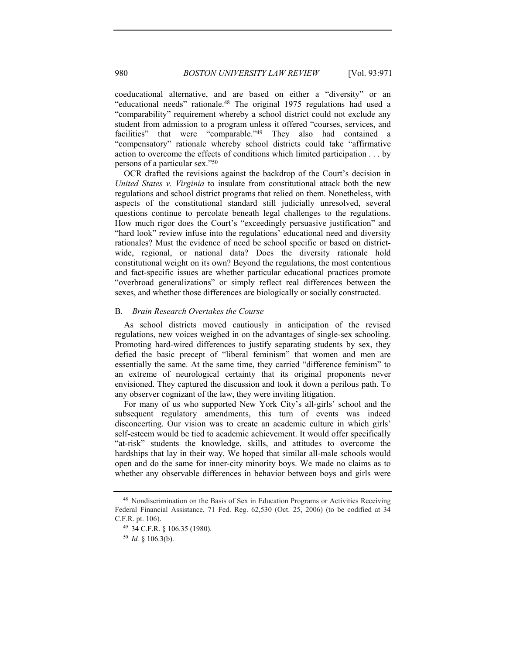coeducational alternative, and are based on either a "diversity" or an "educational needs" rationale.48 The original 1975 regulations had used a "comparability" requirement whereby a school district could not exclude any student from admission to a program unless it offered "courses, services, and facilities" that were "comparable."<sup>49</sup> They also had contained a "compensatory" rationale whereby school districts could take "affirmative action to overcome the effects of conditions which limited participation . . . by persons of a particular sex."50

OCR drafted the revisions against the backdrop of the Court's decision in *United States v. Virginia* to insulate from constitutional attack both the new regulations and school district programs that relied on them*.* Nonetheless, with aspects of the constitutional standard still judicially unresolved, several questions continue to percolate beneath legal challenges to the regulations. How much rigor does the Court's "exceedingly persuasive justification" and "hard look" review infuse into the regulations' educational need and diversity rationales? Must the evidence of need be school specific or based on districtwide, regional, or national data? Does the diversity rationale hold constitutional weight on its own? Beyond the regulations, the most contentious and fact-specific issues are whether particular educational practices promote "overbroad generalizations" or simply reflect real differences between the sexes, and whether those differences are biologically or socially constructed.

### B. *Brain Research Overtakes the Course*

As school districts moved cautiously in anticipation of the revised regulations, new voices weighed in on the advantages of single-sex schooling. Promoting hard-wired differences to justify separating students by sex, they defied the basic precept of "liberal feminism" that women and men are essentially the same. At the same time, they carried "difference feminism" to an extreme of neurological certainty that its original proponents never envisioned. They captured the discussion and took it down a perilous path. To any observer cognizant of the law, they were inviting litigation.

For many of us who supported New York City's all-girls' school and the subsequent regulatory amendments, this turn of events was indeed disconcerting. Our vision was to create an academic culture in which girls' self-esteem would be tied to academic achievement. It would offer specifically "at-risk" students the knowledge, skills, and attitudes to overcome the hardships that lay in their way. We hoped that similar all-male schools would open and do the same for inner-city minority boys. We made no claims as to whether any observable differences in behavior between boys and girls were

<sup>48</sup> Nondiscrimination on the Basis of Sex in Education Programs or Activities Receiving Federal Financial Assistance, 71 Fed. Reg. 62,530 (Oct. 25, 2006) (to be codified at 34 C.F.R. pt. 106).

<sup>49</sup> 34 C.F.R. § 106.35 (1980).

<sup>50</sup> *Id.* § 106.3(b).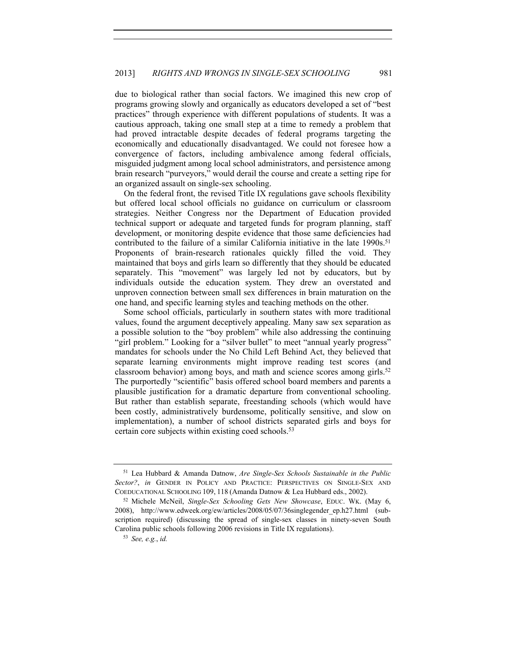due to biological rather than social factors. We imagined this new crop of programs growing slowly and organically as educators developed a set of "best practices" through experience with different populations of students. It was a cautious approach, taking one small step at a time to remedy a problem that had proved intractable despite decades of federal programs targeting the economically and educationally disadvantaged. We could not foresee how a convergence of factors, including ambivalence among federal officials, misguided judgment among local school administrators, and persistence among brain research "purveyors," would derail the course and create a setting ripe for an organized assault on single-sex schooling.

On the federal front, the revised Title IX regulations gave schools flexibility but offered local school officials no guidance on curriculum or classroom strategies. Neither Congress nor the Department of Education provided technical support or adequate and targeted funds for program planning, staff development, or monitoring despite evidence that those same deficiencies had contributed to the failure of a similar California initiative in the late 1990s.<sup>51</sup> Proponents of brain-research rationales quickly filled the void. They maintained that boys and girls learn so differently that they should be educated separately. This "movement" was largely led not by educators, but by individuals outside the education system. They drew an overstated and unproven connection between small sex differences in brain maturation on the one hand, and specific learning styles and teaching methods on the other.

Some school officials, particularly in southern states with more traditional values, found the argument deceptively appealing. Many saw sex separation as a possible solution to the "boy problem" while also addressing the continuing "girl problem." Looking for a "silver bullet" to meet "annual yearly progress" mandates for schools under the No Child Left Behind Act, they believed that separate learning environments might improve reading test scores (and classroom behavior) among boys, and math and science scores among girls.<sup>52</sup> The purportedly "scientific" basis offered school board members and parents a plausible justification for a dramatic departure from conventional schooling. But rather than establish separate, freestanding schools (which would have been costly, administratively burdensome, politically sensitive, and slow on implementation), a number of school districts separated girls and boys for certain core subjects within existing coed schools.53

<sup>51</sup> Lea Hubbard & Amanda Datnow, *Are Single-Sex Schools Sustainable in the Public Sector?*, *in* GENDER IN POLICY AND PRACTICE: PERSPECTIVES ON SINGLE-SEX AND COEDUCATIONAL SCHOOLING 109, 118 (Amanda Datnow & Lea Hubbard eds., 2002).

<sup>52</sup> Michele McNeil, *Single-Sex Schooling Gets New Showcase*, EDUC. WK. (May 6, 2008), http://www.edweek.org/ew/articles/2008/05/07/36singlegender\_ep.h27.html (subscription required) (discussing the spread of single-sex classes in ninety-seven South Carolina public schools following 2006 revisions in Title IX regulations). 53 *See, e.g.*, *id.*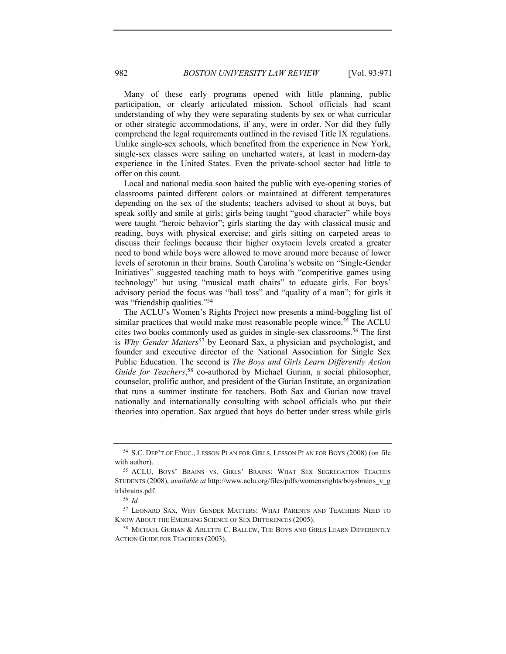Many of these early programs opened with little planning, public participation, or clearly articulated mission. School officials had scant understanding of why they were separating students by sex or what curricular or other strategic accommodations, if any, were in order. Nor did they fully comprehend the legal requirements outlined in the revised Title IX regulations. Unlike single-sex schools, which benefited from the experience in New York, single-sex classes were sailing on uncharted waters, at least in modern-day experience in the United States. Even the private-school sector had little to offer on this count.

Local and national media soon baited the public with eye-opening stories of classrooms painted different colors or maintained at different temperatures depending on the sex of the students; teachers advised to shout at boys, but speak softly and smile at girls; girls being taught "good character" while boys were taught "heroic behavior"; girls starting the day with classical music and reading, boys with physical exercise; and girls sitting on carpeted areas to discuss their feelings because their higher oxytocin levels created a greater need to bond while boys were allowed to move around more because of lower levels of serotonin in their brains. South Carolina's website on "Single-Gender Initiatives" suggested teaching math to boys with "competitive games using technology" but using "musical math chairs" to educate girls. For boys' advisory period the focus was "ball toss" and "quality of a man"; for girls it was "friendship qualities."54

The ACLU's Women's Rights Project now presents a mind-boggling list of similar practices that would make most reasonable people wince.<sup>55</sup> The ACLU cites two books commonly used as guides in single-sex classrooms.56 The first is *Why Gender Matters*57 by Leonard Sax, a physician and psychologist, and founder and executive director of the National Association for Single Sex Public Education. The second is *The Boys and Girls Learn Differently Action Guide for Teachers*, 58 co-authored by Michael Gurian, a social philosopher, counselor, prolific author, and president of the Gurian Institute, an organization that runs a summer institute for teachers. Both Sax and Gurian now travel nationally and internationally consulting with school officials who put their theories into operation. Sax argued that boys do better under stress while girls

<sup>54</sup> S.C. DEP'T OF EDUC., LESSON PLAN FOR GIRLS, LESSON PLAN FOR BOYS (2008) (on file with author).

<sup>55</sup> ACLU, BOYS' BRAINS VS. GIRLS' BRAINS: WHAT SEX SEGREGATION TEACHES STUDENTS (2008), *available at* http://www.aclu.org/files/pdfs/womensrights/boysbrains\_v\_g irlsbrains.pdf.

<sup>56</sup> *Id.*

<sup>57</sup> LEONARD SAX, WHY GENDER MATTERS: WHAT PARENTS AND TEACHERS NEED TO KNOW ABOUT THE EMERGING SCIENCE OF SEX DIFFERENCES (2005).

<sup>58</sup> MICHAEL GURIAN & ARLETTE C. BALLEW, THE BOYS AND GIRLS LEARN DIFFERENTLY ACTION GUIDE FOR TEACHERS (2003).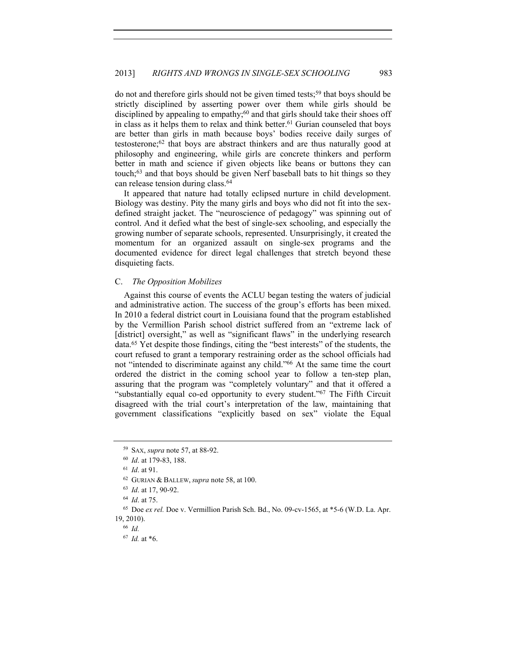do not and therefore girls should not be given timed tests;59 that boys should be strictly disciplined by asserting power over them while girls should be disciplined by appealing to empathy; $60$  and that girls should take their shoes off in class as it helps them to relax and think better.<sup>61</sup> Gurian counseled that boys are better than girls in math because boys' bodies receive daily surges of testosterone;62 that boys are abstract thinkers and are thus naturally good at philosophy and engineering, while girls are concrete thinkers and perform better in math and science if given objects like beans or buttons they can touch;63 and that boys should be given Nerf baseball bats to hit things so they can release tension during class.64

It appeared that nature had totally eclipsed nurture in child development. Biology was destiny. Pity the many girls and boys who did not fit into the sexdefined straight jacket. The "neuroscience of pedagogy" was spinning out of control. And it defied what the best of single-sex schooling, and especially the growing number of separate schools, represented. Unsurprisingly, it created the momentum for an organized assault on single-sex programs and the documented evidence for direct legal challenges that stretch beyond these disquieting facts.

# C. *The Opposition Mobilizes*

Against this course of events the ACLU began testing the waters of judicial and administrative action. The success of the group's efforts has been mixed. In 2010 a federal district court in Louisiana found that the program established by the Vermillion Parish school district suffered from an "extreme lack of [district] oversight," as well as "significant flaws" in the underlying research data.65 Yet despite those findings, citing the "best interests" of the students, the court refused to grant a temporary restraining order as the school officials had not "intended to discriminate against any child."66 At the same time the court ordered the district in the coming school year to follow a ten-step plan, assuring that the program was "completely voluntary" and that it offered a "substantially equal co-ed opportunity to every student."67 The Fifth Circuit disagreed with the trial court's interpretation of the law, maintaining that government classifications "explicitly based on sex" violate the Equal

<sup>67</sup> *Id.* at \*6.

<sup>59</sup> SAX, *supra* note 57, at 88-92. 60 *Id*. at 179-83, 188.

<sup>61</sup> *Id*. at 91.

<sup>62</sup> GURIAN & BALLEW, *supra* note 58, at 100.

<sup>63</sup> *Id*. at 17, 90-92.

<sup>64</sup> *Id*. at 75.

<sup>65</sup> Doe *ex rel.* Doe v. Vermillion Parish Sch. Bd., No. 09-cv-1565, at \*5-6 (W.D. La. Apr. 19, 2010). 66 *Id.*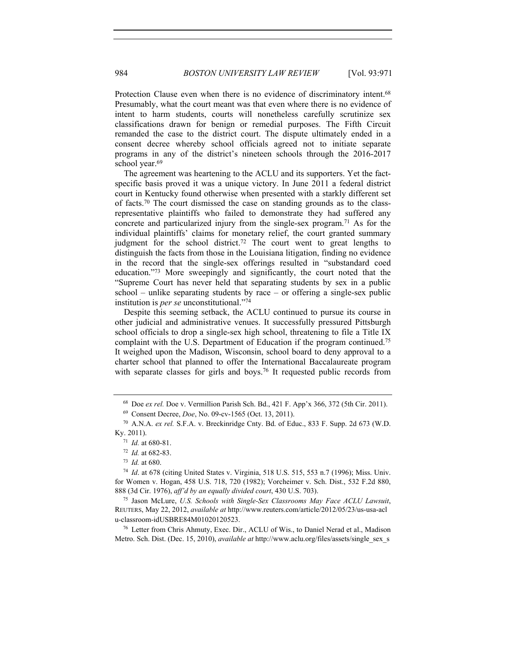Protection Clause even when there is no evidence of discriminatory intent.<sup>68</sup> Presumably, what the court meant was that even where there is no evidence of intent to harm students, courts will nonetheless carefully scrutinize sex classifications drawn for benign or remedial purposes. The Fifth Circuit remanded the case to the district court. The dispute ultimately ended in a consent decree whereby school officials agreed not to initiate separate programs in any of the district's nineteen schools through the 2016-2017 school year.<sup>69</sup>

The agreement was heartening to the ACLU and its supporters. Yet the factspecific basis proved it was a unique victory. In June 2011 a federal district court in Kentucky found otherwise when presented with a starkly different set of facts.70 The court dismissed the case on standing grounds as to the classrepresentative plaintiffs who failed to demonstrate they had suffered any concrete and particularized injury from the single-sex program.<sup>71</sup> As for the individual plaintiffs' claims for monetary relief, the court granted summary judgment for the school district.<sup>72</sup> The court went to great lengths to distinguish the facts from those in the Louisiana litigation, finding no evidence in the record that the single-sex offerings resulted in "substandard coed education."73 More sweepingly and significantly, the court noted that the "Supreme Court has never held that separating students by sex in a public school – unlike separating students by race – or offering a single-sex public institution is *per se* unconstitutional."74

Despite this seeming setback, the ACLU continued to pursue its course in other judicial and administrative venues. It successfully pressured Pittsburgh school officials to drop a single-sex high school, threatening to file a Title IX complaint with the U.S. Department of Education if the program continued.<sup>75</sup> It weighed upon the Madison, Wisconsin, school board to deny approval to a charter school that planned to offer the International Baccalaureate program with separate classes for girls and boys.<sup>76</sup> It requested public records from

<sup>68</sup> Doe *ex rel.* Doe v. Vermillion Parish Sch. Bd., 421 F. App'x 366, 372 (5th Cir. 2011).

<sup>69</sup> Consent Decree, *Doe*, No. 09-cv-1565 (Oct. 13, 2011).

<sup>70</sup> A.N.A. *ex rel.* S.F.A. v. Breckinridge Cnty. Bd. of Educ., 833 F. Supp. 2d 673 (W.D. Ky. 2011).<br><sup>71</sup> *Id.* at 680-81.<br><sup>72</sup> *Id.* at 682-83.

<sup>73</sup> *Id.* at 680. 74 *Id*. at 678 (citing United States v. Virginia, 518 U.S. 515, 553 n.7 (1996); Miss. Univ. for Women v. Hogan, 458 U.S. 718, 720 (1982); Vorcheimer v. Sch. Dist., 532 F.2d 880, 888 (3d Cir. 1976), *aff'd by an equally divided court*, 430 U.S. 703).

<sup>75</sup> Jason McLure, *U.S. Schools with Single-Sex Classrooms May Face ACLU Lawsuit*, REUTERS, May 22, 2012, *available at* http://www.reuters.com/article/2012/05/23/us-usa-acl u-classroom-idUSBRE84M01020120523.

<sup>76</sup> Letter from Chris Ahmuty, Exec. Dir., ACLU of Wis., to Daniel Nerad et al., Madison Metro. Sch. Dist. (Dec. 15, 2010), *available at* http://www.aclu.org/files/assets/single\_sex\_s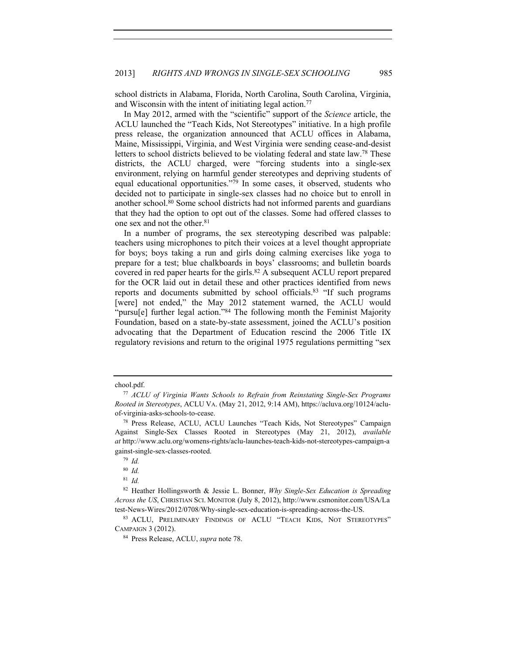school districts in Alabama, Florida, North Carolina, South Carolina, Virginia, and Wisconsin with the intent of initiating legal action.77

In May 2012, armed with the "scientific" support of the *Science* article, the ACLU launched the "Teach Kids, Not Stereotypes" initiative. In a high profile press release, the organization announced that ACLU offices in Alabama, Maine, Mississippi, Virginia, and West Virginia were sending cease-and-desist letters to school districts believed to be violating federal and state law.78 These districts, the ACLU charged, were "forcing students into a single-sex environment, relying on harmful gender stereotypes and depriving students of equal educational opportunities."79 In some cases, it observed, students who decided not to participate in single-sex classes had no choice but to enroll in another school.80 Some school districts had not informed parents and guardians that they had the option to opt out of the classes. Some had offered classes to one sex and not the other.81

In a number of programs, the sex stereotyping described was palpable: teachers using microphones to pitch their voices at a level thought appropriate for boys; boys taking a run and girls doing calming exercises like yoga to prepare for a test; blue chalkboards in boys' classrooms; and bulletin boards covered in red paper hearts for the girls.<sup>82</sup> A subsequent ACLU report prepared for the OCR laid out in detail these and other practices identified from news reports and documents submitted by school officials.<sup>83</sup> "If such programs [were] not ended," the May 2012 statement warned, the ACLU would "pursu[e] further legal action."<sup>84</sup> The following month the Feminist Majority Foundation, based on a state-by-state assessment, joined the ACLU's position advocating that the Department of Education rescind the 2006 Title IX regulatory revisions and return to the original 1975 regulations permitting "sex

chool.pdf.

<sup>77</sup> *ACLU of Virginia Wants Schools to Refrain from Reinstating Single-Sex Programs Rooted in Stereotypes*, ACLU VA. (May 21, 2012, 9:14 AM), https://acluva.org/10124/acluof-virginia-asks-schools-to-cease. 78 Press Release, ACLU, ACLU Launches "Teach Kids, Not Stereotypes" Campaign

Against Single-Sex Classes Rooted in Stereotypes (May 21, 2012), *available at* http://www.aclu.org/womens-rights/aclu-launches-teach-kids-not-stereotypes-campaign-a gainst-single-sex-classes-rooted.

<sup>79</sup> *Id.*

<sup>80</sup> *Id.*

<sup>81</sup> *Id.*

<sup>82</sup> Heather Hollingsworth & Jessie L. Bonner, *Why Single-Sex Education is Spreading Across the US*, CHRISTIAN SCI. MONITOR (July 8, 2012), http://www.csmonitor.com/USA/La test-News-Wires/2012/0708/Why-single-sex-education-is-spreading-across-the-US.

<sup>83</sup> ACLU, PRELIMINARY FINDINGS OF ACLU "TEACH KIDS, NOT STEREOTYPES" CAMPAIGN 3 (2012).

<sup>84</sup> Press Release, ACLU, *supra* note 78.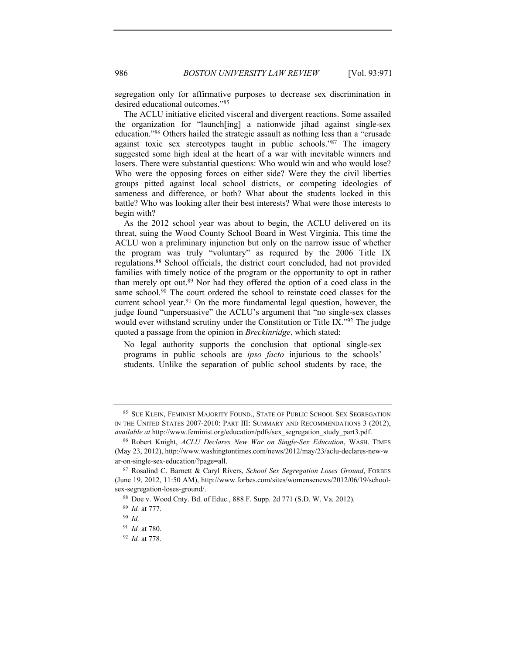segregation only for affirmative purposes to decrease sex discrimination in desired educational outcomes."85

The ACLU initiative elicited visceral and divergent reactions. Some assailed the organization for "launch[ing] a nationwide jihad against single-sex education."86 Others hailed the strategic assault as nothing less than a "crusade against toxic sex stereotypes taught in public schools."87 The imagery suggested some high ideal at the heart of a war with inevitable winners and losers. There were substantial questions: Who would win and who would lose? Who were the opposing forces on either side? Were they the civil liberties groups pitted against local school districts, or competing ideologies of sameness and difference, or both? What about the students locked in this battle? Who was looking after their best interests? What were those interests to begin with?

As the 2012 school year was about to begin, the ACLU delivered on its threat, suing the Wood County School Board in West Virginia. This time the ACLU won a preliminary injunction but only on the narrow issue of whether the program was truly "voluntary" as required by the 2006 Title IX regulations.88 School officials, the district court concluded, had not provided families with timely notice of the program or the opportunity to opt in rather than merely opt out.89 Nor had they offered the option of a coed class in the same school.<sup>90</sup> The court ordered the school to reinstate coed classes for the current school year.<sup>91</sup> On the more fundamental legal question, however, the judge found "unpersuasive" the ACLU's argument that "no single-sex classes would ever withstand scrutiny under the Constitution or Title IX."92 The judge quoted a passage from the opinion in *Breckinridge*, which stated:

No legal authority supports the conclusion that optional single-sex programs in public schools are *ipso facto* injurious to the schools' students. Unlike the separation of public school students by race, the

<sup>85</sup> SUE KLEIN, FEMINIST MAJORITY FOUND., STATE OF PUBLIC SCHOOL SEX SEGREGATION IN THE UNITED STATES 2007-2010: PART III: SUMMARY AND RECOMMENDATIONS 3 (2012), *available at* http://www.feminist.org/education/pdfs/sex\_segregation\_study\_part3.pdf.

<sup>86</sup> Robert Knight, *ACLU Declares New War on Single-Sex Education*, WASH. TIMES (May 23, 2012), http://www.washingtontimes.com/news/2012/may/23/aclu-declares-new-w ar-on-single-sex-education/?page=all.

<sup>87</sup> Rosalind C. Barnett & Caryl Rivers, *School Sex Segregation Loses Ground*, FORBES (June 19, 2012, 11:50 AM), http://www.forbes.com/sites/womensenews/2012/06/19/schoolsex-segregation-loses-ground/.<br><sup>88</sup> Doe v. Wood Cnty. Bd. of Educ., 888 F. Supp. 2d 771 (S.D. W. Va. 2012).

<sup>89</sup> *Id.* at 777.

<sup>90</sup> *Id.*

<sup>91</sup> *Id.* at 780.

<sup>92</sup> *Id.* at 778.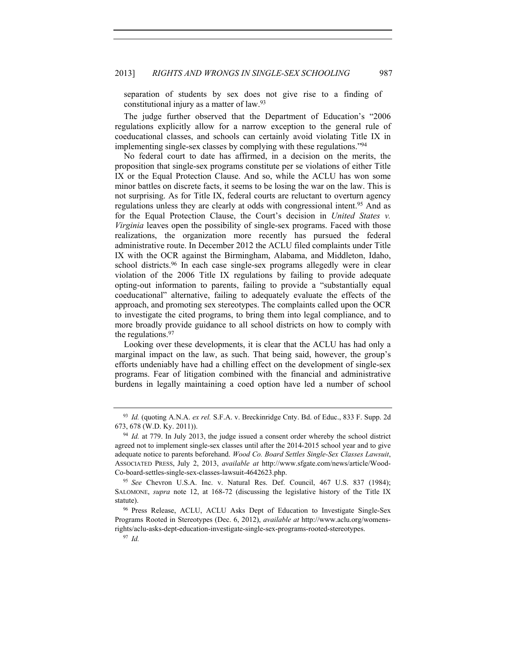separation of students by sex does not give rise to a finding of constitutional injury as a matter of law.93

The judge further observed that the Department of Education's "2006 regulations explicitly allow for a narrow exception to the general rule of coeducational classes, and schools can certainly avoid violating Title IX in implementing single-sex classes by complying with these regulations."94

No federal court to date has affirmed, in a decision on the merits, the proposition that single-sex programs constitute per se violations of either Title IX or the Equal Protection Clause. And so, while the ACLU has won some minor battles on discrete facts, it seems to be losing the war on the law. This is not surprising. As for Title IX, federal courts are reluctant to overturn agency regulations unless they are clearly at odds with congressional intent.95 And as for the Equal Protection Clause, the Court's decision in *United States v. Virginia* leaves open the possibility of single-sex programs. Faced with those realizations, the organization more recently has pursued the federal administrative route. In December 2012 the ACLU filed complaints under Title IX with the OCR against the Birmingham, Alabama, and Middleton, Idaho, school districts.<sup>96</sup> In each case single-sex programs allegedly were in clear violation of the 2006 Title IX regulations by failing to provide adequate opting-out information to parents, failing to provide a "substantially equal coeducational" alternative, failing to adequately evaluate the effects of the approach, and promoting sex stereotypes. The complaints called upon the OCR to investigate the cited programs, to bring them into legal compliance, and to more broadly provide guidance to all school districts on how to comply with the regulations.<sup>97</sup>

Looking over these developments, it is clear that the ACLU has had only a marginal impact on the law, as such. That being said, however, the group's efforts undeniably have had a chilling effect on the development of single-sex programs. Fear of litigation combined with the financial and administrative burdens in legally maintaining a coed option have led a number of school

<sup>93</sup> *Id.* (quoting A.N.A. *ex rel.* S.F.A. v. Breckinridge Cnty. Bd. of Educ., 833 F. Supp. 2d 673, 678 (W.D. Ky. 2011)).

<sup>&</sup>lt;sup>94</sup> *Id.* at 779. In July 2013, the judge issued a consent order whereby the school district agreed not to implement single-sex classes until after the 2014-2015 school year and to give adequate notice to parents beforehand. *Wood Co. Board Settles Single-Sex Classes Lawsuit*, ASSOCIATED PRESS, July 2, 2013, *available at* http://www.sfgate.com/news/article/Wood-Co-board-settles-single-sex-classes-lawsuit-4642623.php. 95 *See* Chevron U.S.A. Inc. v. Natural Res. Def. Council, 467 U.S. 837 (1984);

SALOMONE, *supra* note 12, at 168-72 (discussing the legislative history of the Title IX statute).

<sup>96</sup> Press Release, ACLU, ACLU Asks Dept of Education to Investigate Single-Sex Programs Rooted in Stereotypes (Dec. 6, 2012), *available at* http://www.aclu.org/womensrights/aclu-asks-dept-education-investigate-single-sex-programs-rooted-stereotypes. 97 *Id.*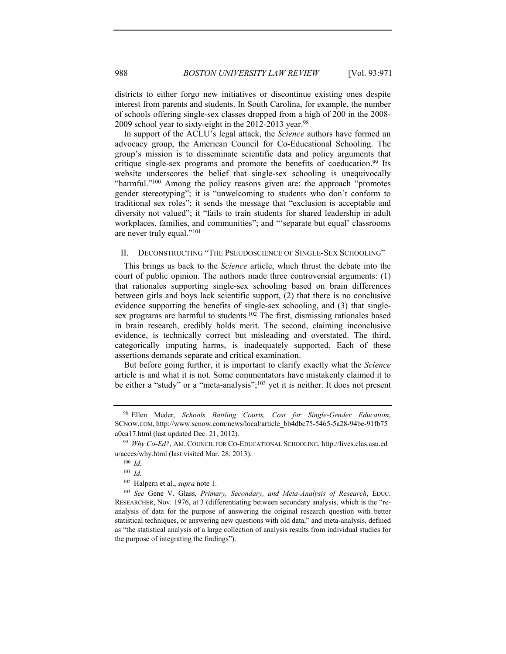districts to either forgo new initiatives or discontinue existing ones despite interest from parents and students. In South Carolina, for example, the number of schools offering single-sex classes dropped from a high of 200 in the 2008- 2009 school year to sixty-eight in the 2012-2013 year.<sup>98</sup>

In support of the ACLU's legal attack, the *Science* authors have formed an advocacy group, the American Council for Co-Educational Schooling. The group's mission is to disseminate scientific data and policy arguments that critique single-sex programs and promote the benefits of coeducation.<sup>99</sup> Its website underscores the belief that single-sex schooling is unequivocally "harmful."100 Among the policy reasons given are: the approach "promotes gender stereotyping"; it is "unwelcoming to students who don't conform to traditional sex roles"; it sends the message that "exclusion is acceptable and diversity not valued"; it "fails to train students for shared leadership in adult workplaces, families, and communities"; and "'separate but equal' classrooms are never truly equal."101

### II. DECONSTRUCTING "THE PSEUDOSCIENCE OF SINGLE-SEX SCHOOLING"

This brings us back to the *Science* article, which thrust the debate into the court of public opinion. The authors made three controversial arguments: (1) that rationales supporting single-sex schooling based on brain differences between girls and boys lack scientific support, (2) that there is no conclusive evidence supporting the benefits of single-sex schooling, and (3) that singlesex programs are harmful to students.102 The first, dismissing rationales based in brain research, credibly holds merit. The second, claiming inconclusive evidence, is technically correct but misleading and overstated. The third, categorically imputing harms, is inadequately supported. Each of these assertions demands separate and critical examination.

But before going further, it is important to clarify exactly what the *Science* article is and what it is not. Some commentators have mistakenly claimed it to be either a "study" or a "meta-analysis";<sup>103</sup> yet it is neither. It does not present

<sup>98</sup> Ellen Meder, *Schools Battling Courts, Cost for Single-Gender Education*, SCNOW.COM, http://www.scnow.com/news/local/article\_bb4dbc75-5465-5a28-94be-91fb75 a0ca17.html (last updated Dec. 21, 2012). 99 *Why Co-Ed?*, AM. COUNCIL FOR CO-EDUCATIONAL SCHOOLING, http://lives.clas.asu.ed

u/acces/why.html (last visited Mar. 28, 2013).

<sup>100</sup> *Id.*

<sup>101</sup> *Id.*

<sup>102</sup> Halpern et al., *supra* note 1.

<sup>103</sup> *See* Gene V. Glass, *Primary, Secondary, and Meta-Analysis of Research*, EDUC. RESEARCHER, Nov. 1976, at 3 (differentiating between secondary analysis, which is the "reanalysis of data for the purpose of answering the original research question with better statistical techniques, or answering new questions with old data," and meta-analysis, defined as "the statistical analysis of a large collection of analysis results from individual studies for the purpose of integrating the findings").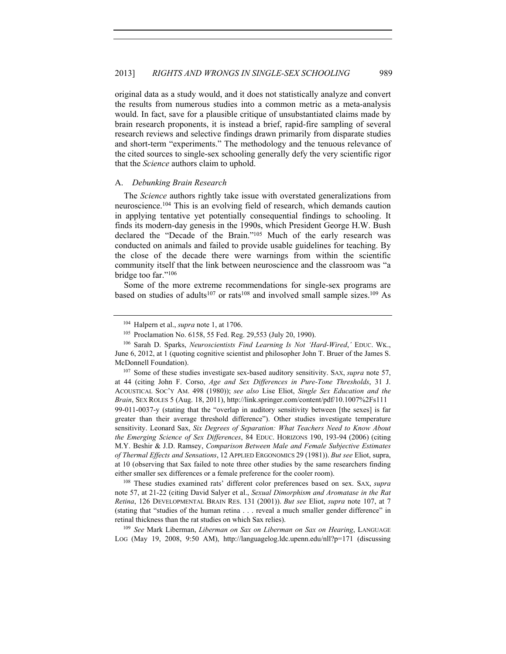original data as a study would, and it does not statistically analyze and convert the results from numerous studies into a common metric as a meta-analysis would. In fact, save for a plausible critique of unsubstantiated claims made by brain research proponents, it is instead a brief, rapid-fire sampling of several research reviews and selective findings drawn primarily from disparate studies and short-term "experiments." The methodology and the tenuous relevance of the cited sources to single-sex schooling generally defy the very scientific rigor that the *Science* authors claim to uphold.

### A. *Debunking Brain Research*

The *Science* authors rightly take issue with overstated generalizations from neuroscience.104 This is an evolving field of research, which demands caution in applying tentative yet potentially consequential findings to schooling. It finds its modern-day genesis in the 1990s, which President George H.W. Bush declared the "Decade of the Brain."105 Much of the early research was conducted on animals and failed to provide usable guidelines for teaching. By the close of the decade there were warnings from within the scientific community itself that the link between neuroscience and the classroom was "a bridge too far."106

Some of the more extreme recommendations for single-sex programs are based on studies of adults<sup>107</sup> or rats<sup>108</sup> and involved small sample sizes.<sup>109</sup> As

<sup>107</sup> Some of these studies investigate sex-based auditory sensitivity. SAX, *supra* note 57, at 44 (citing John F. Corso, *Age and Sex Differences in Pure-Tone Thresholds*, 31 J. ACOUSTICAL SOC'Y AM. 498 (1980)); *see also* Lise Eliot, *Single Sex Education and the Brain*, SEX ROLES 5 (Aug. 18, 2011), http://link.springer.com/content/pdf/10.1007%2Fs111 99-011-0037-y (stating that the "overlap in auditory sensitivity between [the sexes] is far greater than their average threshold difference"). Other studies investigate temperature sensitivity. Leonard Sax, *Six Degrees of Separation: What Teachers Need to Know About the Emerging Science of Sex Differences*, 84 EDUC. HORIZONS 190, 193-94 (2006) (citing M.Y. Beshir & J.D. Ramsey, *Comparison Between Male and Female Subjective Estimates of Thermal Effects and Sensations*, 12 APPLIED ERGONOMICS 29 (1981)). *But see* Eliot, supra, at 10 (observing that Sax failed to note three other studies by the same researchers finding either smaller sex differences or a female preference for the cooler room).

<sup>108</sup> These studies examined rats' different color preferences based on sex. SAX, *supra* note 57, at 21-22 (citing David Salyer et al., *Sexual Dimorphism and Aromatase in the Rat Retina*, 126 DEVELOPMENTAL BRAIN RES. 131 (2001)). *But see* Eliot, *supra* note 107, at 7 (stating that "studies of the human retina . . . reveal a much smaller gender difference" in retinal thickness than the rat studies on which Sax relies). 109 *See* Mark Liberman, *Liberman on Sax on Liberman on Sax on Hearing*, LANGUAGE

LOG (May 19, 2008, 9:50 AM), http://languagelog.ldc.upenn.edu/nll?p=171 (discussing

<sup>104</sup> Halpern et al., *supra* note 1, at 1706.

<sup>105</sup> Proclamation No. 6158, 55 Fed. Reg. 29,553 (July 20, 1990).

<sup>106</sup> Sarah D. Sparks, *Neuroscientists Find Learning Is Not 'Hard-Wired*,*'* EDUC. WK., June 6, 2012, at 1 (quoting cognitive scientist and philosopher John T. Bruer of the James S. McDonnell Foundation).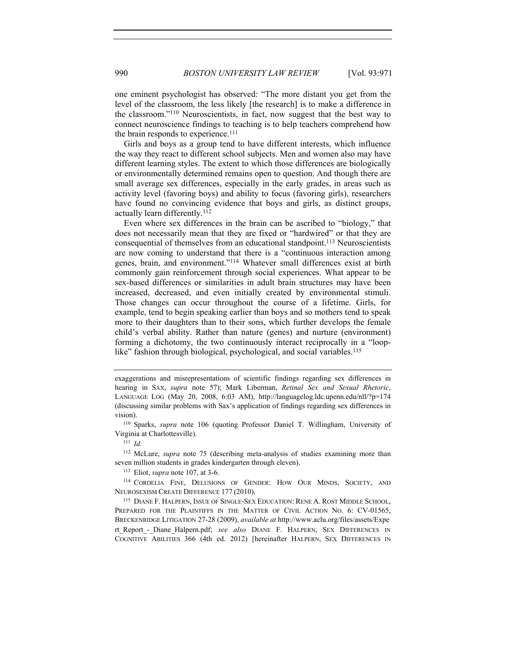one eminent psychologist has observed: "The more distant you get from the level of the classroom, the less likely [the research] is to make a difference in the classroom."110 Neuroscientists, in fact, now suggest that the best way to connect neuroscience findings to teaching is to help teachers comprehend how the brain responds to experience.<sup>111</sup>

Girls and boys as a group tend to have different interests, which influence the way they react to different school subjects. Men and women also may have different learning styles. The extent to which those differences are biologically or environmentally determined remains open to question. And though there are small average sex differences, especially in the early grades, in areas such as activity level (favoring boys) and ability to focus (favoring girls), researchers have found no convincing evidence that boys and girls, as distinct groups, actually learn differently.112

Even where sex differences in the brain can be ascribed to "biology," that does not necessarily mean that they are fixed or "hardwired" or that they are consequential of themselves from an educational standpoint.113 Neuroscientists are now coming to understand that there is a "continuous interaction among genes, brain, and environment."114 Whatever small differences exist at birth commonly gain reinforcement through social experiences. What appear to be sex-based differences or similarities in adult brain structures may have been increased, decreased, and even initially created by environmental stimuli. Those changes can occur throughout the course of a lifetime. Girls, for example, tend to begin speaking earlier than boys and so mothers tend to speak more to their daughters than to their sons, which further develops the female child's verbal ability. Rather than nature (genes) and nurture (environment) forming a dichotomy, the two continuously interact reciprocally in a "looplike" fashion through biological, psychological, and social variables.<sup>115</sup>

Virginia at Charlottesville).

<sup>111</sup> *Id.*

<sup>112</sup> McLure, *supra* note 75 (describing meta-analysis of studies examining more than seven million students in grades kindergarten through eleven). 113 Eliot, *supra* note 107, at 3-6.

<sup>114</sup> CORDELIA FINE, DELUSIONS OF GENDER: HOW OUR MINDS, SOCIETY, AND NEUROSEXISM CREATE DIFFERENCE 177 (2010).

<sup>115</sup> DIANE F. HALPERN, ISSUE OF SINGLE-SEX EDUCATION: RENE A. ROST MIDDLE SCHOOL, PREPARED FOR THE PLAINTIFFS IN THE MATTER OF CIVIL ACTION NO. 6: CV-01565, BRECKENRIDGE LITIGATION 27-28 (2009), *available at* http://www.aclu.org/files/assets/Expe rt Report - Diane Halpern.pdf; see also DIANE F. HALPERN, SEX DIFFERENCES IN COGNITIVE ABILITIES 366 (4th ed. 2012) [hereinafter HALPERN, SEX DIFFERENCES IN

exaggerations and misrepresentations of scientific findings regarding sex differences in hearing in SAX, *supra* note 57); Mark Liberman, *Retinal Sex and Sexual Rhetoric*, LANGUAGE LOG (May 20, 2008, 6:03 AM), http://languagelog.ldc.upenn.edu/nll/?p=174 (discussing similar problems with Sax's application of findings regarding sex differences in vision). 110 Sparks, *supra* note 106 (quoting Professor Daniel T. Willingham, University of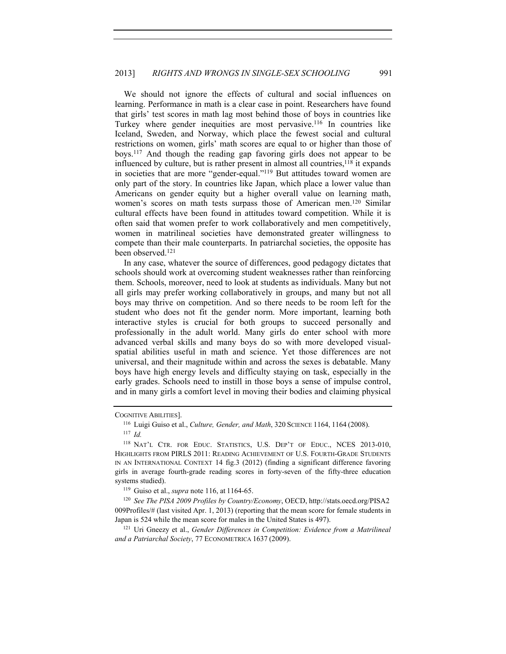We should not ignore the effects of cultural and social influences on learning. Performance in math is a clear case in point. Researchers have found that girls' test scores in math lag most behind those of boys in countries like Turkey where gender inequities are most pervasive.116 In countries like Iceland, Sweden, and Norway, which place the fewest social and cultural restrictions on women, girls' math scores are equal to or higher than those of boys.117 And though the reading gap favoring girls does not appear to be influenced by culture, but is rather present in almost all countries, $118$  it expands in societies that are more "gender-equal."119 But attitudes toward women are only part of the story. In countries like Japan, which place a lower value than Americans on gender equity but a higher overall value on learning math, women's scores on math tests surpass those of American men.120 Similar cultural effects have been found in attitudes toward competition. While it is often said that women prefer to work collaboratively and men competitively, women in matrilineal societies have demonstrated greater willingness to compete than their male counterparts. In patriarchal societies, the opposite has been observed.121

In any case, whatever the source of differences, good pedagogy dictates that schools should work at overcoming student weaknesses rather than reinforcing them. Schools, moreover, need to look at students as individuals. Many but not all girls may prefer working collaboratively in groups, and many but not all boys may thrive on competition. And so there needs to be room left for the student who does not fit the gender norm. More important, learning both interactive styles is crucial for both groups to succeed personally and professionally in the adult world. Many girls do enter school with more advanced verbal skills and many boys do so with more developed visualspatial abilities useful in math and science. Yet those differences are not universal, and their magnitude within and across the sexes is debatable. Many boys have high energy levels and difficulty staying on task, especially in the early grades. Schools need to instill in those boys a sense of impulse control, and in many girls a comfort level in moving their bodies and claiming physical

COGNITIVE ABILITIES].

<sup>116</sup> Luigi Guiso et al., *Culture, Gender, and Math*, 320 SCIENCE 1164, 1164 (2008).

<sup>117</sup> *Id.*

<sup>118</sup> NAT'L CTR. FOR EDUC. STATISTICS, U.S. DEP'T OF EDUC., NCES 2013-010, HIGHLIGHTS FROM PIRLS 2011: READING ACHIEVEMENT OF U.S. FOURTH-GRADE STUDENTS IN AN INTERNATIONAL CONTEXT 14 fig.3 (2012) (finding a significant difference favoring girls in average fourth-grade reading scores in forty-seven of the fifty-three education systems studied).

<sup>119</sup> Guiso et al., *supra* note 116, at 1164-65.

<sup>120</sup> *See The PISA 2009 Profiles by Country/Economy*, OECD, http://stats.oecd.org/PISA2 009Profiles/# (last visited Apr. 1, 2013) (reporting that the mean score for female students in Japan is 524 while the mean score for males in the United States is 497).

<sup>&</sup>lt;sup>121</sup> Uri Gneezy et al., *Gender Differences in Competition: Evidence from a Matrilineal and a Patriarchal Society*, 77 ECONOMETRICA 1637 (2009).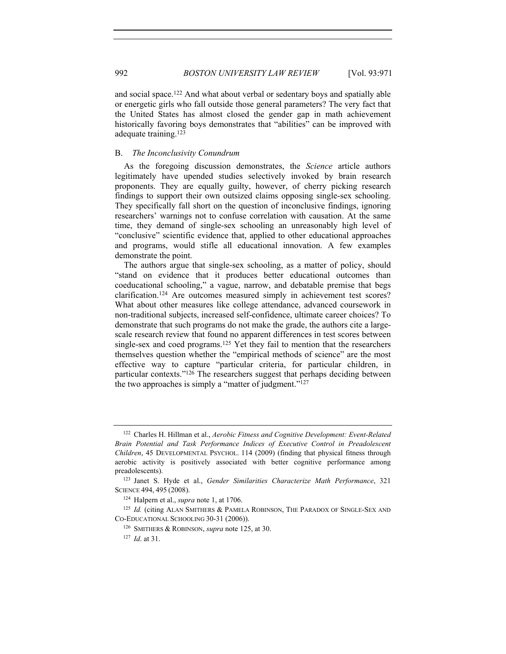and social space.122 And what about verbal or sedentary boys and spatially able or energetic girls who fall outside those general parameters? The very fact that the United States has almost closed the gender gap in math achievement historically favoring boys demonstrates that "abilities" can be improved with adequate training.123

# B. *The Inconclusivity Conundrum*

As the foregoing discussion demonstrates, the *Science* article authors legitimately have upended studies selectively invoked by brain research proponents. They are equally guilty, however, of cherry picking research findings to support their own outsized claims opposing single-sex schooling. They specifically fall short on the question of inconclusive findings, ignoring researchers' warnings not to confuse correlation with causation. At the same time, they demand of single-sex schooling an unreasonably high level of "conclusive" scientific evidence that, applied to other educational approaches and programs, would stifle all educational innovation. A few examples demonstrate the point.

The authors argue that single-sex schooling, as a matter of policy, should "stand on evidence that it produces better educational outcomes than coeducational schooling," a vague, narrow, and debatable premise that begs clarification.124 Are outcomes measured simply in achievement test scores? What about other measures like college attendance, advanced coursework in non-traditional subjects, increased self-confidence, ultimate career choices? To demonstrate that such programs do not make the grade, the authors cite a largescale research review that found no apparent differences in test scores between single-sex and coed programs.<sup>125</sup> Yet they fail to mention that the researchers themselves question whether the "empirical methods of science" are the most effective way to capture "particular criteria, for particular children, in particular contexts."126 The researchers suggest that perhaps deciding between the two approaches is simply a "matter of judgment."127

<sup>122</sup> Charles H. Hillman et al., *Aerobic Fitness and Cognitive Development: Event-Related Brain Potential and Task Performance Indices of Executive Control in Preadolescent Children*, 45 DEVELOPMENTAL PSYCHOL. 114 (2009) (finding that physical fitness through aerobic activity is positively associated with better cognitive performance among preadolescents).

<sup>123</sup> Janet S. Hyde et al., *Gender Similarities Characterize Math Performance*, 321 SCIENCE 494, 495 (2008).

<sup>124</sup> Halpern et al., *supra* note 1, at 1706.

<sup>&</sup>lt;sup>125</sup> *Id.* (citing ALAN SMITHERS & PAMELA ROBINSON, THE PARADOX OF SINGLE-SEX AND CO-EDUCATIONAL SCHOOLING 30-31 (2006)).

<sup>126</sup> SMITHERS & ROBINSON, *supra* note 125, at 30.

<sup>127</sup> *Id*. at 31.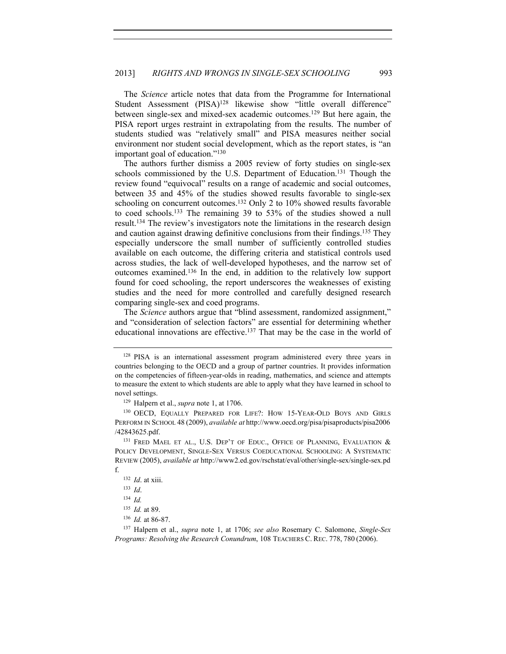The *Science* article notes that data from the Programme for International Student Assessment (PISA)<sup>128</sup> likewise show "little overall difference" between single-sex and mixed-sex academic outcomes.129 But here again, the PISA report urges restraint in extrapolating from the results. The number of students studied was "relatively small" and PISA measures neither social environment nor student social development, which as the report states, is "an important goal of education."130

The authors further dismiss a 2005 review of forty studies on single-sex schools commissioned by the U.S. Department of Education.131 Though the review found "equivocal" results on a range of academic and social outcomes, between 35 and 45% of the studies showed results favorable to single-sex schooling on concurrent outcomes.<sup>132</sup> Only 2 to 10% showed results favorable to coed schools.133 The remaining 39 to 53% of the studies showed a null result.134 The review's investigators note the limitations in the research design and caution against drawing definitive conclusions from their findings.135 They especially underscore the small number of sufficiently controlled studies available on each outcome, the differing criteria and statistical controls used across studies, the lack of well-developed hypotheses, and the narrow set of outcomes examined.136 In the end, in addition to the relatively low support found for coed schooling, the report underscores the weaknesses of existing studies and the need for more controlled and carefully designed research comparing single-sex and coed programs.

The *Science* authors argue that "blind assessment, randomized assignment," and "consideration of selection factors" are essential for determining whether educational innovations are effective.137 That may be the case in the world of

<sup>&</sup>lt;sup>128</sup> PISA is an international assessment program administered every three years in countries belonging to the OECD and a group of partner countries. It provides information on the competencies of fifteen-year-olds in reading, mathematics, and science and attempts to measure the extent to which students are able to apply what they have learned in school to

novel settings.<br><sup>129</sup> Halpern et al., *supra* note 1, at 1706.<br><sup>130</sup> OECD, EQUALLY PREPARED FOR LIFE?: HOW 15-YEAR-OLD BOYS AND GIRLS PERFORM IN SCHOOL 48 (2009), *available at* http://www.oecd.org/pisa/pisaproducts/pisa2006 /42843625.pdf.

<sup>131</sup> FRED MAEL ET AL., U.S. DEP'T OF EDUC., OFFICE OF PLANNING, EVALUATION & POLICY DEVELOPMENT, SINGLE-SEX VERSUS COEDUCATIONAL SCHOOLING: A SYSTEMATIC REVIEW (2005), *available at* http://www2.ed.gov/rschstat/eval/other/single-sex/single-sex.pd f.

<sup>132</sup> *Id*. at xiii.

<sup>133</sup> *Id*.

<sup>134</sup> *Id.*

<sup>135</sup> *Id.* at 89.

<sup>136</sup> *Id.* at 86-87.

<sup>137</sup> Halpern et al., *supra* note 1, at 1706; *see also* Rosemary C. Salomone, *Single-Sex Programs: Resolving the Research Conundrum*, 108 TEACHERS C. REC. 778, 780 (2006).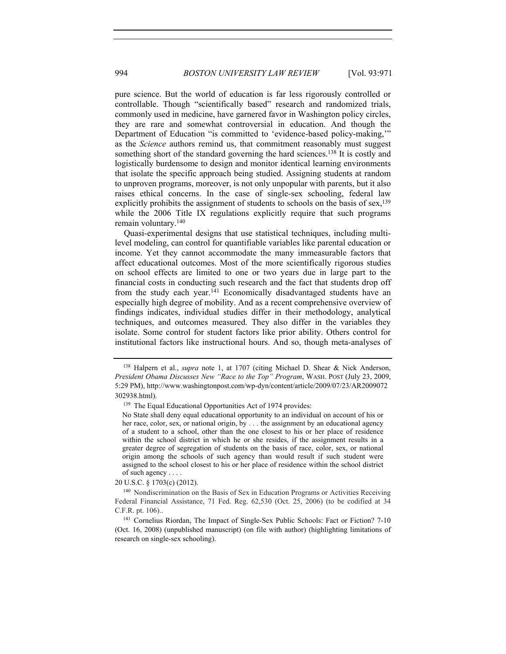pure science. But the world of education is far less rigorously controlled or controllable. Though "scientifically based" research and randomized trials, commonly used in medicine, have garnered favor in Washington policy circles, they are rare and somewhat controversial in education. And though the Department of Education "is committed to 'evidence-based policy-making,'" as the *Science* authors remind us, that commitment reasonably must suggest something short of the standard governing the hard sciences.<sup>138</sup> It is costly and logistically burdensome to design and monitor identical learning environments that isolate the specific approach being studied. Assigning students at random to unproven programs, moreover, is not only unpopular with parents, but it also raises ethical concerns. In the case of single-sex schooling, federal law explicitly prohibits the assignment of students to schools on the basis of sex,<sup>139</sup> while the 2006 Title IX regulations explicitly require that such programs remain voluntary.140

Quasi-experimental designs that use statistical techniques, including multilevel modeling, can control for quantifiable variables like parental education or income. Yet they cannot accommodate the many immeasurable factors that affect educational outcomes. Most of the more scientifically rigorous studies on school effects are limited to one or two years due in large part to the financial costs in conducting such research and the fact that students drop off from the study each year.141 Economically disadvantaged students have an especially high degree of mobility. And as a recent comprehensive overview of findings indicates, individual studies differ in their methodology, analytical techniques, and outcomes measured. They also differ in the variables they isolate. Some control for student factors like prior ability. Others control for institutional factors like instructional hours. And so, though meta-analyses of

20 U.S.C. § 1703(c) (2012).

<sup>138</sup> Halpern et al., *supra* note 1, at 1707 (citing Michael D. Shear & Nick Anderson, *President Obama Discusses New "Race to the Top" Program*, WASH. POST (July 23, 2009, 5:29 PM), http://www.washingtonpost.com/wp-dyn/content/article/2009/07/23/AR2009072 302938.html).

<sup>&</sup>lt;sup>139</sup> The Equal Educational Opportunities Act of 1974 provides:

No State shall deny equal educational opportunity to an individual on account of his or her race, color, sex, or national origin, by . . . the assignment by an educational agency of a student to a school, other than the one closest to his or her place of residence within the school district in which he or she resides, if the assignment results in a greater degree of segregation of students on the basis of race, color, sex, or national origin among the schools of such agency than would result if such student were assigned to the school closest to his or her place of residence within the school district of such agency . . . .

<sup>140</sup> Nondiscrimination on the Basis of Sex in Education Programs or Activities Receiving Federal Financial Assistance, 71 Fed. Reg. 62,530 (Oct. 25, 2006) (to be codified at 34 C.F.R. pt. 106)..

<sup>&</sup>lt;sup>141</sup> Cornelius Riordan, The Impact of Single-Sex Public Schools: Fact or Fiction? 7-10 (Oct. 16, 2008) (unpublished manuscript) (on file with author) (highlighting limitations of research on single-sex schooling).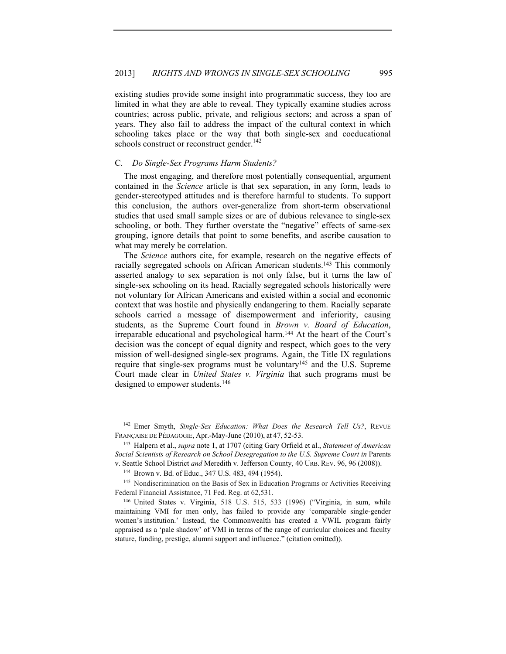existing studies provide some insight into programmatic success, they too are limited in what they are able to reveal. They typically examine studies across countries; across public, private, and religious sectors; and across a span of years. They also fail to address the impact of the cultural context in which schooling takes place or the way that both single-sex and coeducational schools construct or reconstruct gender.<sup>142</sup>

# C. *Do Single-Sex Programs Harm Students?*

The most engaging, and therefore most potentially consequential, argument contained in the *Science* article is that sex separation, in any form, leads to gender-stereotyped attitudes and is therefore harmful to students. To support this conclusion, the authors over-generalize from short-term observational studies that used small sample sizes or are of dubious relevance to single-sex schooling, or both. They further overstate the "negative" effects of same-sex grouping, ignore details that point to some benefits, and ascribe causation to what may merely be correlation.

The *Science* authors cite, for example, research on the negative effects of racially segregated schools on African American students.143 This commonly asserted analogy to sex separation is not only false, but it turns the law of single-sex schooling on its head. Racially segregated schools historically were not voluntary for African Americans and existed within a social and economic context that was hostile and physically endangering to them. Racially separate schools carried a message of disempowerment and inferiority, causing students, as the Supreme Court found in *Brown v. Board of Education*, irreparable educational and psychological harm.144 At the heart of the Court's decision was the concept of equal dignity and respect, which goes to the very mission of well-designed single-sex programs. Again, the Title IX regulations require that single-sex programs must be voluntary145 and the U.S. Supreme Court made clear in *United States v. Virginia* that such programs must be designed to empower students.<sup>146</sup>

<sup>142</sup> Emer Smyth, *Single-Sex Education: What Does the Research Tell Us?*, REVUE FRANÇAISE DE PÉDAGOGIE, Apr.-May-June (2010), at 47, 52-53. 143 Halpern et al., *supra* note 1, at 1707 (citing Gary Orfield et al., *Statement of American* 

Social Scientists of Research on School Desegregation to the U.S. Supreme Court in Parents v. Seattle School District *and* Meredith v. Jefferson County, 40 URB. REV. 96, 96 (2008)).

<sup>144</sup> Brown v. Bd. of Educ., 347 U.S. 483, 494 (1954).

<sup>&</sup>lt;sup>145</sup> Nondiscrimination on the Basis of Sex in Education Programs or Activities Receiving Federal Financial Assistance, 71 Fed. Reg. at 62,531.

<sup>146</sup> United States v. Virginia, 518 U.S. 515, 533 (1996) ("Virginia, in sum, while maintaining VMI for men only, has failed to provide any 'comparable single-gender women's institution.' Instead, the Commonwealth has created a VWIL program fairly appraised as a 'pale shadow' of VMI in terms of the range of curricular choices and faculty stature, funding, prestige, alumni support and influence." (citation omitted)).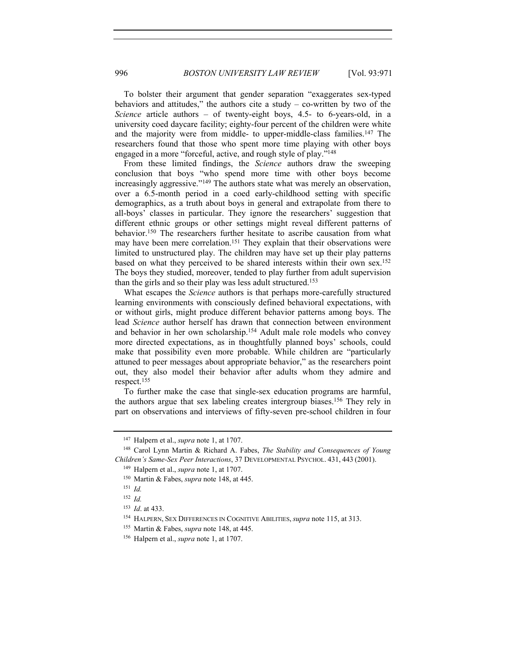To bolster their argument that gender separation "exaggerates sex-typed behaviors and attitudes," the authors cite a study  $-$  co-written by two of the *Science* article authors – of twenty-eight boys, 4.5- to 6-years-old, in a university coed daycare facility; eighty-four percent of the children were white and the majority were from middle- to upper-middle-class families.147 The researchers found that those who spent more time playing with other boys engaged in a more "forceful, active, and rough style of play."148

From these limited findings, the *Science* authors draw the sweeping conclusion that boys "who spend more time with other boys become increasingly aggressive."<sup>149</sup> The authors state what was merely an observation, over a 6.5-month period in a coed early-childhood setting with specific demographics, as a truth about boys in general and extrapolate from there to all-boys' classes in particular. They ignore the researchers' suggestion that different ethnic groups or other settings might reveal different patterns of behavior.150 The researchers further hesitate to ascribe causation from what may have been mere correlation.151 They explain that their observations were limited to unstructured play. The children may have set up their play patterns based on what they perceived to be shared interests within their own sex.152 The boys they studied, moreover, tended to play further from adult supervision than the girls and so their play was less adult structured.153

What escapes the *Science* authors is that perhaps more-carefully structured learning environments with consciously defined behavioral expectations, with or without girls, might produce different behavior patterns among boys. The lead *Science* author herself has drawn that connection between environment and behavior in her own scholarship.154 Adult male role models who convey more directed expectations, as in thoughtfully planned boys' schools, could make that possibility even more probable. While children are "particularly attuned to peer messages about appropriate behavior," as the researchers point out, they also model their behavior after adults whom they admire and respect.155

To further make the case that single-sex education programs are harmful, the authors argue that sex labeling creates intergroup biases.156 They rely in part on observations and interviews of fifty-seven pre-school children in four

<sup>&</sup>lt;sup>147</sup> Halpern et al., *supra* note 1, at 1707.<br><sup>148</sup> Carol Lynn Martin & Richard A. Fabes, *The Stability and Consequences of Young Children's Same-Sex Peer Interactions*, 37 DEVELOPMENTAL PSYCHOL. 431, 443 (2001).

<sup>149</sup> Halpern et al., *supra* note 1, at 1707.

<sup>150</sup> Martin & Fabes, *supra* note 148, at 445.

<sup>151</sup> *Id.*

<sup>152</sup> *Id.*

<sup>153</sup> *Id*. at 433.

<sup>154</sup> HALPERN, SEX DIFFERENCES IN COGNITIVE ABILITIES, *supra* note 115, at 313.

<sup>155</sup> Martin & Fabes, *supra* note 148, at 445.

<sup>156</sup> Halpern et al., *supra* note 1, at 1707.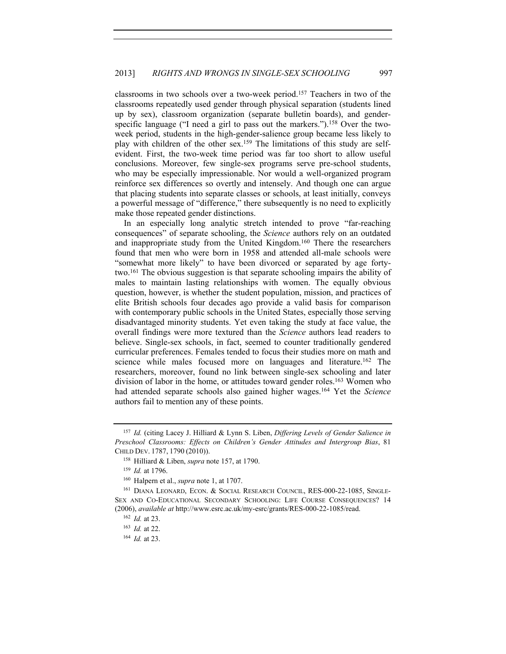classrooms in two schools over a two-week period.157 Teachers in two of the classrooms repeatedly used gender through physical separation (students lined up by sex), classroom organization (separate bulletin boards), and genderspecific language ("I need a girl to pass out the markers.").<sup>158</sup> Over the twoweek period, students in the high-gender-salience group became less likely to play with children of the other sex.159 The limitations of this study are selfevident. First, the two-week time period was far too short to allow useful conclusions. Moreover, few single-sex programs serve pre-school students, who may be especially impressionable. Nor would a well-organized program reinforce sex differences so overtly and intensely. And though one can argue that placing students into separate classes or schools, at least initially, conveys a powerful message of "difference," there subsequently is no need to explicitly make those repeated gender distinctions.

In an especially long analytic stretch intended to prove "far-reaching consequences" of separate schooling, the *Science* authors rely on an outdated and inappropriate study from the United Kingdom.160 There the researchers found that men who were born in 1958 and attended all-male schools were "somewhat more likely" to have been divorced or separated by age fortytwo.161 The obvious suggestion is that separate schooling impairs the ability of males to maintain lasting relationships with women. The equally obvious question, however, is whether the student population, mission, and practices of elite British schools four decades ago provide a valid basis for comparison with contemporary public schools in the United States, especially those serving disadvantaged minority students. Yet even taking the study at face value, the overall findings were more textured than the *Science* authors lead readers to believe. Single-sex schools, in fact, seemed to counter traditionally gendered curricular preferences. Females tended to focus their studies more on math and science while males focused more on languages and literature.162 The researchers, moreover, found no link between single-sex schooling and later division of labor in the home, or attitudes toward gender roles.163 Women who had attended separate schools also gained higher wages.164 Yet the *Science* authors fail to mention any of these points.

<sup>157</sup> *Id.* (citing Lacey J. Hilliard & Lynn S. Liben, *Differing Levels of Gender Salience in Preschool Classrooms: Effects on Children's Gender Attitudes and Intergroup Bias*, 81 CHILD DEV. 1787, 1790 (2010)).

<sup>158</sup> Hilliard & Liben, *supra* note 157, at 1790.

<sup>159</sup> *Id.* at 1796.

<sup>160</sup> Halpern et al., *supra* note 1, at 1707.

<sup>161</sup> DIANA LEONARD, ECON. & SOCIAL RESEARCH COUNCIL, RES-000-22-1085, SINGLE-SEX AND CO-EDUCATIONAL SECONDARY SCHOOLING: LIFE COURSE CONSEQUENCES? 14 (2006), *available at* http://www.esrc.ac.uk/my-esrc/grants/RES-000-22-1085/read. 162 *Id.* at 23.

<sup>163</sup> *Id.* at 22.

<sup>164</sup> *Id.* at 23.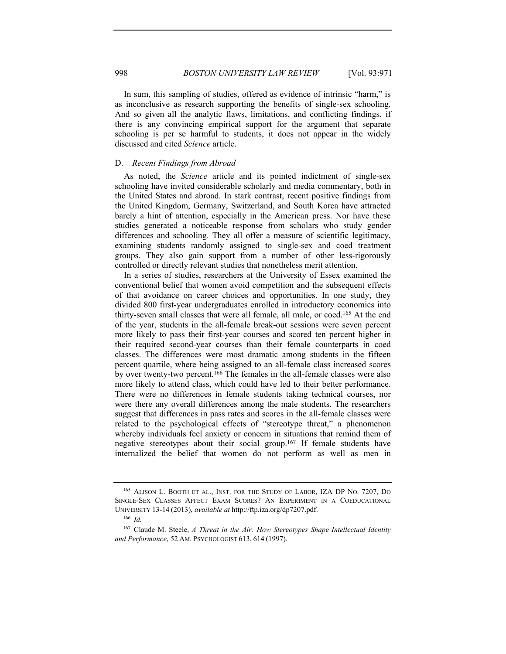In sum, this sampling of studies, offered as evidence of intrinsic "harm," is as inconclusive as research supporting the benefits of single-sex schooling. And so given all the analytic flaws, limitations, and conflicting findings, if there is any convincing empirical support for the argument that separate schooling is per se harmful to students, it does not appear in the widely discussed and cited *Science* article.

### D. *Recent Findings from Abroad*

As noted, the *Science* article and its pointed indictment of single-sex schooling have invited considerable scholarly and media commentary, both in the United States and abroad. In stark contrast, recent positive findings from the United Kingdom, Germany, Switzerland, and South Korea have attracted barely a hint of attention, especially in the American press. Nor have these studies generated a noticeable response from scholars who study gender differences and schooling. They all offer a measure of scientific legitimacy, examining students randomly assigned to single-sex and coed treatment groups. They also gain support from a number of other less-rigorously controlled or directly relevant studies that nonetheless merit attention.

In a series of studies, researchers at the University of Essex examined the conventional belief that women avoid competition and the subsequent effects of that avoidance on career choices and opportunities. In one study, they divided 800 first-year undergraduates enrolled in introductory economics into thirty-seven small classes that were all female, all male, or coed.165 At the end of the year, students in the all-female break-out sessions were seven percent more likely to pass their first-year courses and scored ten percent higher in their required second-year courses than their female counterparts in coed classes. The differences were most dramatic among students in the fifteen percent quartile, where being assigned to an all-female class increased scores by over twenty-two percent.166 The females in the all-female classes were also more likely to attend class, which could have led to their better performance. There were no differences in female students taking technical courses, nor were there any overall differences among the male students. The researchers suggest that differences in pass rates and scores in the all-female classes were related to the psychological effects of "stereotype threat," a phenomenon whereby individuals feel anxiety or concern in situations that remind them of negative stereotypes about their social group.167 If female students have internalized the belief that women do not perform as well as men in

<sup>165</sup> ALISON L. BOOTH ET AL., INST. FOR THE STUDY OF LABOR, IZA DP NO. 7207, DO SINGLE-SEX CLASSES AFFECT EXAM SCORES? AN EXPERIMENT IN A COEDUCATIONAL UNIVERSITY 13-14 (2013), *available at* http://ftp.iza.org/dp7207.pdf.

<sup>166</sup> *Id.*

<sup>167</sup> Claude M. Steele, *A Threat in the Air: How Stereotypes Shape Intellectual Identity and Performance*, 52 AM. PSYCHOLOGIST 613, 614 (1997).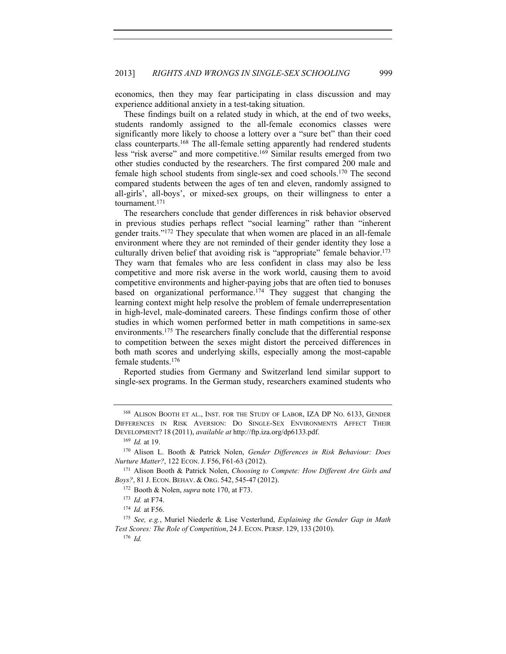economics, then they may fear participating in class discussion and may experience additional anxiety in a test-taking situation.

These findings built on a related study in which, at the end of two weeks, students randomly assigned to the all-female economics classes were significantly more likely to choose a lottery over a "sure bet" than their coed class counterparts.168 The all-female setting apparently had rendered students less "risk averse" and more competitive.169 Similar results emerged from two other studies conducted by the researchers. The first compared 200 male and female high school students from single-sex and coed schools.170 The second compared students between the ages of ten and eleven, randomly assigned to all-girls', all-boys', or mixed-sex groups, on their willingness to enter a tournament.171

The researchers conclude that gender differences in risk behavior observed in previous studies perhaps reflect "social learning" rather than "inherent gender traits."172 They speculate that when women are placed in an all-female environment where they are not reminded of their gender identity they lose a culturally driven belief that avoiding risk is "appropriate" female behavior.<sup>173</sup> They warn that females who are less confident in class may also be less competitive and more risk averse in the work world, causing them to avoid competitive environments and higher-paying jobs that are often tied to bonuses based on organizational performance.<sup>174</sup> They suggest that changing the learning context might help resolve the problem of female underrepresentation in high-level, male-dominated careers. These findings confirm those of other studies in which women performed better in math competitions in same-sex environments.175 The researchers finally conclude that the differential response to competition between the sexes might distort the perceived differences in both math scores and underlying skills, especially among the most-capable female students.176

Reported studies from Germany and Switzerland lend similar support to single-sex programs. In the German study, researchers examined students who

<sup>169</sup> *Id.* at 19.

<sup>168</sup> ALISON BOOTH ET AL., INST. FOR THE STUDY OF LABOR, IZA DP NO. 6133, GENDER DIFFERENCES IN RISK AVERSION: DO SINGLE-SEX ENVIRONMENTS AFFECT THEIR DEVELOPMENT? 18 (2011), *available at* http://ftp.iza.org/dp6133.pdf.

<sup>170</sup> Alison L. Booth & Patrick Nolen, *Gender Differences in Risk Behaviour: Does Nurture Matter?*, 122 ECON. J. F56, F61-63 (2012).

<sup>171</sup> Alison Booth & Patrick Nolen, *Choosing to Compete: How Different Are Girls and Boys?*, 81 J. ECON. BEHAV. & ORG. 542, 545-47 (2012).

<sup>172</sup> Booth & Nolen, *supra* note 170, at F73.

<sup>173</sup> *Id.* at F74.

<sup>174</sup> *Id.* at F56.

<sup>175</sup> *See, e.g.*, Muriel Niederle & Lise Vesterlund, *Explaining the Gender Gap in Math Test Scores: The Role of Competition*, 24 J. ECON. PERSP. 129, 133 (2010).

<sup>176</sup> *Id.*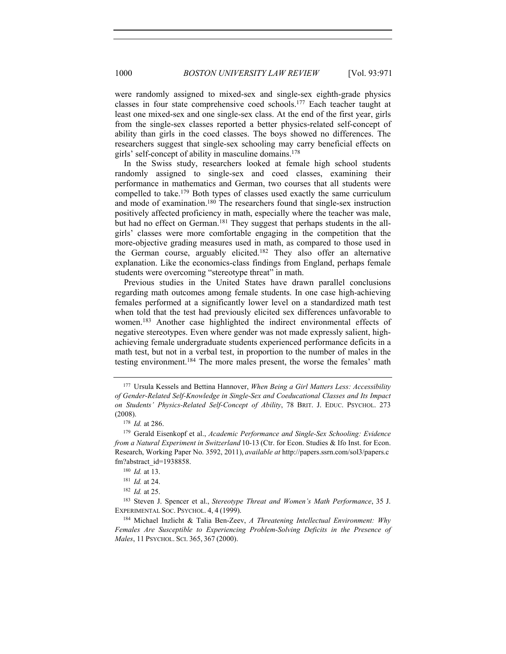were randomly assigned to mixed-sex and single-sex eighth-grade physics classes in four state comprehensive coed schools.177 Each teacher taught at least one mixed-sex and one single-sex class. At the end of the first year, girls from the single-sex classes reported a better physics-related self-concept of ability than girls in the coed classes. The boys showed no differences. The researchers suggest that single-sex schooling may carry beneficial effects on girls' self-concept of ability in masculine domains.178

In the Swiss study, researchers looked at female high school students randomly assigned to single-sex and coed classes, examining their performance in mathematics and German, two courses that all students were compelled to take.179 Both types of classes used exactly the same curriculum and mode of examination.180 The researchers found that single-sex instruction positively affected proficiency in math, especially where the teacher was male, but had no effect on German.<sup>181</sup> They suggest that perhaps students in the allgirls' classes were more comfortable engaging in the competition that the more-objective grading measures used in math, as compared to those used in the German course, arguably elicited.182 They also offer an alternative explanation. Like the economics-class findings from England, perhaps female students were overcoming "stereotype threat" in math.

Previous studies in the United States have drawn parallel conclusions regarding math outcomes among female students. In one case high-achieving females performed at a significantly lower level on a standardized math test when told that the test had previously elicited sex differences unfavorable to women.183 Another case highlighted the indirect environmental effects of negative stereotypes. Even where gender was not made expressly salient, highachieving female undergraduate students experienced performance deficits in a math test, but not in a verbal test, in proportion to the number of males in the testing environment.184 The more males present, the worse the females' math

<sup>177</sup> Ursula Kessels and Bettina Hannover, *When Being a Girl Matters Less: Accessibility of Gender-Related Self-Knowledge in Single-Sex and Coeducational Classes and Its Impact on Students' Physics-Related Self-Concept of Ability*, 78 BRIT. J. EDUC. PSYCHOL. 273 (2008).

<sup>&</sup>lt;sup>178</sup> *Id.* at 286.<br><sup>179</sup> Gerald Eisenkopf et al., *Academic Performance and Single-Sex Schooling: Evidence from a Natural Experiment in Switzerland* 10-13 (Ctr. for Econ. Studies & Ifo Inst. for Econ. Research, Working Paper No. 3592, 2011), *available at* http://papers.ssrn.com/sol3/papers.c fm?abstract\_id=1938858.

<sup>180</sup> *Id.* at 13.

<sup>181</sup> *Id.* at 24.

<sup>182</sup> *Id.* at 25.

<sup>183</sup> Steven J. Spencer et al., *Stereotype Threat and Women's Math Performance*, 35 J. EXPERIMENTAL SOC. PSYCHOL. 4, 4 (1999).

<sup>184</sup> Michael Inzlicht & Talia Ben-Zeev, *A Threatening Intellectual Environment: Why Females Are Susceptible to Experiencing Problem-Solving Deficits in the Presence of Males*, 11 PSYCHOL. SCI. 365, 367 (2000).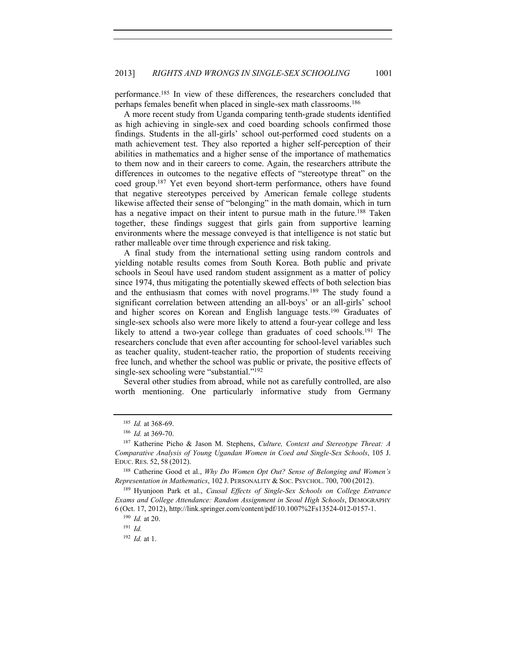performance.185 In view of these differences, the researchers concluded that perhaps females benefit when placed in single-sex math classrooms.186

A more recent study from Uganda comparing tenth-grade students identified as high achieving in single-sex and coed boarding schools confirmed those findings. Students in the all-girls' school out-performed coed students on a math achievement test. They also reported a higher self-perception of their abilities in mathematics and a higher sense of the importance of mathematics to them now and in their careers to come. Again, the researchers attribute the differences in outcomes to the negative effects of "stereotype threat" on the coed group.187 Yet even beyond short-term performance, others have found that negative stereotypes perceived by American female college students likewise affected their sense of "belonging" in the math domain, which in turn has a negative impact on their intent to pursue math in the future.<sup>188</sup> Taken together, these findings suggest that girls gain from supportive learning environments where the message conveyed is that intelligence is not static but rather malleable over time through experience and risk taking.

A final study from the international setting using random controls and yielding notable results comes from South Korea. Both public and private schools in Seoul have used random student assignment as a matter of policy since 1974, thus mitigating the potentially skewed effects of both selection bias and the enthusiasm that comes with novel programs.189 The study found a significant correlation between attending an all-boys' or an all-girls' school and higher scores on Korean and English language tests.190 Graduates of single-sex schools also were more likely to attend a four-year college and less likely to attend a two-year college than graduates of coed schools.<sup>191</sup> The researchers conclude that even after accounting for school-level variables such as teacher quality, student-teacher ratio, the proportion of students receiving free lunch, and whether the school was public or private, the positive effects of single-sex schooling were "substantial."<sup>192</sup>

Several other studies from abroad, while not as carefully controlled, are also worth mentioning. One particularly informative study from Germany

<sup>185</sup> *Id.* at 368-69. 186 *Id.* at 369-70.

<sup>187</sup> Katherine Picho & Jason M. Stephens, *Culture, Context and Stereotype Threat: A Comparative Analysis of Young Ugandan Women in Coed and Single-Sex Schools*, 105 J. EDUC. RES. 52, 58 (2012).

<sup>188</sup> Catherine Good et al., *Why Do Women Opt Out? Sense of Belonging and Women's Representation in Mathematics*, 102 J. PERSONALITY & SOC. PSYCHOL. 700, 700 (2012).

<sup>189</sup> Hyunjoon Park et al., *Causal Effects of Single-Sex Schools on College Entrance Exams and College Attendance: Random Assignment in Seoul High Schools*, DEMOGRAPHY 6 (Oct. 17, 2012), http://link.springer.com/content/pdf/10.1007%2Fs13524-012-0157-1.

<sup>190</sup> *Id.* at 20.

<sup>191</sup> *Id.*

<sup>192</sup> *Id.* at 1.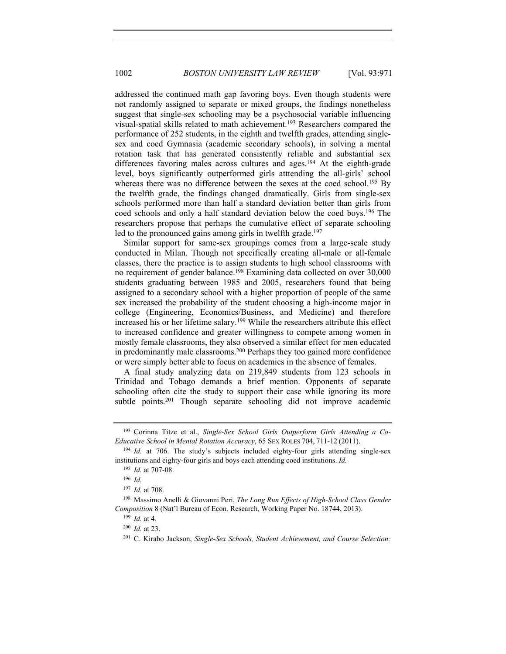addressed the continued math gap favoring boys. Even though students were not randomly assigned to separate or mixed groups, the findings nonetheless suggest that single-sex schooling may be a psychosocial variable influencing visual-spatial skills related to math achievement.193 Researchers compared the performance of 252 students, in the eighth and twelfth grades, attending singlesex and coed Gymnasia (academic secondary schools), in solving a mental rotation task that has generated consistently reliable and substantial sex differences favoring males across cultures and ages.<sup>194</sup> At the eighth-grade level, boys significantly outperformed girls atttending the all-girls' school whereas there was no difference between the sexes at the coed school.<sup>195</sup> By the twelfth grade, the findings changed dramatically. Girls from single-sex schools performed more than half a standard deviation better than girls from coed schools and only a half standard deviation below the coed boys.196 The researchers propose that perhaps the cumulative effect of separate schooling led to the pronounced gains among girls in twelfth grade.<sup>197</sup>

Similar support for same-sex groupings comes from a large-scale study conducted in Milan. Though not specifically creating all-male or all-female classes, there the practice is to assign students to high school classrooms with no requirement of gender balance.198 Examining data collected on over 30,000 students graduating between 1985 and 2005, researchers found that being assigned to a secondary school with a higher proportion of people of the same sex increased the probability of the student choosing a high-income major in college (Engineering, Economics/Business, and Medicine) and therefore increased his or her lifetime salary.199 While the researchers attribute this effect to increased confidence and greater willingness to compete among women in mostly female classrooms, they also observed a similar effect for men educated in predominantly male classrooms.200 Perhaps they too gained more confidence or were simply better able to focus on academics in the absence of females.

A final study analyzing data on 219,849 students from 123 schools in Trinidad and Tobago demands a brief mention. Opponents of separate schooling often cite the study to support their case while ignoring its more subtle points.<sup>201</sup> Though separate schooling did not improve academic

<sup>193</sup> Corinna Titze et al., *Single-Sex School Girls Outperform Girls Attending a Co-Educative School in Mental Rotation Accuracy*, 65 SEX ROLES 704, 711-12 (2011).

<sup>194</sup> *Id.* at 706. The study's subjects included eighty-four girls attending single-sex institutions and eighty-four girls and boys each attending coed institutions. *Id.*

<sup>195</sup> *Id.* at 707-08.

<sup>196</sup> *Id.*

<sup>197</sup> *Id.* at 708.

<sup>198</sup> Massimo Anelli & Giovanni Peri, *The Long Run Effects of High-School Class Gender Composition* 8 (Nat'l Bureau of Econ. Research, Working Paper No. 18744, 2013). 199 *Id.* at 4.

<sup>200</sup> *Id.* at 23.

<sup>201</sup> C. Kirabo Jackson, *Single-Sex Schools, Student Achievement, and Course Selection:*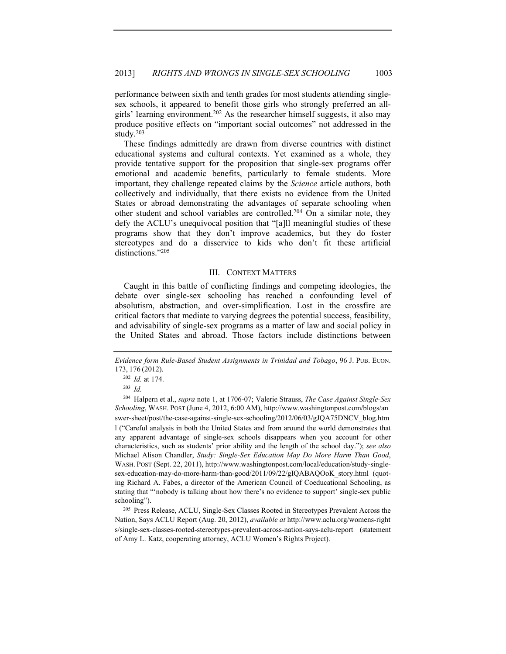performance between sixth and tenth grades for most students attending singlesex schools, it appeared to benefit those girls who strongly preferred an allgirls' learning environment.202 As the researcher himself suggests, it also may produce positive effects on "important social outcomes" not addressed in the study.203

These findings admittedly are drawn from diverse countries with distinct educational systems and cultural contexts. Yet examined as a whole, they provide tentative support for the proposition that single-sex programs offer emotional and academic benefits, particularly to female students. More important, they challenge repeated claims by the *Science* article authors, both collectively and individually, that there exists no evidence from the United States or abroad demonstrating the advantages of separate schooling when other student and school variables are controlled.204 On a similar note, they defy the ACLU's unequivocal position that "[a]ll meaningful studies of these programs show that they don't improve academics, but they do foster stereotypes and do a disservice to kids who don't fit these artificial distinctions."205

# III. CONTEXT MATTERS

Caught in this battle of conflicting findings and competing ideologies, the debate over single-sex schooling has reached a confounding level of absolutism, abstraction, and over-simplification. Lost in the crossfire are critical factors that mediate to varying degrees the potential success, feasibility, and advisability of single-sex programs as a matter of law and social policy in the United States and abroad. Those factors include distinctions between

<sup>204</sup> Halpern et al., *supra* note 1, at 1706-07; Valerie Strauss, *The Case Against Single-Sex Schooling*, WASH. POST (June 4, 2012, 6:00 AM), http://www.washingtonpost.com/blogs/an swer-sheet/post/the-case-against-single-sex-schooling/2012/06/03/gJQA75DNCV\_blog.htm l ("Careful analysis in both the United States and from around the world demonstrates that any apparent advantage of single-sex schools disappears when you account for other characteristics, such as students' prior ability and the length of the school day."); *see also*  Michael Alison Chandler, *Study: Single-Sex Education May Do More Harm Than Good*, WASH. POST (Sept. 22, 2011), http://www.washingtonpost.com/local/education/study-singlesex-education-may-do-more-harm-than-good/2011/09/22/gIQABAQOoK\_story.html (quoting Richard A. Fabes, a director of the American Council of Coeducational Schooling, as stating that "'nobody is talking about how there's no evidence to support' single-sex public schooling").

<sup>205</sup> Press Release, ACLU, Single-Sex Classes Rooted in Stereotypes Prevalent Across the Nation, Says ACLU Report (Aug. 20, 2012), *available at* http://www.aclu.org/womens-right s/single-sex-classes-rooted-stereotypes-prevalent-across-nation-says-aclu-report (statement of Amy L. Katz, cooperating attorney, ACLU Women's Rights Project).

*Evidence form Rule-Based Student Assignments in Trinidad and Tobago*, 96 J. PUB. ECON. 173, 176 (2012).

<sup>202</sup> *Id.* at 174.

<sup>203</sup> *Id.*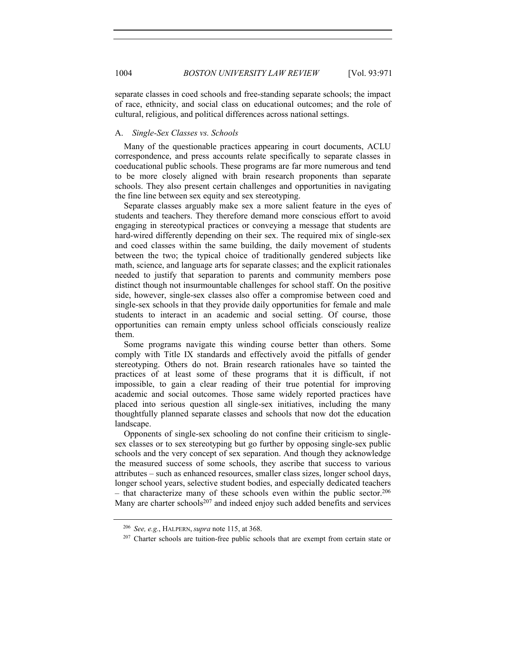separate classes in coed schools and free-standing separate schools; the impact of race, ethnicity, and social class on educational outcomes; and the role of cultural, religious, and political differences across national settings.

### A. *Single-Sex Classes vs. Schools*

Many of the questionable practices appearing in court documents, ACLU correspondence, and press accounts relate specifically to separate classes in coeducational public schools. These programs are far more numerous and tend to be more closely aligned with brain research proponents than separate schools. They also present certain challenges and opportunities in navigating the fine line between sex equity and sex stereotyping.

Separate classes arguably make sex a more salient feature in the eyes of students and teachers. They therefore demand more conscious effort to avoid engaging in stereotypical practices or conveying a message that students are hard-wired differently depending on their sex. The required mix of single-sex and coed classes within the same building, the daily movement of students between the two; the typical choice of traditionally gendered subjects like math, science, and language arts for separate classes; and the explicit rationales needed to justify that separation to parents and community members pose distinct though not insurmountable challenges for school staff. On the positive side, however, single-sex classes also offer a compromise between coed and single-sex schools in that they provide daily opportunities for female and male students to interact in an academic and social setting. Of course, those opportunities can remain empty unless school officials consciously realize them.

Some programs navigate this winding course better than others. Some comply with Title IX standards and effectively avoid the pitfalls of gender stereotyping. Others do not. Brain research rationales have so tainted the practices of at least some of these programs that it is difficult, if not impossible, to gain a clear reading of their true potential for improving academic and social outcomes. Those same widely reported practices have placed into serious question all single-sex initiatives, including the many thoughtfully planned separate classes and schools that now dot the education landscape.

Opponents of single-sex schooling do not confine their criticism to singlesex classes or to sex stereotyping but go further by opposing single-sex public schools and the very concept of sex separation. And though they acknowledge the measured success of some schools, they ascribe that success to various attributes – such as enhanced resources, smaller class sizes, longer school days, longer school years, selective student bodies, and especially dedicated teachers – that characterize many of these schools even within the public sector.206 Many are charter schools<sup>207</sup> and indeed enjoy such added benefits and services

<sup>206</sup> *See, e.g.*, HALPERN, *supra* note 115, at 368.

<sup>&</sup>lt;sup>207</sup> Charter schools are tuition-free public schools that are exempt from certain state or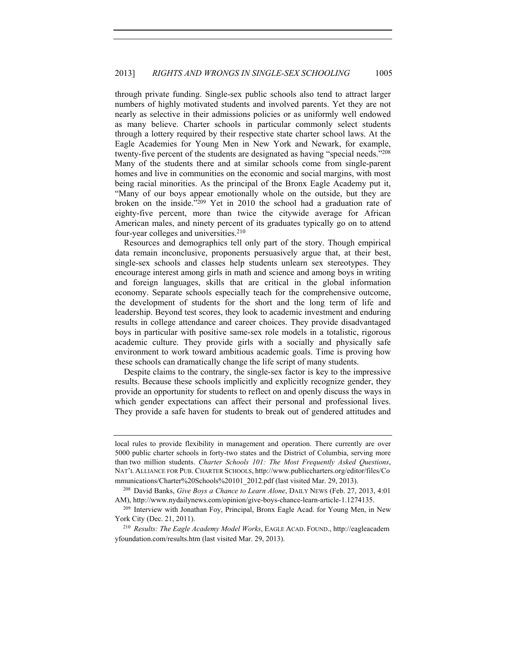through private funding. Single-sex public schools also tend to attract larger numbers of highly motivated students and involved parents. Yet they are not nearly as selective in their admissions policies or as uniformly well endowed as many believe. Charter schools in particular commonly select students through a lottery required by their respective state charter school laws. At the Eagle Academies for Young Men in New York and Newark, for example, twenty-five percent of the students are designated as having "special needs."208 Many of the students there and at similar schools come from single-parent homes and live in communities on the economic and social margins, with most being racial minorities. As the principal of the Bronx Eagle Academy put it, "Many of our boys appear emotionally whole on the outside, but they are broken on the inside."209 Yet in 2010 the school had a graduation rate of eighty-five percent, more than twice the citywide average for African American males, and ninety percent of its graduates typically go on to attend four-year colleges and universities.210

Resources and demographics tell only part of the story. Though empirical data remain inconclusive, proponents persuasively argue that, at their best, single-sex schools and classes help students unlearn sex stereotypes. They encourage interest among girls in math and science and among boys in writing and foreign languages, skills that are critical in the global information economy. Separate schools especially teach for the comprehensive outcome, the development of students for the short and the long term of life and leadership. Beyond test scores, they look to academic investment and enduring results in college attendance and career choices. They provide disadvantaged boys in particular with positive same-sex role models in a totalistic, rigorous academic culture. They provide girls with a socially and physically safe environment to work toward ambitious academic goals. Time is proving how these schools can dramatically change the life script of many students.

Despite claims to the contrary, the single-sex factor is key to the impressive results. Because these schools implicitly and explicitly recognize gender, they provide an opportunity for students to reflect on and openly discuss the ways in which gender expectations can affect their personal and professional lives. They provide a safe haven for students to break out of gendered attitudes and

local rules to provide flexibility in management and operation. There currently are over 5000 public charter schools in forty-two states and the District of Columbia, serving more than two million students. *Charter Schools 101: The Most Frequently Asked Questions*, NAT'L ALLIANCE FOR PUB. CHARTER SCHOOLS, http://www.publiccharters.org/editor/files/Co mmunications/Charter%20Schools%20101\_2012.pdf (last visited Mar. 29, 2013).

<sup>208</sup> David Banks, *Give Boys a Chance to Learn Alone*, DAILY NEWS (Feb. 27, 2013, 4:01 AM), http://www.nydailynews.com/opinion/give-boys-chance-learn-article-1.1274135.

<sup>209</sup> Interview with Jonathan Foy, Principal, Bronx Eagle Acad. for Young Men, in New York City (Dec. 21, 2011). 210 *Results: The Eagle Academy Model Works*, EAGLE ACAD. FOUND., http://eagleacadem

yfoundation.com/results.htm (last visited Mar. 29, 2013).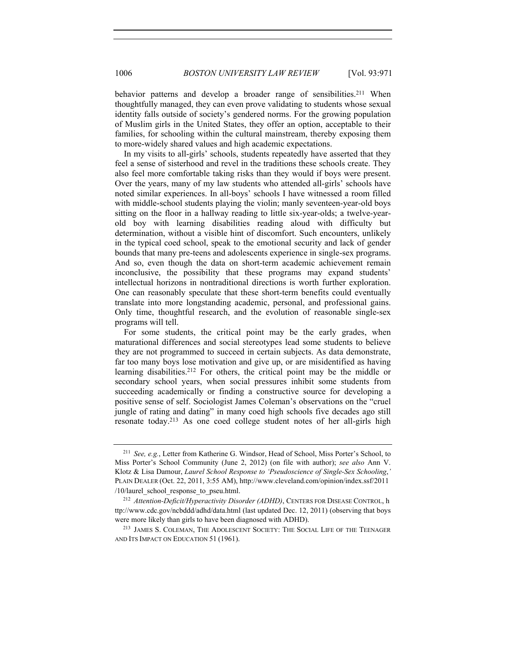behavior patterns and develop a broader range of sensibilities.<sup>211</sup> When thoughtfully managed, they can even prove validating to students whose sexual identity falls outside of society's gendered norms. For the growing population of Muslim girls in the United States, they offer an option, acceptable to their families, for schooling within the cultural mainstream, thereby exposing them to more-widely shared values and high academic expectations.

In my visits to all-girls' schools, students repeatedly have asserted that they feel a sense of sisterhood and revel in the traditions these schools create. They also feel more comfortable taking risks than they would if boys were present. Over the years, many of my law students who attended all-girls' schools have noted similar experiences. In all-boys' schools I have witnessed a room filled with middle-school students playing the violin; manly seventeen-year-old boys sitting on the floor in a hallway reading to little six-year-olds; a twelve-yearold boy with learning disabilities reading aloud with difficulty but determination, without a visible hint of discomfort. Such encounters, unlikely in the typical coed school, speak to the emotional security and lack of gender bounds that many pre-teens and adolescents experience in single-sex programs. And so, even though the data on short-term academic achievement remain inconclusive, the possibility that these programs may expand students' intellectual horizons in nontraditional directions is worth further exploration. One can reasonably speculate that these short-term benefits could eventually translate into more longstanding academic, personal, and professional gains. Only time, thoughtful research, and the evolution of reasonable single-sex programs will tell.

For some students, the critical point may be the early grades, when maturational differences and social stereotypes lead some students to believe they are not programmed to succeed in certain subjects. As data demonstrate, far too many boys lose motivation and give up, or are misidentified as having learning disabilities.212 For others, the critical point may be the middle or secondary school years, when social pressures inhibit some students from succeeding academically or finding a constructive source for developing a positive sense of self. Sociologist James Coleman's observations on the "cruel jungle of rating and dating" in many coed high schools five decades ago still resonate today.213 As one coed college student notes of her all-girls high

<sup>211</sup> *See, e.g.*, Letter from Katherine G. Windsor, Head of School, Miss Porter's School, to Miss Porter's School Community (June 2, 2012) (on file with author); *see also* Ann V. Klotz & Lisa Damour, *Laurel School Response to 'Pseudoscience of Single-Sex Schooling*,*'*  PLAIN DEALER (Oct. 22, 2011, 3:55 AM), http://www.cleveland.com/opinion/index.ssf/2011 /10/laurel\_school\_response\_to\_pseu.html.

<sup>212</sup> *Attention-Deficit/Hyperactivity Disorder (ADHD)*, CENTERS FOR DISEASE CONTROL, h ttp://www.cdc.gov/ncbddd/adhd/data.html (last updated Dec. 12, 2011) (observing that boys were more likely than girls to have been diagnosed with ADHD).

<sup>213</sup> JAMES S. COLEMAN, THE ADOLESCENT SOCIETY: THE SOCIAL LIFE OF THE TEENAGER AND ITS IMPACT ON EDUCATION 51 (1961).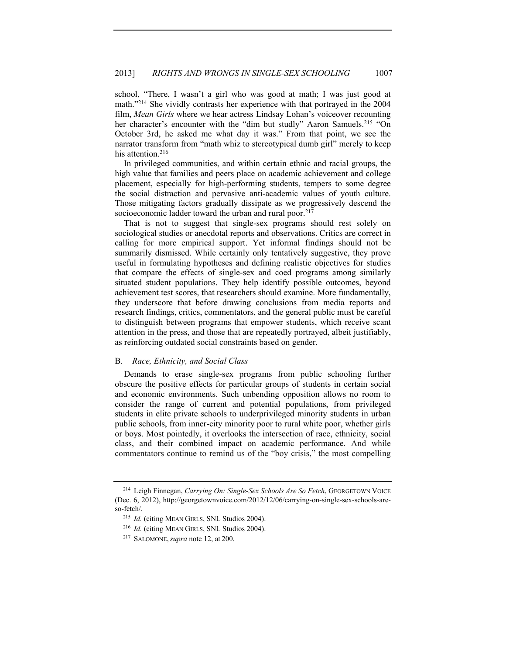school, "There, I wasn't a girl who was good at math; I was just good at math."214 She vividly contrasts her experience with that portrayed in the 2004 film, *Mean Girls* where we hear actress Lindsay Lohan's voiceover recounting her character's encounter with the "dim but studly" Aaron Samuels.<sup>215</sup> "On October 3rd, he asked me what day it was." From that point, we see the narrator transform from "math whiz to stereotypical dumb girl" merely to keep his attention.<sup>216</sup>

In privileged communities, and within certain ethnic and racial groups, the high value that families and peers place on academic achievement and college placement, especially for high-performing students, tempers to some degree the social distraction and pervasive anti-academic values of youth culture. Those mitigating factors gradually dissipate as we progressively descend the socioeconomic ladder toward the urban and rural poor.<sup>217</sup>

That is not to suggest that single-sex programs should rest solely on sociological studies or anecdotal reports and observations. Critics are correct in calling for more empirical support. Yet informal findings should not be summarily dismissed. While certainly only tentatively suggestive, they prove useful in formulating hypotheses and defining realistic objectives for studies that compare the effects of single-sex and coed programs among similarly situated student populations. They help identify possible outcomes, beyond achievement test scores, that researchers should examine. More fundamentally, they underscore that before drawing conclusions from media reports and research findings, critics, commentators, and the general public must be careful to distinguish between programs that empower students, which receive scant attention in the press, and those that are repeatedly portrayed, albeit justifiably, as reinforcing outdated social constraints based on gender.

### B. *Race, Ethnicity, and Social Class*

Demands to erase single-sex programs from public schooling further obscure the positive effects for particular groups of students in certain social and economic environments. Such unbending opposition allows no room to consider the range of current and potential populations, from privileged students in elite private schools to underprivileged minority students in urban public schools, from inner-city minority poor to rural white poor, whether girls or boys. Most pointedly, it overlooks the intersection of race, ethnicity, social class, and their combined impact on academic performance. And while commentators continue to remind us of the "boy crisis," the most compelling

<sup>214</sup> Leigh Finnegan, *Carrying On: Single-Sex Schools Are So Fetch*, GEORGETOWN VOICE (Dec. 6, 2012), http://georgetownvoice.com/2012/12/06/carrying-on-single-sex-schools-areso-fetch/.<br><sup>215</sup> *Id.* (citing MEAN GIRLS, SNL Studios 2004).

<sup>216</sup> *Id.* (citing MEAN GIRLS, SNL Studios 2004).

<sup>217</sup> SALOMONE, *supra* note 12, at 200.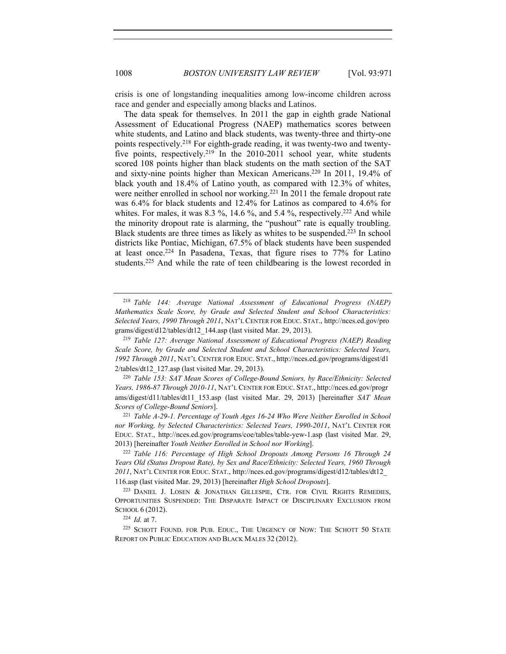crisis is one of longstanding inequalities among low-income children across race and gender and especially among blacks and Latinos.

The data speak for themselves. In 2011 the gap in eighth grade National Assessment of Educational Progress (NAEP) mathematics scores between white students, and Latino and black students, was twenty-three and thirty-one points respectively.218 For eighth-grade reading, it was twenty-two and twentyfive points, respectively.<sup>219</sup> In the 2010-2011 school year, white students scored 108 points higher than black students on the math section of the SAT and sixty-nine points higher than Mexican Americans.220 In 2011, 19.4% of black youth and 18.4% of Latino youth, as compared with 12.3% of whites, were neither enrolled in school nor working.<sup>221</sup> In 2011 the female dropout rate was 6.4% for black students and 12.4% for Latinos as compared to 4.6% for whites. For males, it was  $8.3\%$ ,  $14.6\%$ , and  $5.4\%$ , respectively.<sup>222</sup> And while the minority dropout rate is alarming, the "pushout" rate is equally troubling. Black students are three times as likely as whites to be suspended.223 In school districts like Pontiac, Michigan, 67.5% of black students have been suspended at least once.224 In Pasadena, Texas, that figure rises to 77% for Latino students.225 And while the rate of teen childbearing is the lowest recorded in

<sup>220</sup> *Table 153: SAT Mean Scores of College-Bound Seniors, by Race/Ethnicity: Selected Years, 1986-87 Through 2010-11*, NAT'L CENTER FOR EDUC. STAT., http://nces.ed.gov/progr ams/digest/d11/tables/dt11\_153.asp (last visited Mar. 29, 2013) [hereinafter *SAT Mean Scores of College-Bound Seniors*].

<sup>221</sup> *Table A-29-1. Percentage of Youth Ages 16-24 Who Were Neither Enrolled in School nor Working, by Selected Characteristics: Selected Years, 1990-2011*, NAT'L CENTER FOR EDUC. STAT., http://nces.ed.gov/programs/coe/tables/table-yew-1.asp (last visited Mar. 29, 2013) [hereinafter *Youth Neither Enrolled in School nor Working*].

<sup>222</sup> *Table 116: Percentage of High School Dropouts Among Persons 16 Through 24 Years Old (Status Dropout Rate), by Sex and Race/Ethnicity: Selected Years, 1960 Through 2011*, NAT'L CENTER FOR EDUC. STAT., http://nces.ed.gov/programs/digest/d12/tables/dt12\_ 116.asp (last visited Mar. 29, 2013) [hereinafter *High School Dropouts*].

<sup>223</sup> DANIEL J. LOSEN & JONATHAN GILLESPIE, CTR. FOR CIVIL RIGHTS REMEDIES, OPPORTUNITIES SUSPENDED: THE DISPARATE IMPACT OF DISCIPLINARY EXCLUSION FROM SCHOOL 6 (2012).

<sup>224</sup> *Id.* at 7.

<sup>218</sup> *Table 144: Average National Assessment of Educational Progress (NAEP) Mathematics Scale Score, by Grade and Selected Student and School Characteristics: Selected Years, 1990 Through 2011*, NAT'L CENTER FOR EDUC. STAT., http://nces.ed.gov/pro grams/digest/d12/tables/dt12\_144.asp (last visited Mar. 29, 2013).

<sup>219</sup> *Table 127: Average National Assessment of Educational Progress (NAEP) Reading Scale Score, by Grade and Selected Student and School Characteristics: Selected Years, 1992 Through 2011*, NAT'L CENTER FOR EDUC. STAT., http://nces.ed.gov/programs/digest/d1 2/tables/dt12\_127.asp (last visited Mar. 29, 2013).

<sup>&</sup>lt;sup>225</sup> SCHOTT FOUND. FOR PUB. EDUC., THE URGENCY OF NOW: THE SCHOTT 50 STATE REPORT ON PUBLIC EDUCATION AND BLACK MALES 32 (2012).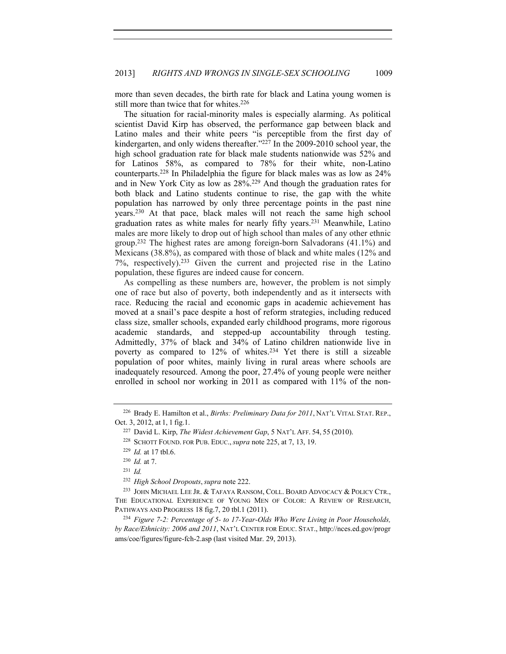more than seven decades, the birth rate for black and Latina young women is still more than twice that for whites.<sup>226</sup>

The situation for racial-minority males is especially alarming. As political scientist David Kirp has observed, the performance gap between black and Latino males and their white peers "is perceptible from the first day of kindergarten, and only widens thereafter."227 In the 2009-2010 school year, the high school graduation rate for black male students nationwide was 52% and for Latinos 58%, as compared to 78% for their white, non-Latino counterparts.228 In Philadelphia the figure for black males was as low as 24% and in New York City as low as 28%.229 And though the graduation rates for both black and Latino students continue to rise, the gap with the white population has narrowed by only three percentage points in the past nine years.230 At that pace, black males will not reach the same high school graduation rates as white males for nearly fifty years.231 Meanwhile, Latino males are more likely to drop out of high school than males of any other ethnic group.232 The highest rates are among foreign-born Salvadorans (41.1%) and Mexicans (38.8%), as compared with those of black and white males (12% and 7%, respectively).233 Given the current and projected rise in the Latino population, these figures are indeed cause for concern.

As compelling as these numbers are, however, the problem is not simply one of race but also of poverty, both independently and as it intersects with race. Reducing the racial and economic gaps in academic achievement has moved at a snail's pace despite a host of reform strategies, including reduced class size, smaller schools, expanded early childhood programs, more rigorous academic standards, and stepped-up accountability through testing. Admittedly, 37% of black and 34% of Latino children nationwide live in poverty as compared to 12% of whites.234 Yet there is still a sizeable population of poor whites, mainly living in rural areas where schools are inadequately resourced. Among the poor, 27.4% of young people were neither enrolled in school nor working in 2011 as compared with 11% of the non-

<sup>226</sup> Brady E. Hamilton et al., *Births: Preliminary Data for 2011*, NAT'L VITAL STAT. REP., Oct. 3, 2012, at 1, 1 fig.1.

<sup>227</sup> David L. Kirp, *The Widest Achievement Gap*, 5 NAT'L AFF. 54, 55 (2010).

<sup>228</sup> SCHOTT FOUND. FOR PUB. EDUC.,*supra* note 225, at 7, 13, 19.

<sup>229</sup> *Id.* at 17 tbl.6.

<sup>230</sup> *Id.* at 7.

<sup>231</sup> *Id.*

<sup>232</sup> *High School Dropouts*, *supra* note 222.

<sup>233</sup> JOHN MICHAEL LEE JR. & TAFAYA RANSOM, COLL. BOARD ADVOCACY & POLICY CTR., THE EDUCATIONAL EXPERIENCE OF YOUNG MEN OF COLOR: A REVIEW OF RESEARCH, PATHWAYS AND PROGRESS 18 fig.7, 20 tbl.1 (2011).

<sup>234</sup> *Figure 7-2: Percentage of 5- to 17-Year-Olds Who Were Living in Poor Households, by Race/Ethnicity: 2006 and 2011*, NAT'L CENTER FOR EDUC. STAT., http://nces.ed.gov/progr ams/coe/figures/figure-fch-2.asp (last visited Mar. 29, 2013).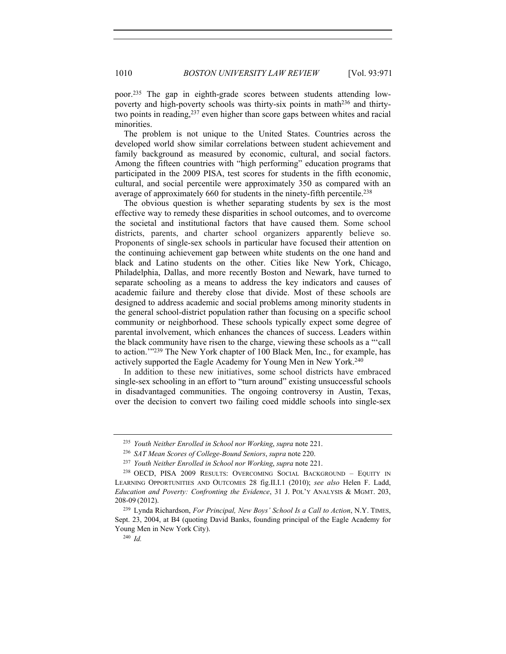poor.235 The gap in eighth-grade scores between students attending lowpoverty and high-poverty schools was thirty-six points in math236 and thirtytwo points in reading, <sup>237</sup> even higher than score gaps between whites and racial minorities.

The problem is not unique to the United States. Countries across the developed world show similar correlations between student achievement and family background as measured by economic, cultural, and social factors. Among the fifteen countries with "high performing" education programs that participated in the 2009 PISA, test scores for students in the fifth economic, cultural, and social percentile were approximately 350 as compared with an average of approximately 660 for students in the ninety-fifth percentile.238

The obvious question is whether separating students by sex is the most effective way to remedy these disparities in school outcomes, and to overcome the societal and institutional factors that have caused them. Some school districts, parents, and charter school organizers apparently believe so. Proponents of single-sex schools in particular have focused their attention on the continuing achievement gap between white students on the one hand and black and Latino students on the other. Cities like New York, Chicago, Philadelphia, Dallas, and more recently Boston and Newark, have turned to separate schooling as a means to address the key indicators and causes of academic failure and thereby close that divide. Most of these schools are designed to address academic and social problems among minority students in the general school-district population rather than focusing on a specific school community or neighborhood. These schools typically expect some degree of parental involvement, which enhances the chances of success. Leaders within the black community have risen to the charge, viewing these schools as a "'call to action.'"239 The New York chapter of 100 Black Men, Inc., for example, has actively supported the Eagle Academy for Young Men in New York.240

In addition to these new initiatives, some school districts have embraced single-sex schooling in an effort to "turn around" existing unsuccessful schools in disadvantaged communities. The ongoing controversy in Austin, Texas, over the decision to convert two failing coed middle schools into single-sex

<sup>235</sup> *Youth Neither Enrolled in School nor Working*, *supra* note 221.

<sup>236</sup> *SAT Mean Scores of College-Bound Seniors*, *supra* note 220.

<sup>237</sup> *Youth Neither Enrolled in School nor Working*, *supra* note 221.

<sup>238</sup> OECD, PISA 2009 RESULTS: OVERCOMING SOCIAL BACKGROUND – EQUITY IN LEARNING OPPORTUNITIES AND OUTCOMES 28 fig.II.I.1 (2010); *see also* Helen F. Ladd, *Education and Poverty: Confronting the Evidence*, 31 J. POL'Y ANALYSIS & MGMT. 203, 208-09 (2012).

<sup>239</sup> Lynda Richardson, *For Principal, New Boys' School Is a Call to Action*, N.Y. TIMES, Sept. 23, 2004, at B4 (quoting David Banks, founding principal of the Eagle Academy for Young Men in New York City). 240 *Id.*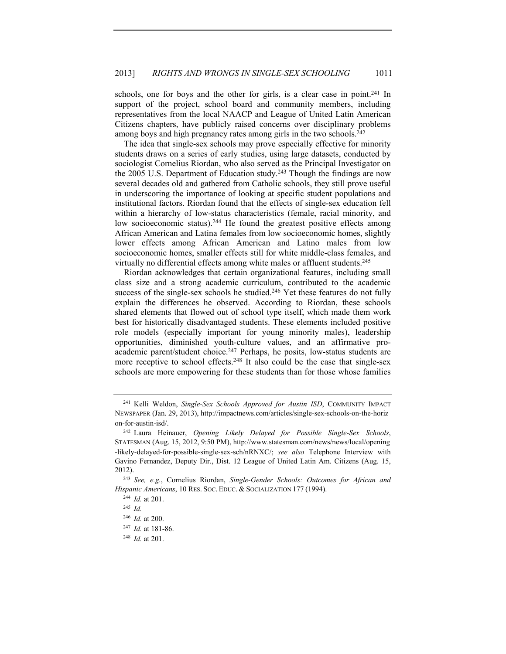schools, one for boys and the other for girls, is a clear case in point.<sup>241</sup> In support of the project, school board and community members, including representatives from the local NAACP and League of United Latin American Citizens chapters, have publicly raised concerns over disciplinary problems among boys and high pregnancy rates among girls in the two schools.<sup>242</sup>

The idea that single-sex schools may prove especially effective for minority students draws on a series of early studies, using large datasets, conducted by sociologist Cornelius Riordan, who also served as the Principal Investigator on the 2005 U.S. Department of Education study.243 Though the findings are now several decades old and gathered from Catholic schools, they still prove useful in underscoring the importance of looking at specific student populations and institutional factors. Riordan found that the effects of single-sex education fell within a hierarchy of low-status characteristics (female, racial minority, and low socioeconomic status).<sup>244</sup> He found the greatest positive effects among African American and Latina females from low socioeconomic homes, slightly lower effects among African American and Latino males from low socioeconomic homes, smaller effects still for white middle-class females, and virtually no differential effects among white males or affluent students.<sup>245</sup>

Riordan acknowledges that certain organizational features, including small class size and a strong academic curriculum, contributed to the academic success of the single-sex schools he studied.<sup>246</sup> Yet these features do not fully explain the differences he observed. According to Riordan, these schools shared elements that flowed out of school type itself, which made them work best for historically disadvantaged students. These elements included positive role models (especially important for young minority males), leadership opportunities, diminished youth-culture values, and an affirmative proacademic parent/student choice.247 Perhaps, he posits, low-status students are more receptive to school effects.<sup>248</sup> It also could be the case that single-sex schools are more empowering for these students than for those whose families

<sup>241</sup> Kelli Weldon, *Single-Sex Schools Approved for Austin ISD*, COMMUNITY IMPACT NEWSPAPER (Jan. 29, 2013), http://impactnews.com/articles/single-sex-schools-on-the-horiz on-for-austin-isd/.

<sup>242</sup> Laura Heinauer, *Opening Likely Delayed for Possible Single-Sex Schools*, STATESMAN (Aug. 15, 2012, 9:50 PM), http://www.statesman.com/news/news/local/opening -likely-delayed-for-possible-single-sex-sch/nRNXC/; *see also* Telephone Interview with Gavino Fernandez, Deputy Dir., Dist. 12 League of United Latin Am. Citizens (Aug. 15, 2012).

<sup>243</sup> *See, e.g.*, Cornelius Riordan, *Single-Gender Schools: Outcomes for African and Hispanic Americans*, 10 RES. SOC. EDUC. & SOCIALIZATION 177 (1994).

<sup>244</sup> *Id.* at 201.

<sup>245</sup> *Id.*

<sup>246</sup> *Id.* at 200.

<sup>247</sup> *Id.* at 181-86.

<sup>248</sup> *Id.* at 201.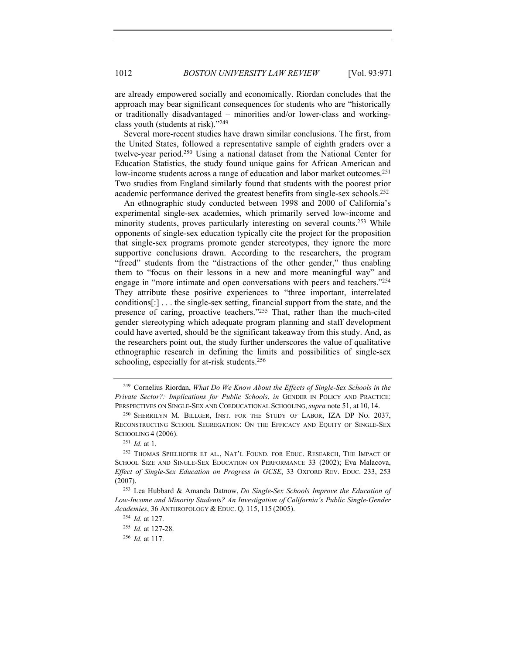are already empowered socially and economically. Riordan concludes that the approach may bear significant consequences for students who are "historically or traditionally disadvantaged – minorities and/or lower-class and workingclass youth (students at risk)."249

Several more-recent studies have drawn similar conclusions. The first, from the United States, followed a representative sample of eighth graders over a twelve-year period.250 Using a national dataset from the National Center for Education Statistics, the study found unique gains for African American and low-income students across a range of education and labor market outcomes.<sup>251</sup> Two studies from England similarly found that students with the poorest prior academic performance derived the greatest benefits from single-sex schools.252

An ethnographic study conducted between 1998 and 2000 of California's experimental single-sex academies, which primarily served low-income and minority students, proves particularly interesting on several counts.253 While opponents of single-sex education typically cite the project for the proposition that single-sex programs promote gender stereotypes, they ignore the more supportive conclusions drawn. According to the researchers, the program "freed" students from the "distractions of the other gender," thus enabling them to "focus on their lessons in a new and more meaningful way" and engage in "more intimate and open conversations with peers and teachers."254 They attribute these positive experiences to "three important, interrelated conditions[:] . . . the single-sex setting, financial support from the state, and the presence of caring, proactive teachers."255 That, rather than the much-cited gender stereotyping which adequate program planning and staff development could have averted, should be the significant takeaway from this study. And, as the researchers point out, the study further underscores the value of qualitative ethnographic research in defining the limits and possibilities of single-sex schooling, especially for at-risk students.<sup>256</sup>

<sup>249</sup> Cornelius Riordan, *What Do We Know About the Effects of Single-Sex Schools in the Private Sector?: Implications for Public Schools*, *in* GENDER IN POLICY AND PRACTICE: PERSPECTIVES ON SINGLE-SEX AND COEDUCATIONAL SCHOOLING, *supra* note 51, at 10, 14.

<sup>250</sup> SHERRILYN M. BILLGER, INST. FOR THE STUDY OF LABOR, IZA DP NO. 2037, RECONSTRUCTING SCHOOL SEGREGATION: ON THE EFFICACY AND EQUITY OF SINGLE-SEX SCHOOLING 4 (2006).

<sup>251</sup> *Id.* at 1.

<sup>252</sup> THOMAS SPIELHOFER ET AL., NAT'L FOUND. FOR EDUC. RESEARCH, THE IMPACT OF SCHOOL SIZE AND SINGLE-SEX EDUCATION ON PERFORMANCE 33 (2002); Eva Malacova, *Effect of Single-Sex Education on Progress in GCSE*, 33 OXFORD REV. EDUC. 233, 253 (2007).

<sup>253</sup> Lea Hubbard & Amanda Datnow, *Do Single-Sex Schools Improve the Education of Low-Income and Minority Students? An Investigation of California's Public Single-Gender Academies*, 36 ANTHROPOLOGY & EDUC. Q. 115, 115 (2005).

<sup>254</sup> *Id.* at 127.

<sup>255</sup> *Id.* at 127-28.

<sup>256</sup> *Id.* at 117.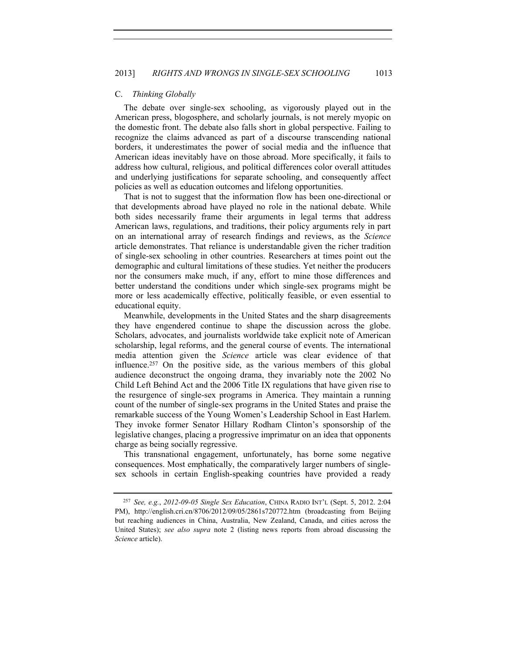### C. *Thinking Globally*

The debate over single-sex schooling, as vigorously played out in the American press, blogosphere, and scholarly journals, is not merely myopic on the domestic front. The debate also falls short in global perspective. Failing to recognize the claims advanced as part of a discourse transcending national borders, it underestimates the power of social media and the influence that American ideas inevitably have on those abroad. More specifically, it fails to address how cultural, religious, and political differences color overall attitudes and underlying justifications for separate schooling, and consequently affect policies as well as education outcomes and lifelong opportunities.

That is not to suggest that the information flow has been one-directional or that developments abroad have played no role in the national debate. While both sides necessarily frame their arguments in legal terms that address American laws, regulations, and traditions, their policy arguments rely in part on an international array of research findings and reviews, as the *Science*  article demonstrates. That reliance is understandable given the richer tradition of single-sex schooling in other countries. Researchers at times point out the demographic and cultural limitations of these studies. Yet neither the producers nor the consumers make much, if any, effort to mine those differences and better understand the conditions under which single-sex programs might be more or less academically effective, politically feasible, or even essential to educational equity.

Meanwhile, developments in the United States and the sharp disagreements they have engendered continue to shape the discussion across the globe. Scholars, advocates, and journalists worldwide take explicit note of American scholarship, legal reforms, and the general course of events. The international media attention given the *Science* article was clear evidence of that influence.257 On the positive side, as the various members of this global audience deconstruct the ongoing drama, they invariably note the 2002 No Child Left Behind Act and the 2006 Title IX regulations that have given rise to the resurgence of single-sex programs in America. They maintain a running count of the number of single-sex programs in the United States and praise the remarkable success of the Young Women's Leadership School in East Harlem. They invoke former Senator Hillary Rodham Clinton's sponsorship of the legislative changes, placing a progressive imprimatur on an idea that opponents charge as being socially regressive.

This transnational engagement, unfortunately, has borne some negative consequences. Most emphatically, the comparatively larger numbers of singlesex schools in certain English-speaking countries have provided a ready

<sup>257</sup> *See, e.g.*, *2012-09-05 Single Sex Education*, CHINA RADIO INT'L (Sept. 5, 2012. 2:04 PM), http://english.cri.cn/8706/2012/09/05/2861s720772.htm (broadcasting from Beijing but reaching audiences in China, Australia, New Zealand, Canada, and cities across the United States); *see also supra* note 2 (listing news reports from abroad discussing the *Science* article).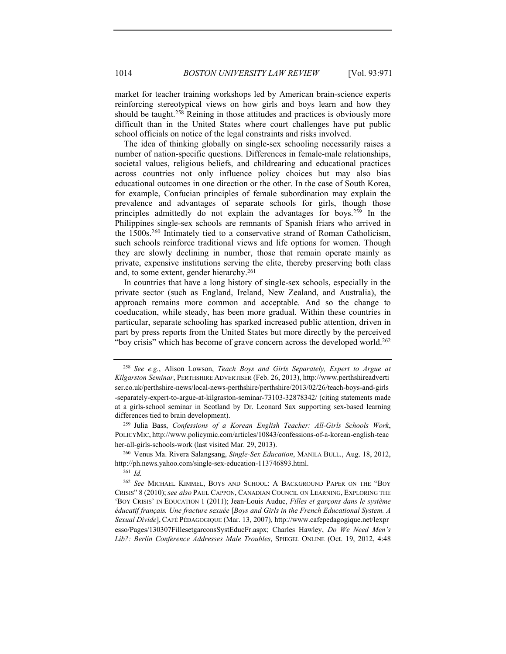1014 *BOSTON UNIVERSITY LAW REVIEW* [Vol. 93:971

market for teacher training workshops led by American brain-science experts reinforcing stereotypical views on how girls and boys learn and how they should be taught.<sup>258</sup> Reining in those attitudes and practices is obviously more difficult than in the United States where court challenges have put public school officials on notice of the legal constraints and risks involved.

The idea of thinking globally on single-sex schooling necessarily raises a number of nation-specific questions. Differences in female-male relationships, societal values, religious beliefs, and childrearing and educational practices across countries not only influence policy choices but may also bias educational outcomes in one direction or the other. In the case of South Korea, for example, Confucian principles of female subordination may explain the prevalence and advantages of separate schools for girls, though those principles admittedly do not explain the advantages for boys.259 In the Philippines single-sex schools are remnants of Spanish friars who arrived in the 1500s.260 Intimately tied to a conservative strand of Roman Catholicism, such schools reinforce traditional views and life options for women. Though they are slowly declining in number, those that remain operate mainly as private, expensive institutions serving the elite, thereby preserving both class and, to some extent, gender hierarchy.261

In countries that have a long history of single-sex schools, especially in the private sector (such as England, Ireland, New Zealand, and Australia), the approach remains more common and acceptable. And so the change to coeducation, while steady, has been more gradual. Within these countries in particular, separate schooling has sparked increased public attention, driven in part by press reports from the United States but more directly by the perceived "boy crisis" which has become of grave concern across the developed world.<sup>262</sup>

<sup>261</sup> *Id.*

<sup>258</sup> *See e.g.*, Alison Lowson, *Teach Boys and Girls Separately, Expert to Argue at Kilgarston Seminar*, PERTHSHIRE ADVERTISER (Feb. 26, 2013), http://www.perthshireadverti ser.co.uk/perthshire-news/local-news-perthshire/perthshire/2013/02/26/teach-boys-and-girls -separately-expert-to-argue-at-kilgraston-seminar-73103-32878342/ (citing statements made at a girls-school seminar in Scotland by Dr. Leonard Sax supporting sex-based learning differences tied to brain development).

<sup>259</sup> Julia Bass, *Confessions of a Korean English Teacher: All-Girls Schools Work*, POLICYMIC, http://www.policymic.com/articles/10843/confessions-of-a-korean-english-teac her-all-girls-schools-work (last visited Mar. 29, 2013).

<sup>260</sup> Venus Ma. Rivera Salangsang, *Single-Sex Education*, MANILA BULL., Aug. 18, 2012, http://ph.news.yahoo.com/single-sex-education-113746893.html.

<sup>262</sup> *See* MICHAEL KIMMEL, BOYS AND SCHOOL: A BACKGROUND PAPER ON THE "BOY CRISIS" 8 (2010); *see also* PAUL CAPPON, CANADIAN COUNCIL ON LEARNING, EXPLORING THE 'BOY CRISIS' IN EDUCATION 1 (2011); Jean-Louis Auduc, *Filles et garçons dans le système éducatif français. Une fracture sexuée* [*Boys and Girls in the French Educational System. A Sexual Divide*], CAFÉ PÉDAGOGIQUE (Mar. 13, 2007), http://www.cafepedagogique.net/lexpr esso/Pages/130307FillesetgarconsSystEducFr.aspx; Charles Hawley, *Do We Need Men's Lib?: Berlin Conference Addresses Male Troubles*, SPIEGEL ONLINE (Oct. 19, 2012, 4:48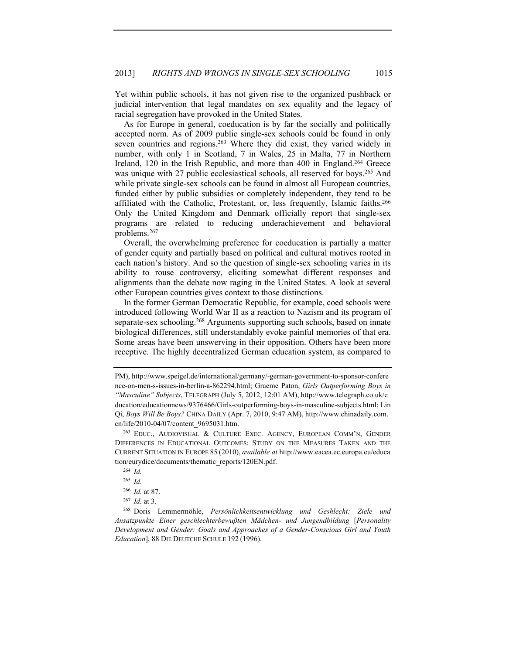Yet within public schools, it has not given rise to the organized pushback or judicial intervention that legal mandates on sex equality and the legacy of racial segregation have provoked in the United States.

As for Europe in general, coeducation is by far the socially and politically accepted norm. As of 2009 public single-sex schools could be found in only seven countries and regions.<sup>263</sup> Where they did exist, they varied widely in number, with only 1 in Scotland, 7 in Wales, 25 in Malta, 77 in Northern Ireland, 120 in the Irish Republic, and more than 400 in England.<sup>264</sup> Greece was unique with 27 public ecclesiastical schools, all reserved for boys.<sup>265</sup> And while private single-sex schools can be found in almost all European countries, funded either by public subsidies or completely independent, they tend to be affiliated with the Catholic, Protestant, or, less frequently, Islamic faiths.266 Only the United Kingdom and Denmark officially report that single-sex programs are related to reducing underachievement and behavioral problems.267

Overall, the overwhelming preference for coeducation is partially a matter of gender equity and partially based on political and cultural motives rooted in each nation's history. And so the question of single-sex schooling varies in its ability to rouse controversy, eliciting somewhat different responses and alignments than the debate now raging in the United States. A look at several other European countries gives context to those distinctions.

In the former German Democratic Republic, for example, coed schools were introduced following World War II as a reaction to Nazism and its program of separate-sex schooling.<sup>268</sup> Arguments supporting such schools, based on innate biological differences, still understandably evoke painful memories of that era. Some areas have been unswerving in their opposition. Others have been more receptive. The highly decentralized German education system, as compared to

PM), http://www.speigel.de/international/germany/-german-government-to-sponsor-confere nce-on-men-s-issues-in-berlin-a-862294.html; Graeme Paton, *Girls Outperforming Boys in "Masculine" Subjects*, TELEGRAPH (July 5, 2012, 12:01 AM), http://www.telegraph.co.uk/e ducation/educationnews/9376466/Girls-outperforming-boys-in-masculine-subjects.html; Lin Qi, *Boys Will Be Boys?* CHINA DAILY (Apr. 7, 2010, 9:47 AM), http://www.chinadaily.com. cn/life/2010-04/07/content\_9695031.htm.

<sup>263</sup> EDUC., AUDIOVISUAL & CULTURE EXEC. AGENCY, EUROPEAN COMM'N, GENDER DIFFERENCES IN EDUCATIONAL OUTCOMES: STUDY ON THE MEASURES TAKEN AND THE CURRENT SITUATION IN EUROPE 85 (2010), *available at* http://www.eacea.ec.europa.eu/educa tion/eurydice/documents/thematic\_reports/120EN.pdf.

<sup>264</sup> *Id.*

<sup>265</sup> *Id.*

<sup>266</sup> *Id.* at 87.

<sup>267</sup> *Id.* at 3.

<sup>268</sup> Doris Lemmermöhle, *Persönlichkeitsentwicklung und Geshlecht: Ziele und Ansatzpunkte Einer geschlechterbewuβten Mädchen- und Jungendbildung* [*Personality Development and Gender: Goals and Approaches of a Gender-Conscious Girl and Youth Education*], 88 DIE DEUTCHE SCHULE 192 (1996).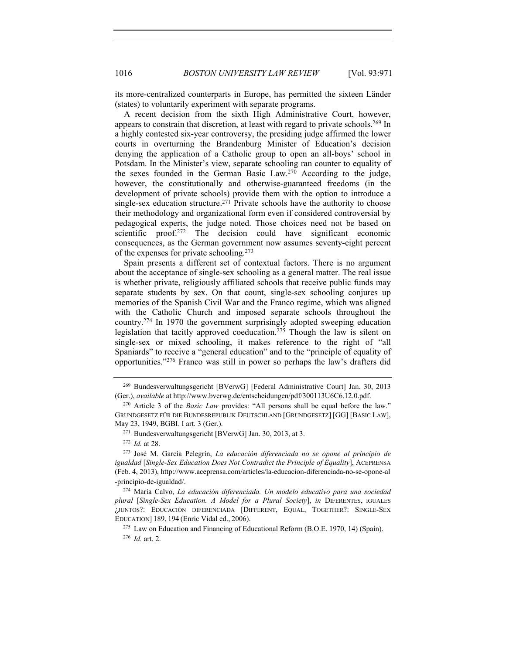1016 *BOSTON UNIVERSITY LAW REVIEW* [Vol. 93:971

its more-centralized counterparts in Europe, has permitted the sixteen Länder (states) to voluntarily experiment with separate programs.

A recent decision from the sixth High Administrative Court, however, appears to constrain that discretion, at least with regard to private schools.269 In a highly contested six-year controversy, the presiding judge affirmed the lower courts in overturning the Brandenburg Minister of Education's decision denying the application of a Catholic group to open an all-boys' school in Potsdam. In the Minister's view, separate schooling ran counter to equality of the sexes founded in the German Basic Law.270 According to the judge, however, the constitutionally and otherwise-guaranteed freedoms (in the development of private schools) provide them with the option to introduce a single-sex education structure.<sup>271</sup> Private schools have the authority to choose their methodology and organizational form even if considered controversial by pedagogical experts, the judge noted. Those choices need not be based on scientific proof.<sup>272</sup> The decision could have significant economic consequences, as the German government now assumes seventy-eight percent of the expenses for private schooling.273

Spain presents a different set of contextual factors. There is no argument about the acceptance of single-sex schooling as a general matter. The real issue is whether private, religiously affiliated schools that receive public funds may separate students by sex. On that count, single-sex schooling conjures up memories of the Spanish Civil War and the Franco regime, which was aligned with the Catholic Church and imposed separate schools throughout the country.274 In 1970 the government surprisingly adopted sweeping education legislation that tacitly approved coeducation.275 Though the law is silent on single-sex or mixed schooling, it makes reference to the right of "all Spaniards" to receive a "general education" and to the "principle of equality of opportunities."276 Franco was still in power so perhaps the law's drafters did

<sup>269</sup> Bundesverwaltungsgericht [BVerwG] [Federal Administrative Court] Jan. 30, 2013 (Ger.), *available* at http://www.bverwg.de/entscheidungen/pdf/300113U6C6.12.0.pdf.

<sup>270</sup> Article 3 of the *Basic Law* provides: "All persons shall be equal before the law." GRUNDGESETZ FÜR DIE BUNDESREPUBLIK DEUTSCHLAND [GRUNDGESETZ] [GG] [BASIC LAW], May 23, 1949, BGBI. I art. 3 (Ger.).

<sup>271</sup> Bundesverwaltungsgericht [BVerwG] Jan. 30, 2013, at 3.

<sup>272</sup> *Id.* at 28.

<sup>273</sup> José M. García Pelegrín, *La educación diferenciada no se opone al principio de igualdad* [*Single-Sex Education Does Not Contradict the Principle of Equality*], ACEPRENSA (Feb. 4, 2013), http://www.aceprensa.com/articles/la-educacion-diferenciada-no-se-opone-al -principio-de-igualdad/.

<sup>274</sup> María Calvo, *La educación diferenciada. Un modelo educativo para una sociedad plural* [*Single-Sex Education. A Model for a Plural Society*], *in* DIFERENTES, IGUALES ¿JUNTOS?: EDUCACIÓN DIFERENCIADA [DIFFERENT, EQUAL, TOGETHER?: SINGLE-SEX EDUCATION] 189, 194 (Enric Vidal ed., 2006).

<sup>275</sup> Law on Education and Financing of Educational Reform (B.O.E. 1970, 14) (Spain). <sup>276</sup> *Id.* art. 2.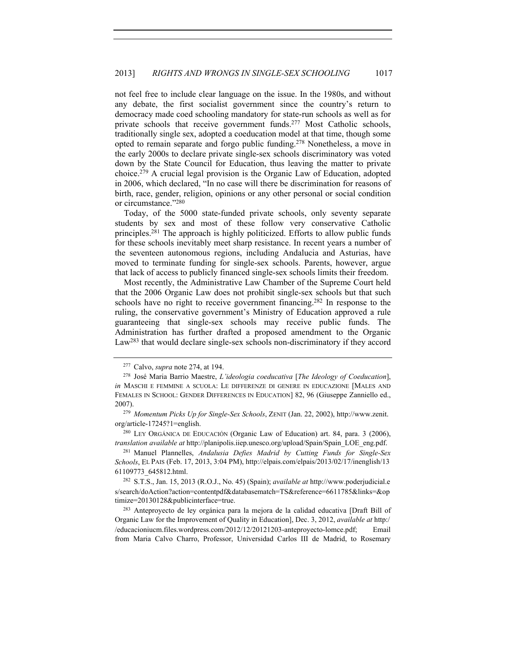not feel free to include clear language on the issue. In the 1980s, and without any debate, the first socialist government since the country's return to democracy made coed schooling mandatory for state-run schools as well as for private schools that receive government funds.277 Most Catholic schools, traditionally single sex, adopted a coeducation model at that time, though some opted to remain separate and forgo public funding.278 Nonetheless, a move in the early 2000s to declare private single-sex schools discriminatory was voted down by the State Council for Education, thus leaving the matter to private choice.279 A crucial legal provision is the Organic Law of Education, adopted in 2006, which declared, "In no case will there be discrimination for reasons of birth, race, gender, religion, opinions or any other personal or social condition or circumstance."280

Today, of the 5000 state-funded private schools, only seventy separate students by sex and most of these follow very conservative Catholic principles.281 The approach is highly politicized. Efforts to allow public funds for these schools inevitably meet sharp resistance. In recent years a number of the seventeen autonomous regions, including Andalucia and Asturias, have moved to terminate funding for single-sex schools. Parents, however, argue that lack of access to publicly financed single-sex schools limits their freedom.

Most recently, the Administrative Law Chamber of the Supreme Court held that the 2006 Organic Law does not prohibit single-sex schools but that such schools have no right to receive government financing.<sup>282</sup> In response to the ruling, the conservative government's Ministry of Education approved a rule guaranteeing that single-sex schools may receive public funds. The Administration has further drafted a proposed amendment to the Organic Law283 that would declare single-sex schools non-discriminatory if they accord

<sup>280</sup> LEY ORGÁNICA DE EDUCACIÓN (Organic Law of Education) art. 84, para. 3 (2006), *translation available at* http://planipolis.iiep.unesco.org/upload/Spain/Spain\_LOE\_eng.pdf.

<sup>281</sup> Manuel Plannelles, *Andalusia Defies Madrid by Cutting Funds for Single-Sex Schools*, EL PAIS (Feb. 17, 2013, 3:04 PM), http://elpais.com/elpais/2013/02/17/inenglish/13 61109773\_645812.html.

<sup>282</sup> S.T.S., Jan. 15, 2013 (R.O.J., No. 45) (Spain); *available at* http://www.poderjudicial.e s/search/doAction?action=contentpdf&databasematch=TS&reference=6611785&links=&op timize=20130128&publicinterface=true.

<sup>283</sup> Anteproyecto de ley orgánica para la mejora de la calidad educativa [Draft Bill of Organic Law for the Improvement of Quality in Education], Dec. 3, 2012, *available at* http:/ /educacioniucm.files.wordpress.com/2012/12/20121203-anteproyecto-lomce.pdf; Email from Maria Calvo Charro, Professor, Universidad Carlos III de Madrid, to Rosemary

<sup>277</sup> Calvo, *supra* note 274, at 194.

<sup>278</sup> José Maria Barrio Maestre, *L'ideologia coeducativa* [*The Ideology of Coeducation*], *in* MASCHI E FEMMINE A SCUOLA: LE DIFFERENZE DI GENERE IN EDUCAZIONE [MALES AND FEMALES IN SCHOOL: GENDER DIFFERENCES IN EDUCATION] 82, 96 (Giuseppe Zanniello ed., 2007).

<sup>279</sup> *Momentum Picks Up for Single-Sex Schools*, ZENIT (Jan. 22, 2002), http://www.zenit. org/article-17245?1=english.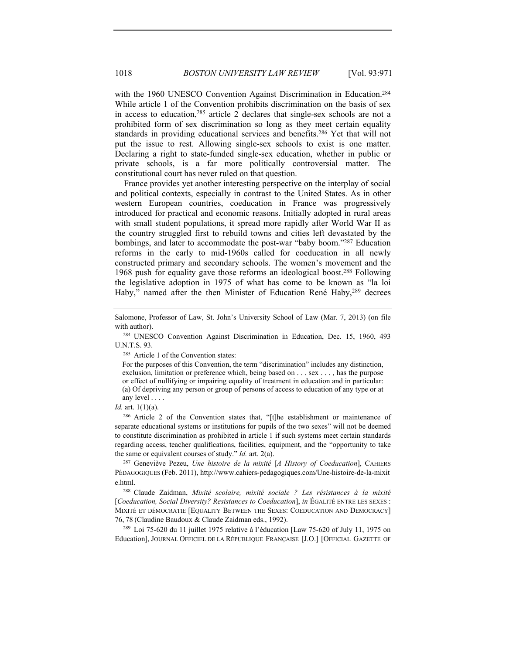with the 1960 UNESCO Convention Against Discrimination in Education.<sup>284</sup> While article 1 of the Convention prohibits discrimination on the basis of sex in access to education,285 article 2 declares that single-sex schools are not a prohibited form of sex discrimination so long as they meet certain equality standards in providing educational services and benefits.286 Yet that will not put the issue to rest. Allowing single-sex schools to exist is one matter. Declaring a right to state-funded single-sex education, whether in public or private schools, is a far more politically controversial matter. The constitutional court has never ruled on that question.

France provides yet another interesting perspective on the interplay of social and political contexts, especially in contrast to the United States. As in other western European countries, coeducation in France was progressively introduced for practical and economic reasons. Initially adopted in rural areas with small student populations, it spread more rapidly after World War II as the country struggled first to rebuild towns and cities left devastated by the bombings, and later to accommodate the post-war "baby boom."287 Education reforms in the early to mid-1960s called for coeducation in all newly constructed primary and secondary schools. The women's movement and the 1968 push for equality gave those reforms an ideological boost.288 Following the legislative adoption in 1975 of what has come to be known as "la loi Haby," named after the then Minister of Education René Haby,<sup>289</sup> decrees

with author).<br><sup>284</sup> UNESCO Convention Against Discrimination in Education, Dec. 15, 1960, 493 U.N.T.S. 93.

<sup>285</sup> Article 1 of the Convention states:

For the purposes of this Convention, the term "discrimination" includes any distinction, exclusion, limitation or preference which, being based on . . . sex . . . , has the purpose or effect of nullifying or impairing equality of treatment in education and in particular: (a) Of depriving any person or group of persons of access to education of any type or at any level . . . .

*Id.* art. 1(1)(a).

<sup>286</sup> Article 2 of the Convention states that, "[t]he establishment or maintenance of separate educational systems or institutions for pupils of the two sexes" will not be deemed to constitute discrimination as prohibited in article 1 if such systems meet certain standards regarding access, teacher qualifications, facilities, equipment, and the "opportunity to take the same or equivalent courses of study." *Id.* art. 2(a).

<sup>287</sup> Geneviève Pezeu, *Une histoire de la mixité* [*A History of Coeducation*], CAHIERS PÉDAGOGIQUES (Feb. 2011), http://www.cahiers-pedagogiques.com/Une-histoire-de-la-mixit e.html.

<sup>288</sup> Claude Zaidman, *Mixité scolaire, mixité sociale ? Les résistances à la mixité*  [*Coeducation, Social Diversity? Resistances to Coeducation*], *in* ÉGALITÉ ENTRE LES SEXES : MIXITÉ ET DÉMOCRATIE [EQUALITY BETWEEN THE SEXES: COEDUCATION AND DEMOCRACY] 76, 78 (Claudine Baudoux & Claude Zaidman eds., 1992).

<sup>289</sup> Loi 75-620 du 11 juillet 1975 relative à l'éducation [Law 75-620 of July 11, 1975 on Education], JOURNAL OFFICIEL DE LA RÉPUBLIQUE FRANÇAISE [J.O.] [OFFICIAL GAZETTE OF

Salomone, Professor of Law, St. John's University School of Law (Mar. 7, 2013) (on file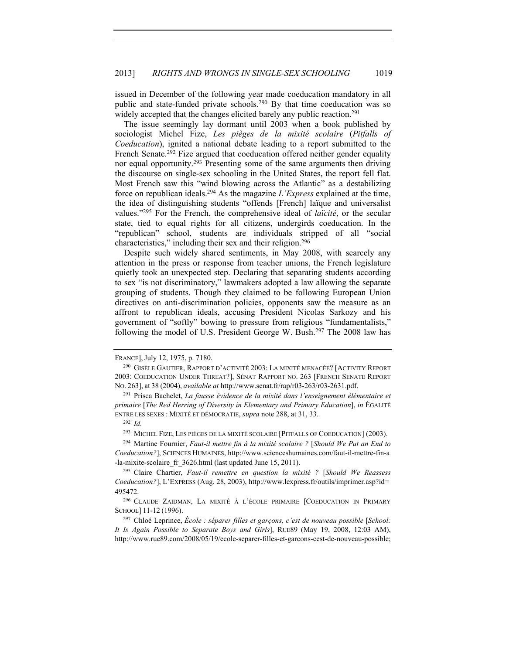issued in December of the following year made coeducation mandatory in all public and state-funded private schools.290 By that time coeducation was so widely accepted that the changes elicited barely any public reaction.<sup>291</sup>

The issue seemingly lay dormant until 2003 when a book published by sociologist Michel Fize, *Les pièges de la mixité scolaire* (*Pitfalls of Coeducation*), ignited a national debate leading to a report submitted to the French Senate.<sup>292</sup> Fize argued that coeducation offered neither gender equality nor equal opportunity.293 Presenting some of the same arguments then driving the discourse on single-sex schooling in the United States, the report fell flat. Most French saw this "wind blowing across the Atlantic" as a destabilizing force on republican ideals.294 As the magazine *L'Express* explained at the time, the idea of distinguishing students "offends [French] laïque and universalist values."295 For the French, the comprehensive ideal of *laïcité*, or the secular state, tied to equal rights for all citizens, undergirds coeducation. In the "republican" school, students are individuals stripped of all "social characteristics," including their sex and their religion.296

Despite such widely shared sentiments, in May 2008, with scarcely any attention in the press or response from teacher unions, the French legislature quietly took an unexpected step. Declaring that separating students according to sex "is not discriminatory," lawmakers adopted a law allowing the separate grouping of students. Though they claimed to be following European Union directives on anti-discrimination policies, opponents saw the measure as an affront to republican ideals, accusing President Nicolas Sarkozy and his government of "softly" bowing to pressure from religious "fundamentalists," following the model of U.S. President George W. Bush.297 The 2008 law has

FRANCE], July 12, 1975, p. 7180.<br><sup>290</sup> GISÈLE GAUTIER, RAPPORT D'ACTIVITÉ 2003: LA MIXITÉ MENACÉE? [ACTIVITY REPORT 2003: COEDUCATION UNDER THREAT?], SÉNAT RAPPORT NO. 263 [FRENCH SENATE REPORT NO. 263], at <sup>38</sup> (2004), *available at* http://www.senat.fr/rap/r03-263/r03-2631.pdf. 291 Prisca Bachelet, *La fausse évidence de la mixité dans l'enseignement élémentaire et* 

*primaire* [*The Red Herring of Diversity in Elementary and Primary Education*], *in* ÉGALITÉ ENTRE LES SEXES : MIXITÉ ET DÉMOCRATIE, *supra* note 288, at 31, 33.

<sup>292</sup> *Id.*

<sup>293</sup> MICHEL FIZE, LES PIÈGES DE LA MIXITÉ SCOLAIRE [PITFALLS OF COEDUCATION] (2003).

<sup>294</sup> Martine Fournier, *Faut-il mettre fin à la mixité scolaire ?* [*Should We Put an End to Coeducation?*], SCIENCES HUMAINES, http://www.scienceshumaines.com/faut-il-mettre-fin-a -la-mixite-scolaire fr 3626.html (last updated June 15, 2011).

<sup>295</sup> Claire Chartier, *Faut-il remettre en question la mixité ?* [*Should We Reassess Coeducation?*], L'EXPRESS (Aug. 28, 2003), http://www.lexpress.fr/outils/imprimer.asp?id= 495472.

<sup>296</sup> CLAUDE ZAIDMAN, LA MIXITÉ À L'ÉCOLE PRIMAIRE [COEDUCATION IN PRIMARY SCHOOL] 11-12 (1996).

<sup>297</sup> Chloé Leprince, *École : séparer filles et garçons, c'est de nouveau possible* [*School: It Is Again Possible to Separate Boys and Girls*], RUE89 (May 19, 2008, 12:03 AM), http://www.rue89.com/2008/05/19/ecole-separer-filles-et-garcons-cest-de-nouveau-possible;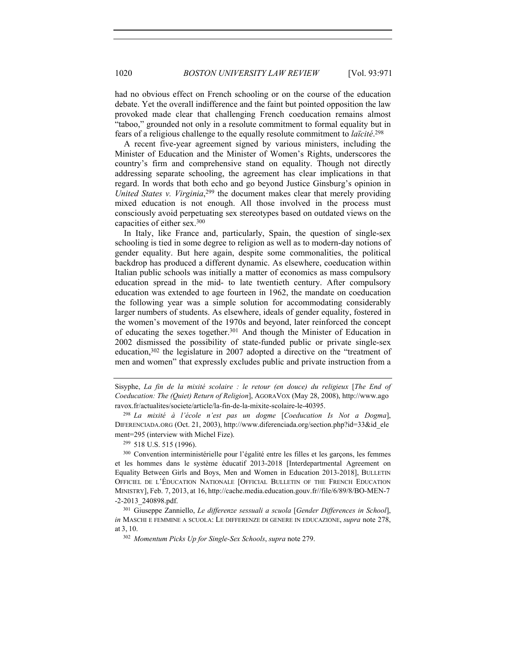1020 *BOSTON UNIVERSITY LAW REVIEW* [Vol. 93:971

had no obvious effect on French schooling or on the course of the education debate. Yet the overall indifference and the faint but pointed opposition the law provoked made clear that challenging French coeducation remains almost "taboo," grounded not only in a resolute commitment to formal equality but in fears of a religious challenge to the equally resolute commitment to *laïcité*. 298

A recent five-year agreement signed by various ministers, including the Minister of Education and the Minister of Women's Rights, underscores the country's firm and comprehensive stand on equality. Though not directly addressing separate schooling, the agreement has clear implications in that regard. In words that both echo and go beyond Justice Ginsburg's opinion in *United States v. Virginia*, 299 the document makes clear that merely providing mixed education is not enough. All those involved in the process must consciously avoid perpetuating sex stereotypes based on outdated views on the capacities of either sex.300

In Italy, like France and, particularly, Spain, the question of single-sex schooling is tied in some degree to religion as well as to modern-day notions of gender equality. But here again, despite some commonalities, the political backdrop has produced a different dynamic. As elsewhere, coeducation within Italian public schools was initially a matter of economics as mass compulsory education spread in the mid- to late twentieth century. After compulsory education was extended to age fourteen in 1962, the mandate on coeducation the following year was a simple solution for accommodating considerably larger numbers of students. As elsewhere, ideals of gender equality, fostered in the women's movement of the 1970s and beyond, later reinforced the concept of educating the sexes together.<sup>301</sup> And though the Minister of Education in 2002 dismissed the possibility of state-funded public or private single-sex education,302 the legislature in 2007 adopted a directive on the "treatment of men and women" that expressly excludes public and private instruction from a

<sup>298</sup> *La mixité à l'école n'est pas un dogme* [*Coeducation Is Not a Dogma*], DIFERENCIADA.ORG (Oct. 21, 2003), http://www.diferenciada.org/section.php?id=33&id\_ele ment=295 (interview with Michel Fize).

<sup>299</sup> 518 U.S. 515 (1996).

<sup>300</sup> Convention interministérielle pour l'égalité entre les filles et les garçons, les femmes et les hommes dans le système éducatif 2013-2018 [Interdepartmental Agreement on Equality Between Girls and Boys, Men and Women in Education 2013-2018], BULLETIN OFFICIEL DE L'ÉDUCATION NATIONALE [OFFICIAL BULLETIN OF THE FRENCH EDUCATION MINISTRY], Feb. 7, 2013, at 16, http://cache.media.education.gouv.fr//file/6/89/8/BO-MEN-7 -2-2013\_240898.pdf.

<sup>301</sup> Giuseppe Zanniello, *Le differenze sessuali a scuola* [*Gender Differences in School*], *in* MASCHI E FEMMINE A SCUOLA: LE DIFFERENZE DI GENERE IN EDUCAZIONE, *supra* note 278, at 3, 10.

<sup>302</sup> *Momentum Picks Up for Single-Sex Schools*, *supra* note 279.

Sisyphe, *La fin de la mixité scolaire : le retour (en douce) du religieux [The End of Coeducation: The (Quiet) Return of Religion*], AGORAVOX (May 28, 2008), http://www.ago ravox.fr/actualites/societe/article/la-fin-de-la-mixite-scolaire-le-40395.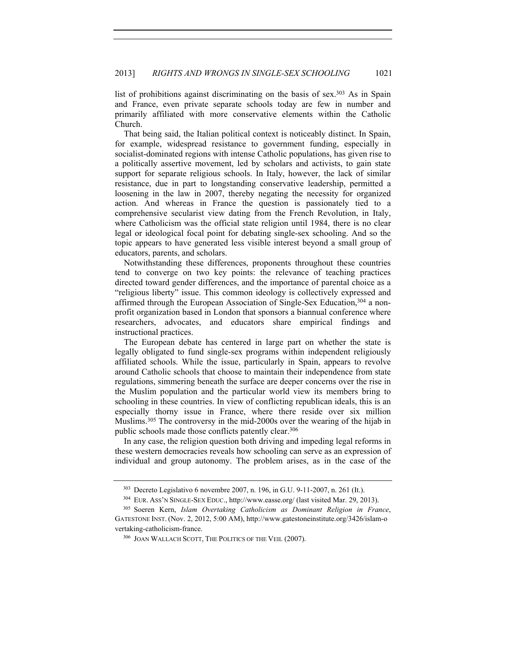list of prohibitions against discriminating on the basis of sex.<sup>303</sup> As in Spain and France, even private separate schools today are few in number and primarily affiliated with more conservative elements within the Catholic Church.

That being said, the Italian political context is noticeably distinct. In Spain, for example, widespread resistance to government funding, especially in socialist-dominated regions with intense Catholic populations, has given rise to a politically assertive movement, led by scholars and activists, to gain state support for separate religious schools. In Italy, however, the lack of similar resistance, due in part to longstanding conservative leadership, permitted a loosening in the law in 2007, thereby negating the necessity for organized action. And whereas in France the question is passionately tied to a comprehensive secularist view dating from the French Revolution, in Italy, where Catholicism was the official state religion until 1984, there is no clear legal or ideological focal point for debating single-sex schooling. And so the topic appears to have generated less visible interest beyond a small group of educators, parents, and scholars.

Notwithstanding these differences, proponents throughout these countries tend to converge on two key points: the relevance of teaching practices directed toward gender differences, and the importance of parental choice as a "religious liberty" issue. This common ideology is collectively expressed and affirmed through the European Association of Single-Sex Education, 304 a nonprofit organization based in London that sponsors a biannual conference where researchers, advocates, and educators share empirical findings and instructional practices.

The European debate has centered in large part on whether the state is legally obligated to fund single-sex programs within independent religiously affiliated schools. While the issue, particularly in Spain, appears to revolve around Catholic schools that choose to maintain their independence from state regulations, simmering beneath the surface are deeper concerns over the rise in the Muslim population and the particular world view its members bring to schooling in these countries. In view of conflicting republican ideals, this is an especially thorny issue in France, where there reside over six million Muslims.305 The controversy in the mid-2000s over the wearing of the hijab in public schools made those conflicts patently clear.306

In any case, the religion question both driving and impeding legal reforms in these western democracies reveals how schooling can serve as an expression of individual and group autonomy. The problem arises, as in the case of the

<sup>303</sup> Decreto Legislativo 6 novembre 2007, n. 196, in G.U. 9-11-2007, n. 261 (It.).

<sup>304</sup> EUR. ASS'N SINGLE-SEX EDUC., http://www.easse.org/ (last visited Mar. 29, 2013).

<sup>305</sup> Soeren Kern, *Islam Overtaking Catholicism as Dominant Religion in France*, GATESTONE INST. (Nov. 2, 2012, 5:00 AM), http://www.gatestoneinstitute.org/3426/islam-o

vertaking-catholicism-france.

<sup>306</sup> JOAN WALLACH SCOTT, THE POLITICS OF THE VEIL (2007).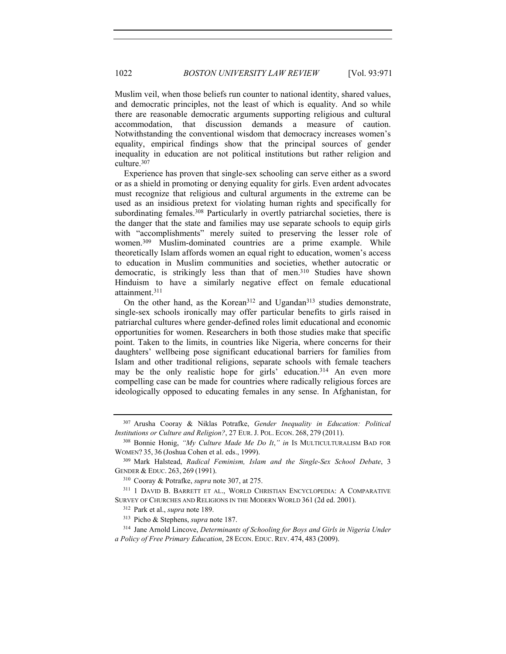Muslim veil, when those beliefs run counter to national identity, shared values, and democratic principles, not the least of which is equality. And so while there are reasonable democratic arguments supporting religious and cultural accommodation, that discussion demands a measure of caution. Notwithstanding the conventional wisdom that democracy increases women's equality, empirical findings show that the principal sources of gender inequality in education are not political institutions but rather religion and culture.307

Experience has proven that single-sex schooling can serve either as a sword or as a shield in promoting or denying equality for girls. Even ardent advocates must recognize that religious and cultural arguments in the extreme can be used as an insidious pretext for violating human rights and specifically for subordinating females.<sup>308</sup> Particularly in overtly patriarchal societies, there is the danger that the state and families may use separate schools to equip girls with "accomplishments" merely suited to preserving the lesser role of women.309 Muslim-dominated countries are a prime example. While theoretically Islam affords women an equal right to education, women's access to education in Muslim communities and societies, whether autocratic or democratic, is strikingly less than that of men.310 Studies have shown Hinduism to have a similarly negative effect on female educational attainment.311

On the other hand, as the Korean<sup>312</sup> and Ugandan<sup>313</sup> studies demonstrate, single-sex schools ironically may offer particular benefits to girls raised in patriarchal cultures where gender-defined roles limit educational and economic opportunities for women. Researchers in both those studies make that specific point. Taken to the limits, in countries like Nigeria, where concerns for their daughters' wellbeing pose significant educational barriers for families from Islam and other traditional religions, separate schools with female teachers may be the only realistic hope for girls' education.<sup>314</sup> An even more compelling case can be made for countries where radically religious forces are ideologically opposed to educating females in any sense. In Afghanistan, for

<sup>307</sup> Arusha Cooray & Niklas Potrafke, *Gender Inequality in Education: Political Institutions or Culture and Religion?*, 27 EUR. J. POL. ECON. 268, <sup>279</sup> (2011). 308 Bonnie Honig, *"My Culture Made Me Do It*,*" in* IS MULTICULTURALISM BAD FOR

WOMEN? 35, 36 (Joshua Cohen et al. eds., 1999).

<sup>309</sup> Mark Halstead, *Radical Feminism, Islam and the Single-Sex School Debate*, 3 GENDER & EDUC. 263, 269 (1991).

<sup>310</sup> Cooray & Potrafke, *supra* note 307, at 275.

<sup>311</sup> 1 DAVID B. BARRETT ET AL., WORLD CHRISTIAN ENCYCLOPEDIA: A COMPARATIVE SURVEY OF CHURCHES AND RELIGIONS IN THE MODERN WORLD 361 (2d ed. 2001).

<sup>312</sup> Park et al., *supra* note 189.

<sup>313</sup> Picho & Stephens, *supra* note 187.

<sup>314</sup> Jane Arnold Lincove, *Determinants of Schooling for Boys and Girls in Nigeria Under a Policy of Free Primary Education*, 28 ECON. EDUC. REV. 474, 483 (2009).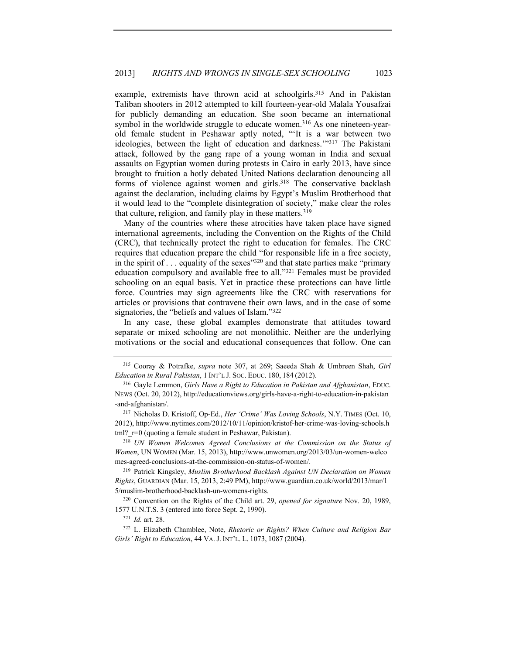example, extremists have thrown acid at schoolgirls.<sup>315</sup> And in Pakistan Taliban shooters in 2012 attempted to kill fourteen-year-old Malala Yousafzai for publicly demanding an education. She soon became an international symbol in the worldwide struggle to educate women.<sup>316</sup> As one nineteen-yearold female student in Peshawar aptly noted, "'It is a war between two ideologies, between the light of education and darkness.'"317 The Pakistani attack, followed by the gang rape of a young woman in India and sexual assaults on Egyptian women during protests in Cairo in early 2013, have since brought to fruition a hotly debated United Nations declaration denouncing all forms of violence against women and girls.<sup>318</sup> The conservative backlash against the declaration, including claims by Egypt's Muslim Brotherhood that it would lead to the "complete disintegration of society," make clear the roles that culture, religion, and family play in these matters.319

Many of the countries where these atrocities have taken place have signed international agreements, including the Convention on the Rights of the Child (CRC), that technically protect the right to education for females. The CRC requires that education prepare the child "for responsible life in a free society, in the spirit of . . . equality of the sexes<sup>"320</sup> and that state parties make "primary" education compulsory and available free to all."321 Females must be provided schooling on an equal basis. Yet in practice these protections can have little force. Countries may sign agreements like the CRC with reservations for articles or provisions that contravene their own laws, and in the case of some signatories, the "beliefs and values of Islam."322

In any case, these global examples demonstrate that attitudes toward separate or mixed schooling are not monolithic. Neither are the underlying motivations or the social and educational consequences that follow. One can

<sup>318</sup> *UN Women Welcomes Agreed Conclusions at the Commission on the Status of Women*, UN WOMEN (Mar. 15, 2013), http://www.unwomen.org/2013/03/un-women-welco mes-agreed-conclusions-at-the-commission-on-status-of-women/.

<sup>319</sup> Patrick Kingsley, *Muslim Brotherhood Backlash Against UN Declaration on Women Rights*, GUARDIAN (Mar. 15, 2013, 2:49 PM), http://www.guardian.co.uk/world/2013/mar/1 5/muslim-brotherhood-backlash-un-womens-rights.

<sup>320</sup> Convention on the Rights of the Child art. 29, *opened for signature* Nov. 20, 1989, 1577 U.N.T.S. 3 (entered into force Sept. 2, 1990).

<sup>321</sup> *Id.* art. 28.

<sup>322</sup> L. Elizabeth Chamblee, Note, *Rhetoric or Rights? When Culture and Religion Bar Girls' Right to Education*, 44 VA.J. INT'L. L. 1073, 1087 (2004).

<sup>315</sup> Cooray & Potrafke, *supra* note 307, at 269; Saeeda Shah & Umbreen Shah, *Girl Education in Rural Pakistan*, 1 INT'L J. SOC. EDUC. 180, 184 (2012).

<sup>316</sup> Gayle Lemmon, *Girls Have a Right to Education in Pakistan and Afghanistan*, EDUC. NEWS (Oct. 20, 2012), http://educationviews.org/girls-have-a-right-to-education-in-pakistan -and-afghanistan/.

<sup>317</sup> Nicholas D. Kristoff, Op-Ed., *Her 'Crime' Was Loving Schools*, N.Y. TIMES (Oct. 10, 2012), http://www.nytimes.com/2012/10/11/opinion/kristof-her-crime-was-loving-schools.h tml?  $r=0$  (quoting a female student in Peshawar, Pakistan).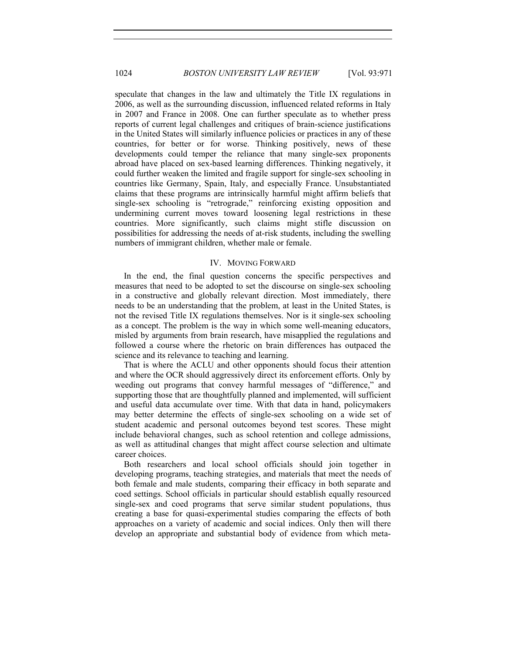speculate that changes in the law and ultimately the Title IX regulations in 2006, as well as the surrounding discussion, influenced related reforms in Italy in 2007 and France in 2008. One can further speculate as to whether press reports of current legal challenges and critiques of brain-science justifications in the United States will similarly influence policies or practices in any of these countries, for better or for worse. Thinking positively, news of these developments could temper the reliance that many single-sex proponents abroad have placed on sex-based learning differences. Thinking negatively, it could further weaken the limited and fragile support for single-sex schooling in countries like Germany, Spain, Italy, and especially France. Unsubstantiated claims that these programs are intrinsically harmful might affirm beliefs that single-sex schooling is "retrograde," reinforcing existing opposition and undermining current moves toward loosening legal restrictions in these countries. More significantly, such claims might stifle discussion on possibilities for addressing the needs of at-risk students, including the swelling numbers of immigrant children, whether male or female.

#### IV. MOVING FORWARD

In the end, the final question concerns the specific perspectives and measures that need to be adopted to set the discourse on single-sex schooling in a constructive and globally relevant direction. Most immediately, there needs to be an understanding that the problem, at least in the United States, is not the revised Title IX regulations themselves. Nor is it single-sex schooling as a concept. The problem is the way in which some well-meaning educators, misled by arguments from brain research, have misapplied the regulations and followed a course where the rhetoric on brain differences has outpaced the science and its relevance to teaching and learning.

That is where the ACLU and other opponents should focus their attention and where the OCR should aggressively direct its enforcement efforts. Only by weeding out programs that convey harmful messages of "difference," and supporting those that are thoughtfully planned and implemented, will sufficient and useful data accumulate over time. With that data in hand, policymakers may better determine the effects of single-sex schooling on a wide set of student academic and personal outcomes beyond test scores. These might include behavioral changes, such as school retention and college admissions, as well as attitudinal changes that might affect course selection and ultimate career choices.

Both researchers and local school officials should join together in developing programs, teaching strategies, and materials that meet the needs of both female and male students, comparing their efficacy in both separate and coed settings. School officials in particular should establish equally resourced single-sex and coed programs that serve similar student populations, thus creating a base for quasi-experimental studies comparing the effects of both approaches on a variety of academic and social indices. Only then will there develop an appropriate and substantial body of evidence from which meta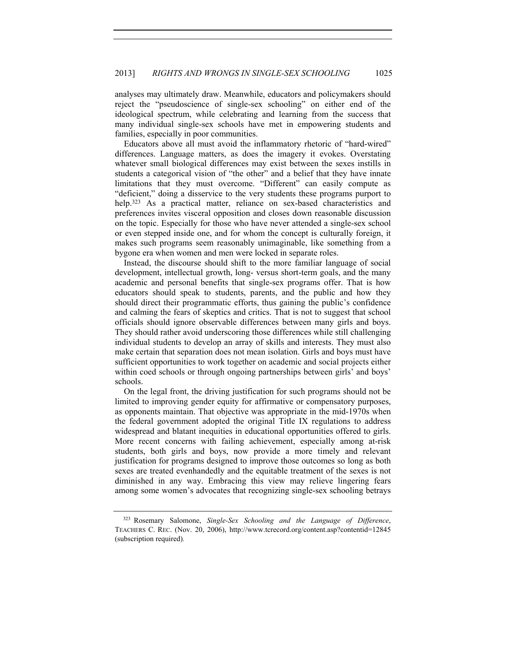analyses may ultimately draw. Meanwhile, educators and policymakers should reject the "pseudoscience of single-sex schooling" on either end of the ideological spectrum, while celebrating and learning from the success that many individual single-sex schools have met in empowering students and families, especially in poor communities.

Educators above all must avoid the inflammatory rhetoric of "hard-wired" differences. Language matters, as does the imagery it evokes. Overstating whatever small biological differences may exist between the sexes instills in students a categorical vision of "the other" and a belief that they have innate limitations that they must overcome. "Different" can easily compute as "deficient," doing a disservice to the very students these programs purport to help.<sup>323</sup> As a practical matter, reliance on sex-based characteristics and preferences invites visceral opposition and closes down reasonable discussion on the topic. Especially for those who have never attended a single-sex school or even stepped inside one, and for whom the concept is culturally foreign, it makes such programs seem reasonably unimaginable, like something from a bygone era when women and men were locked in separate roles.

Instead, the discourse should shift to the more familiar language of social development, intellectual growth, long- versus short-term goals, and the many academic and personal benefits that single-sex programs offer. That is how educators should speak to students, parents, and the public and how they should direct their programmatic efforts, thus gaining the public's confidence and calming the fears of skeptics and critics. That is not to suggest that school officials should ignore observable differences between many girls and boys. They should rather avoid underscoring those differences while still challenging individual students to develop an array of skills and interests. They must also make certain that separation does not mean isolation. Girls and boys must have sufficient opportunities to work together on academic and social projects either within coed schools or through ongoing partnerships between girls' and boys' schools.

On the legal front, the driving justification for such programs should not be limited to improving gender equity for affirmative or compensatory purposes, as opponents maintain. That objective was appropriate in the mid-1970s when the federal government adopted the original Title IX regulations to address widespread and blatant inequities in educational opportunities offered to girls. More recent concerns with failing achievement, especially among at-risk students, both girls and boys, now provide a more timely and relevant justification for programs designed to improve those outcomes so long as both sexes are treated evenhandedly and the equitable treatment of the sexes is not diminished in any way. Embracing this view may relieve lingering fears among some women's advocates that recognizing single-sex schooling betrays

<sup>323</sup> Rosemary Salomone, *Single-Sex Schooling and the Language of Difference*, TEACHERS C. REC. (Nov. 20, 2006), http://www.tcrecord.org/content.asp?contentid=12845 (subscription required)*.*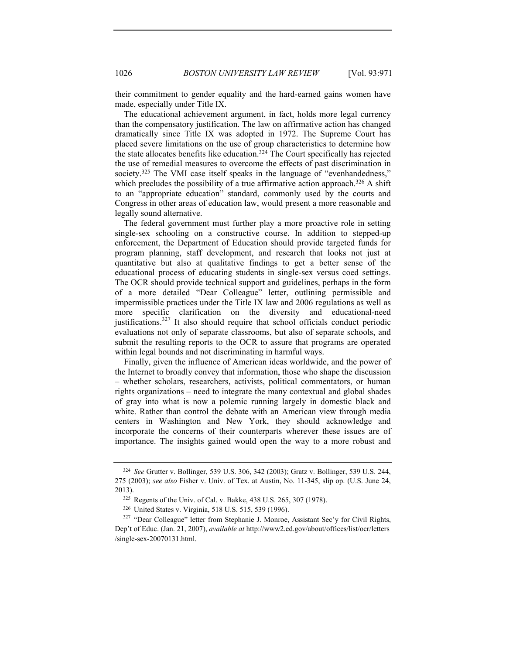their commitment to gender equality and the hard-earned gains women have made, especially under Title IX.

The educational achievement argument, in fact, holds more legal currency than the compensatory justification. The law on affirmative action has changed dramatically since Title IX was adopted in 1972. The Supreme Court has placed severe limitations on the use of group characteristics to determine how the state allocates benefits like education.324 The Court specifically has rejected the use of remedial measures to overcome the effects of past discrimination in society.<sup>325</sup> The VMI case itself speaks in the language of "evenhandedness," which precludes the possibility of a true affirmative action approach.<sup>326</sup> A shift to an "appropriate education" standard, commonly used by the courts and Congress in other areas of education law, would present a more reasonable and legally sound alternative.

The federal government must further play a more proactive role in setting single-sex schooling on a constructive course. In addition to stepped-up enforcement, the Department of Education should provide targeted funds for program planning, staff development, and research that looks not just at quantitative but also at qualitative findings to get a better sense of the educational process of educating students in single-sex versus coed settings. The OCR should provide technical support and guidelines, perhaps in the form of a more detailed "Dear Colleague" letter, outlining permissible and impermissible practices under the Title IX law and 2006 regulations as well as more specific clarification on the diversity and educational-need justifications.<sup>327</sup> It also should require that school officials conduct periodic evaluations not only of separate classrooms, but also of separate schools, and submit the resulting reports to the OCR to assure that programs are operated within legal bounds and not discriminating in harmful ways.

Finally, given the influence of American ideas worldwide, and the power of the Internet to broadly convey that information, those who shape the discussion – whether scholars, researchers, activists, political commentators, or human rights organizations – need to integrate the many contextual and global shades of gray into what is now a polemic running largely in domestic black and white. Rather than control the debate with an American view through media centers in Washington and New York, they should acknowledge and incorporate the concerns of their counterparts wherever these issues are of importance. The insights gained would open the way to a more robust and

<sup>324</sup> *See* Grutter v. Bollinger, 539 U.S. 306, 342 (2003); Gratz v. Bollinger, 539 U.S. 244, 275 (2003); *see also* Fisher v. Univ. of Tex. at Austin, No. 11-345, slip op. (U.S. June 24, 2013). 325 Regents of the Univ. of Cal. v. Bakke, 438 U.S. 265, 307 (1978).

<sup>&</sup>lt;sup>326</sup> United States v. Virginia, 518 U.S. 515, 539 (1996).<br><sup>327</sup> "Dear Colleague" letter from Stephanie J. Monroe, Assistant Sec'y for Civil Rights, Dep't of Educ. (Jan. 21, 2007), *available at* http://www2.ed.gov/about/offices/list/ocr/letters /single-sex-20070131.html.